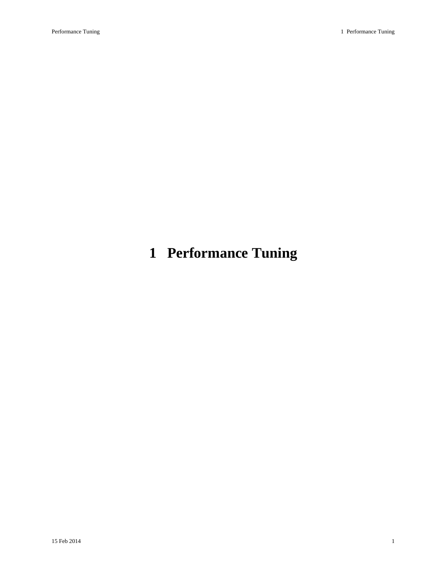# **1 Performance Tuning**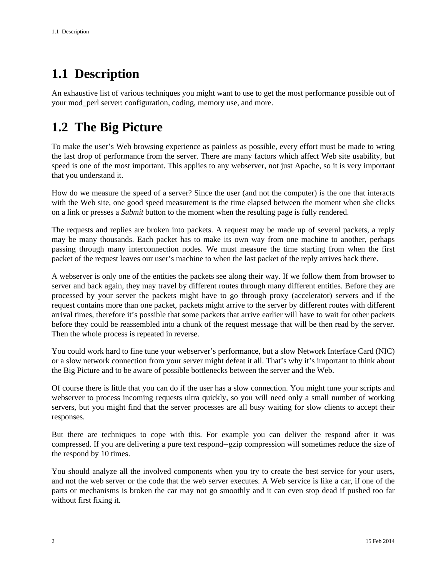# **1.1 Description**

An exhaustive list of various techniques you might want to use to get the most performance possible out of your mod\_perl server: configuration, coding, memory use, and more.

# **1.2 The Big Picture**

To make the user's Web browsing experience as painless as possible, every effort must be made to wring the last drop of performance from the server. There are many factors which affect Web site usability, but speed is one of the most important. This applies to any webserver, not just Apache, so it is very important that you understand it.

How do we measure the speed of a server? Since the user (and not the computer) is the one that interacts with the Web site, one good speed measurement is the time elapsed between the moment when she clicks on a link or presses a *Submit* button to the moment when the resulting page is fully rendered.

The requests and replies are broken into packets. A request may be made up of several packets, a reply may be many thousands. Each packet has to make its own way from one machine to another, perhaps passing through many interconnection nodes. We must measure the time starting from when the first packet of the request leaves our user's machine to when the last packet of the reply arrives back there.

A webserver is only one of the entities the packets see along their way. If we follow them from browser to server and back again, they may travel by different routes through many different entities. Before they are processed by your server the packets might have to go through proxy (accelerator) servers and if the request contains more than one packet, packets might arrive to the server by different routes with different arrival times, therefore it's possible that some packets that arrive earlier will have to wait for other packets before they could be reassembled into a chunk of the request message that will be then read by the server. Then the whole process is repeated in reverse.

You could work hard to fine tune your webserver's performance, but a slow Network Interface Card (NIC) or a slow network connection from your server might defeat it all. That's why it's important to think about the Big Picture and to be aware of possible bottlenecks between the server and the Web.

Of course there is little that you can do if the user has a slow connection. You might tune your scripts and webserver to process incoming requests ultra quickly, so you will need only a small number of working servers, but you might find that the server processes are all busy waiting for slow clients to accept their responses.

But there are techniques to cope with this. For example you can deliver the respond after it was compressed. If you are delivering a pure text respond--gzip compression will sometimes reduce the size of the respond by 10 times.

You should analyze all the involved components when you try to create the best service for your users, and not the web server or the code that the web server executes. A Web service is like a car, if one of the parts or mechanisms is broken the car may not go smoothly and it can even stop dead if pushed too far without first fixing it.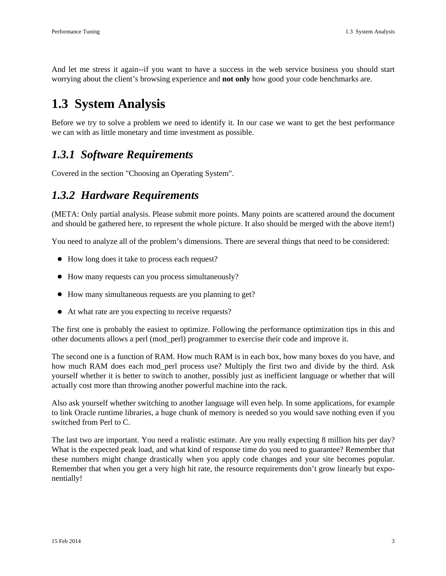And let me stress it again--if you want to have a success in the web service business you should start worrying about the client's browsing experience and **not only** how good your code benchmarks are.

# **1.3 System Analysis**

Before we try to solve a problem we need to identify it. In our case we want to get the best performance we can with as little monetary and time investment as possible.

## *1.3.1 Software Requirements*

Covered in the section "Choosing an Operating System".

## *1.3.2 Hardware Requirements*

(META: Only partial analysis. Please submit more points. Many points are scattered around the document and should be gathered here, to represent the whole picture. It also should be merged with the above item!)

You need to analyze all of the problem's dimensions. There are several things that need to be considered:

- How long does it take to process each request?
- How many requests can you process simultaneously?
- How many simultaneous requests are you planning to get?
- At what rate are you expecting to receive requests?

The first one is probably the easiest to optimize. Following the performance optimization tips in this and other documents allows a perl (mod\_perl) programmer to exercise their code and improve it.

The second one is a function of RAM. How much RAM is in each box, how many boxes do you have, and how much RAM does each mod perl process use? Multiply the first two and divide by the third. Ask yourself whether it is better to switch to another, possibly just as inefficient language or whether that will actually cost more than throwing another powerful machine into the rack.

Also ask yourself whether switching to another language will even help. In some applications, for example to link Oracle runtime libraries, a huge chunk of memory is needed so you would save nothing even if you switched from Perl to C.

The last two are important. You need a realistic estimate. Are you really expecting 8 million hits per day? What is the expected peak load, and what kind of response time do you need to guarantee? Remember that these numbers might change drastically when you apply code changes and your site becomes popular. Remember that when you get a very high hit rate, the resource requirements don't grow linearly but exponentially!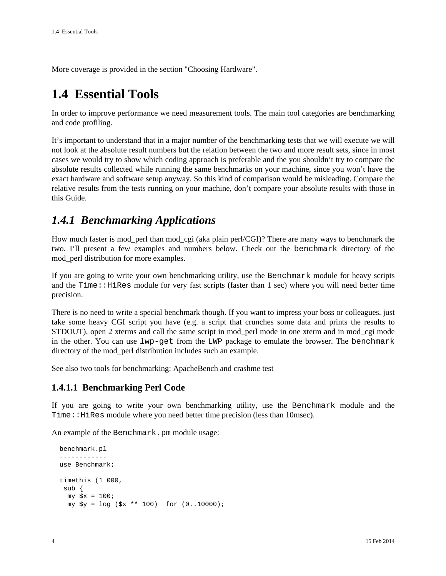More coverage is provided in the section "Choosing Hardware".

# **1.4 Essential Tools**

In order to improve performance we need measurement tools. The main tool categories are benchmarking and code profiling.

It's important to understand that in a major number of the benchmarking tests that we will execute we will not look at the absolute result numbers but the relation between the two and more result sets, since in most cases we would try to show which coding approach is preferable and the you shouldn't try to compare the absolute results collected while running the same benchmarks on your machine, since you won't have the exact hardware and software setup anyway. So this kind of comparison would be misleading. Compare the relative results from the tests running on your machine, don't compare your absolute results with those in this Guide.

## *1.4.1 Benchmarking Applications*

How much faster is mod\_perl than mod\_cgi (aka plain perl/CGI)? There are many ways to benchmark the two. I'll present a few examples and numbers below. Check out the benchmark directory of the mod\_perl distribution for more examples.

If you are going to write your own benchmarking utility, use the Benchmark module for heavy scripts and the Time::HiRes module for very fast scripts (faster than 1 sec) where you will need better time precision.

There is no need to write a special benchmark though. If you want to impress your boss or colleagues, just take some heavy CGI script you have (e.g. a script that crunches some data and prints the results to STDOUT), open 2 xterms and call the same script in mod\_perl mode in one xterm and in mod\_cgi mode in the other. You can use lwp-get from the LWP package to emulate the browser. The benchmark directory of the mod\_perl distribution includes such an example.

See also two tools for benchmarking: ApacheBench and crashme test

### **1.4.1.1 Benchmarking Perl Code**

If you are going to write your own benchmarking utility, use the Benchmark module and the Time::HiRes module where you need better time precision (less than 10msec).

An example of the Benchmark.pm module usage:

```
 benchmark.pl
 ------------
 use Benchmark;
 timethis (1_000,
 sub {
  my \,$x = 100;
   my $y = log ($x ** 100) for (0..10000);
```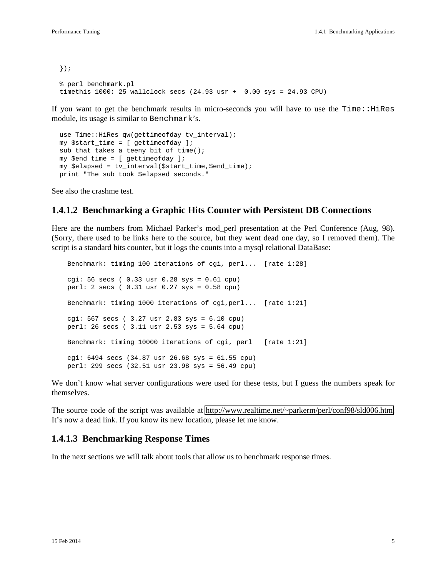```
 });
 % perl benchmark.pl
timethis 1000: 25 wallclock secs (24.93 usr + 0.00 sys = 24.93 CPU)
```
If you want to get the benchmark results in micro-seconds you will have to use the  $Time$ :  $H$ iRes module, its usage is similar to Benchmark's.

```
use Time:: HiRes qw(gettimeofday tv_interval);
 my $start_time = [ gettimeofday ];
 sub_that_takes_a_teeny_bit_of_time();
 my $end_time = [ gettimeofday ];
 my $elapsed = tv_interval($start_time,$end_time);
 print "The sub took $elapsed seconds."
```
See also the crashme test.

#### **1.4.1.2 Benchmarking a Graphic Hits Counter with Persistent DB Connections**

Here are the numbers from Michael Parker's mod\_perl presentation at the Perl Conference (Aug, 98). (Sorry, there used to be links here to the source, but they went dead one day, so I removed them). The script is a standard hits counter, but it logs the counts into a mysql relational DataBase:

```
 Benchmark: timing 100 iterations of cgi, perl... [rate 1:28]
 cgi: 56 secs ( 0.33 usr 0.28 sys = 0.61 cpu) 
 perl: 2 secs ( 0.31 usr 0.27 sys = 0.58 cpu) 
 Benchmark: timing 1000 iterations of cgi,perl... [rate 1:21]
 cgi: 567 secs ( 3.27 usr 2.83 sys = 6.10 cpu) 
 perl: 26 secs ( 3.11 usr 2.53 sys = 5.64 cpu) 
 Benchmark: timing 10000 iterations of cgi, perl [rate 1:21]
 cgi: 6494 secs (34.87 usr 26.68 sys = 61.55 cpu) 
 perl: 299 secs (32.51 usr 23.98 sys = 56.49 cpu)
```
We don't know what server configurations were used for these tests, but I guess the numbers speak for themselves.

The source code of the script was available at [http://www.realtime.net/~parkerm/perl/conf98/sld006.htm.](http://www.realtime.net/~parkerm/perl/conf98/sld006.htm) It's now a dead link. If you know its new location, please let me know.

#### **1.4.1.3 Benchmarking Response Times**

In the next sections we will talk about tools that allow us to benchmark response times.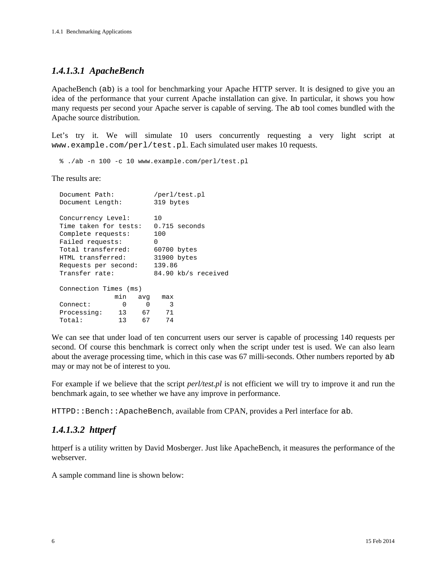### *1.4.1.3.1 ApacheBench*

ApacheBench (ab) is a tool for benchmarking your Apache HTTP server. It is designed to give you an idea of the performance that your current Apache installation can give. In particular, it shows you how many requests per second your Apache server is capable of serving. The ab tool comes bundled with the Apache source distribution.

Let's try it. We will simulate 10 users concurrently requesting a very light script at www.example.com/perl/test.pl. Each simulated user makes 10 requests.

% ./ab -n 100 -c 10 www.example.com/perl/test.pl

The results are:

|                       | Document Path:                              |                 |     | /perl/test.pl          |  |                     |
|-----------------------|---------------------------------------------|-----------------|-----|------------------------|--|---------------------|
|                       | Document Length:                            |                 |     | 319 bytes              |  |                     |
|                       | Concurrency Level:<br>Time taken for tests: |                 |     | 1 O<br>$0.715$ seconds |  |                     |
|                       | Complete requests:                          |                 |     | 100                    |  |                     |
|                       | Failed requests:                            |                 |     | <sup>n</sup>           |  |                     |
|                       | Total transferred:                          |                 |     | $60700$ bytes          |  |                     |
|                       | HTML transferred:                           |                 |     | 31900 bytes            |  |                     |
|                       | Requests per second:                        |                 |     | 139.86                 |  |                     |
|                       | Transfer rate:                              |                 |     |                        |  | 84.90 kb/s received |
| Connection Times (ms) |                                             |                 |     |                        |  |                     |
|                       |                                             | min             | avq | max                    |  |                     |
|                       | Connect:                                    | <sup>0</sup>    | O   | 3                      |  |                     |
|                       | Processing:                                 | 13 <sup>7</sup> | 67  | 71                     |  |                     |
|                       | Total:                                      | 13              | 67  | 74                     |  |                     |
|                       |                                             |                 |     |                        |  |                     |

We can see that under load of ten concurrent users our server is capable of processing 140 requests per second. Of course this benchmark is correct only when the script under test is used. We can also learn about the average processing time, which in this case was 67 milli-seconds. Other numbers reported by ab may or may not be of interest to you.

For example if we believe that the script *perl/test.pl* is not efficient we will try to improve it and run the benchmark again, to see whether we have any improve in performance.

HTTPD:: Bench: ApacheBench, available from CPAN, provides a Perl interface for ab.

### *1.4.1.3.2 httperf*

httperf is a utility written by David Mosberger. Just like ApacheBench, it measures the performance of the webserver.

A sample command line is shown below: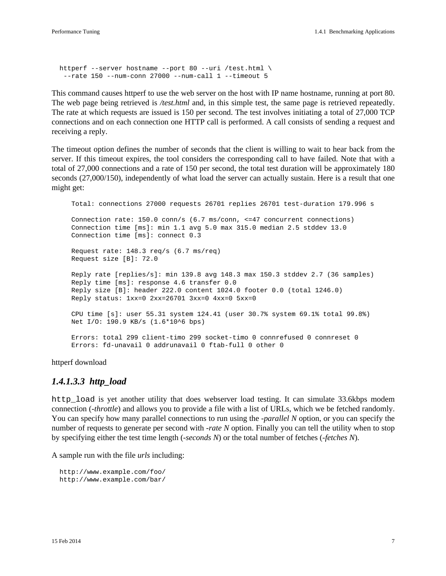```
 httperf --server hostname --port 80 --uri /test.html \
 --rate 150 --num-conn 27000 --num-call 1 --timeout 5
```
This command causes httperf to use the web server on the host with IP name hostname, running at port 80. The web page being retrieved is */test.html* and, in this simple test, the same page is retrieved repeatedly. The rate at which requests are issued is 150 per second. The test involves initiating a total of 27,000 TCP connections and on each connection one HTTP call is performed. A call consists of sending a request and receiving a reply.

The timeout option defines the number of seconds that the client is willing to wait to hear back from the server. If this timeout expires, the tool considers the corresponding call to have failed. Note that with a total of 27,000 connections and a rate of 150 per second, the total test duration will be approximately 180 seconds (27,000/150), independently of what load the server can actually sustain. Here is a result that one might get:

 Total: connections 27000 requests 26701 replies 26701 test-duration 179.996 s Connection rate: 150.0 conn/s (6.7 ms/conn, <=47 concurrent connections) Connection time [ms]: min 1.1 avg 5.0 max 315.0 median 2.5 stddev 13.0 Connection time [ms]: connect 0.3 Request rate: 148.3 req/s (6.7 ms/req) Request size [B]: 72.0 Reply rate [replies/s]: min 139.8 avg 148.3 max 150.3 stddev 2.7 (36 samples) Reply time [ms]: response 4.6 transfer 0.0 Reply size [B]: header 222.0 content 1024.0 footer 0.0 (total 1246.0) Reply status: 1xx=0 2xx=26701 3xx=0 4xx=0 5xx=0 CPU time [s]: user 55.31 system 124.41 (user 30.7% system 69.1% total 99.8%) Net I/O: 190.9 KB/s (1.6\*10^6 bps) Errors: total 299 client-timo 299 socket-timo 0 connrefused 0 connreset 0 Errors: fd-unavail 0 addrunavail 0 ftab-full 0 other 0

httperf download

#### *1.4.1.3.3 http\_load*

http\_load is yet another utility that does webserver load testing. It can simulate 33.6kbps modem connection (*-throttle*) and allows you to provide a file with a list of URLs, which we be fetched randomly. You can specify how many parallel connections to run using the *-parallel N* option, or you can specify the number of requests to generate per second with *-rate N* option. Finally you can tell the utility when to stop by specifying either the test time length (*-seconds N*) or the total number of fetches (*-fetches N*).

A sample run with the file *urls* including:

```
 http://www.example.com/foo/
 http://www.example.com/bar/
```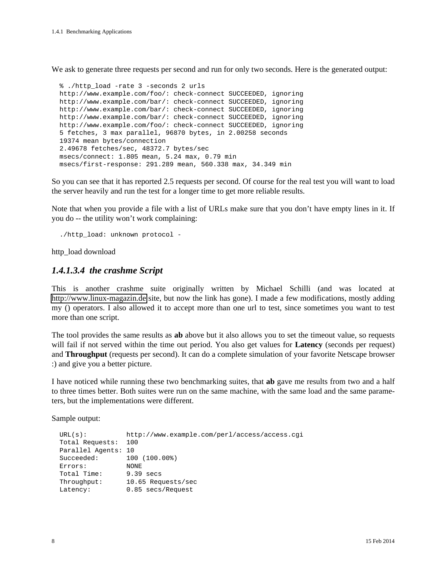We ask to generate three requests per second and run for only two seconds. Here is the generated output:

```
 % ./http_load -rate 3 -seconds 2 urls
 http://www.example.com/foo/: check-connect SUCCEEDED, ignoring
 http://www.example.com/bar/: check-connect SUCCEEDED, ignoring
 http://www.example.com/bar/: check-connect SUCCEEDED, ignoring
 http://www.example.com/bar/: check-connect SUCCEEDED, ignoring
 http://www.example.com/foo/: check-connect SUCCEEDED, ignoring
 5 fetches, 3 max parallel, 96870 bytes, in 2.00258 seconds
 19374 mean bytes/connection
 2.49678 fetches/sec, 48372.7 bytes/sec
 msecs/connect: 1.805 mean, 5.24 max, 0.79 min
 msecs/first-response: 291.289 mean, 560.338 max, 34.349 min
```
So you can see that it has reported 2.5 requests per second. Of course for the real test you will want to load the server heavily and run the test for a longer time to get more reliable results.

Note that when you provide a file with a list of URLs make sure that you don't have empty lines in it. If you do -- the utility won't work complaining:

./http\_load: unknown protocol -

http\_load download

#### *1.4.1.3.4 the crashme Script*

This is another crashme suite originally written by Michael Schilli (and was located at [http://www.linux-magazin.de](http://www.linux-magazin.de/) site, but now the link has gone). I made a few modifications, mostly adding my () operators. I also allowed it to accept more than one url to test, since sometimes you want to test more than one script.

The tool provides the same results as **ab** above but it also allows you to set the timeout value, so requests will fail if not served within the time out period. You also get values for **Latency** (seconds per request) and **Throughput** (requests per second). It can do a complete simulation of your favorite Netscape browser :) and give you a better picture.

I have noticed while running these two benchmarking suites, that **ab** gave me results from two and a half to three times better. Both suites were run on the same machine, with the same load and the same parameters, but the implementations were different.

Sample output:

```
 URL(s): http://www.example.com/perl/access/access.cgi
 Total Requests: 100
 Parallel Agents: 10
 Succeeded: 100 (100.00%)
 Errors: NONE
Total Time: 9.39 secs
 Throughput: 10.65 Requests/sec
Latency: 0.85 secs/Request
```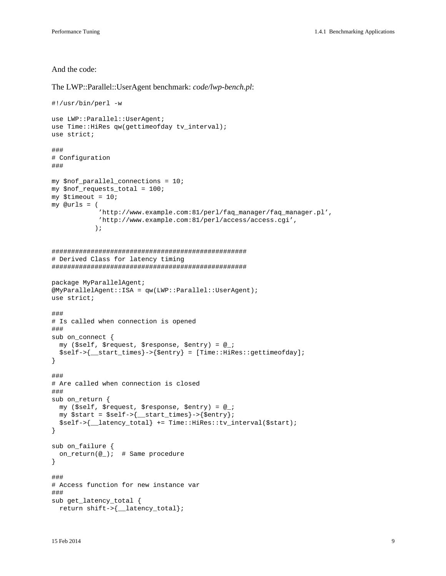And the code:

```
The LWP::Parallel::UserAgent benchmark: code/lwp-bench.pl:
```

```
#!/usr/bin/perl -w
use LWP::Parallel::UserAgent;
use Time:: HiRes qw(gettimeofday tv_interval);
use strict;
###
# Configuration
###
my $nof_parallel_connections = 10;
my $nof_requests_total = 100;
my $timeout = 10;my @urls = (
             'http://www.example.com:81/perl/faq_manager/faq_manager.pl',
             'http://www.example.com:81/perl/access/access.cgi',
            );
##################################################
# Derived Class for latency timing
##################################################
package MyParallelAgent;
@MyParallelAgent::ISA = qw(LWP::Parallel::UserAgent);
use strict;
###
# Is called when connection is opened
###
sub on_connect {
  my ($self, $request, $response, $entry) = @_;
   $self->{__start_times}->{$entry} = [Time::HiRes::gettimeofday];
}
###
# Are called when connection is closed
###
sub on_return {
  my ($self, $request, $response, $entry) = @_;
  my $start = $self->{__start_times}->{$entry};
   $self->{__latency_total} += Time::HiRes::tv_interval($start);
}
sub on_failure {
  on_return(@_); # Same procedure
}
###
# Access function for new instance var
###
sub get_latency_total {
  return shift->{__latency_total};
```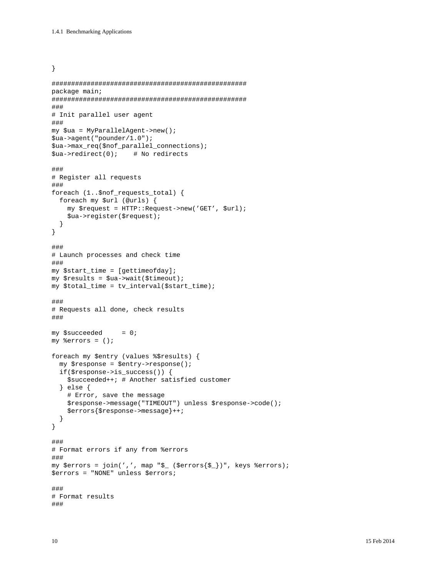}

```
##################################################
package main;
##################################################
###
# Init parallel user agent
###
my $ua = MyParallelAgent->new();
$ua->agent("pounder/1.0");
$ua->max_req($nof_parallel_connections);
$ua->redirect(0); # No redirects
###
# Register all requests
###
foreach (1..$nof_requests_total) {
  foreach my $url (@urls) {
    my $request = HTTP::Request->new('GET', $url);
     $ua->register($request);
  }
}
###
# Launch processes and check time
###
my $start_time = [gettimeofday];my $results = $ua->wait($timeout);
my $total_time = tv_interval($start_time);
###
# Requests all done, check results
###
my $succeeded = 0;
my %errors = ();
foreach my $entry (values %$results) {
   my $response = $entry->response();
   if($response->is_success()) {
     $succeeded++; # Another satisfied customer
   } else {
     # Error, save the message
     $response->message("TIMEOUT") unless $response->code();
     $errors{$response->message}++;
   }
}
###
# Format errors if any from %errors
###
my $errors = join(',', map "$_ ($errors\{\$<sub>1</sub>)", keys %errors);
$errors = "NONE" unless $errors;
###
# Format results
###
```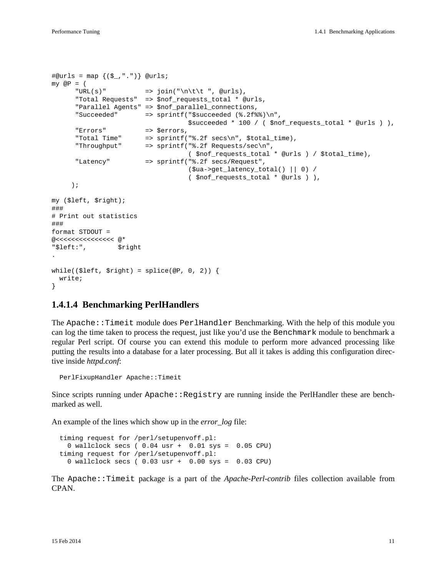```
\#@urls = map \{(S_-, ".^")\} @urls;my \t QP = ("URL(s)" => join("\n\t\t ", @urls),
       "Total Requests" => $nof_requests_total * @urls,
       "Parallel Agents" => $nof_parallel_connections,
       "Succeeded" => sprintf("$succeeded (%.2f%%)\n",
                                      $succeeded * 100 / ( $nof_requests_total * @urls ) ),
      "Errors" => $errors,<br>"Total Time" => sprintf(<br>"Throughput" => sprintf(
                         \Rightarrow sprintf("%.2f secs\n", $total time),
       "Throughput" => sprintf("%.2f Requests/sec\n",
                                      ( $nof_requests_total * @urls ) / $total_time),
       "Latency" => sprintf("%.2f secs/Request",
                                      ($ua->get_latency_total() || 0) /
                                      ( $nof_requests_total * @urls ) ),
      );
my ($left, $right);
###
# Print out statistics
###
format STDOUT =
@<<<<<<<<<<<<< @*
"$left:", $right
.
while(($left, $right) = splice(@P, 0, 2)) {
   write;
}
```
#### **1.4.1.4 Benchmarking PerlHandlers**

The Apache::Timeit module does PerlHandler Benchmarking. With the help of this module you can log the time taken to process the request, just like you'd use the Benchmark module to benchmark a regular Perl script. Of course you can extend this module to perform more advanced processing like putting the results into a database for a later processing. But all it takes is adding this configuration directive inside *httpd.conf*:

PerlFixupHandler Apache::Timeit

Since scripts running under  $A$ pache:: $Registry$  are running inside the PerlHandler these are benchmarked as well.

An example of the lines which show up in the *error\_log* file:

```
 timing request for /perl/setupenvoff.pl:
  0 wallclock secs ( 0.04 usr + 0.01 sys = 0.05 CPU)
 timing request for /perl/setupenvoff.pl:
  0 wallclock secs ( 0.03 usr + 0.00 sys = 0.03 CPU)
```
The Apache::Timeit package is a part of the *Apache-Perl-contrib* files collection available from CPAN.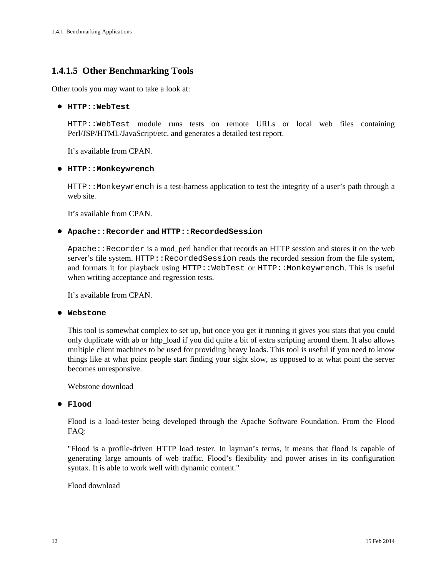## **1.4.1.5 Other Benchmarking Tools**

Other tools you may want to take a look at:

#### **HTTP::WebTest**

HTTP::WebTest module runs tests on remote URLs or local web files containing Perl/JSP/HTML/JavaScript/etc. and generates a detailed test report.

It's available from CPAN.

#### **HTTP::Monkeywrench**

HTTP::Monkeywrench is a test-harness application to test the integrity of a user's path through a web site.

It's available from CPAN.

#### **Apache::Recorder and HTTP::RecordedSession**

 $A$ pache::Recorder is a mod perl handler that records an HTTP session and stores it on the web server's file system. HTTP::RecordedSession reads the recorded session from the file system, and formats it for playback using HTTP:: WebTest or HTTP:: Monkeywrench. This is useful when writing acceptance and regression tests.

It's available from CPAN.

#### **Webstone**

This tool is somewhat complex to set up, but once you get it running it gives you stats that you could only duplicate with ab or http\_load if you did quite a bit of extra scripting around them. It also allows multiple client machines to be used for providing heavy loads. This tool is useful if you need to know things like at what point people start finding your sight slow, as opposed to at what point the server becomes unresponsive.

Webstone download

#### **Flood**

Flood is a load-tester being developed through the Apache Software Foundation. From the Flood FAQ:

"Flood is a profile-driven HTTP load tester. In layman's terms, it means that flood is capable of generating large amounts of web traffic. Flood's flexibility and power arises in its configuration syntax. It is able to work well with dynamic content."

#### Flood download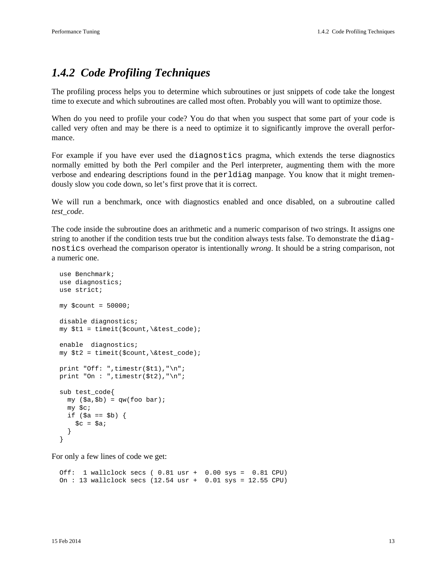# *1.4.2 Code Profiling Techniques*

The profiling process helps you to determine which subroutines or just snippets of code take the longest time to execute and which subroutines are called most often. Probably you will want to optimize those.

When do you need to profile your code? You do that when you suspect that some part of your code is called very often and may be there is a need to optimize it to significantly improve the overall performance.

For example if you have ever used the diagnostics pragma, which extends the terse diagnostics normally emitted by both the Perl compiler and the Perl interpreter, augmenting them with the more verbose and endearing descriptions found in the perldiag manpage. You know that it might tremendously slow you code down, so let's first prove that it is correct.

We will run a benchmark, once with diagnostics enabled and once disabled, on a subroutine called *test\_code*.

The code inside the subroutine does an arithmetic and a numeric comparison of two strings. It assigns one string to another if the condition tests true but the condition always tests false. To demonstrate the diagnostics overhead the comparison operator is intentionally *wrong*. It should be a string comparison, not a numeric one.

```
 use Benchmark;
 use diagnostics;
 use strict;
my $count = 50000;
 disable diagnostics;
 my $t1 = timeit($count,\&test_code);
 enable diagnostics;
 my $t2 = timeit($count,\&test_code);
 print "Off: ",timestr($t1),"\n";
print "On : ", timestr($t2), "\n";
 sub test_code{
  my (sa, sb) = gw(foo bar); my $c;
  if (\$a == $b) {
    \zeta c = \zeta a; }
 }
```
For only a few lines of code we get:

 Off: 1 wallclock secs ( 0.81 usr + 0.00 sys = 0.81 CPU) On : 13 wallclock secs (12.54 usr + 0.01 sys = 12.55 CPU)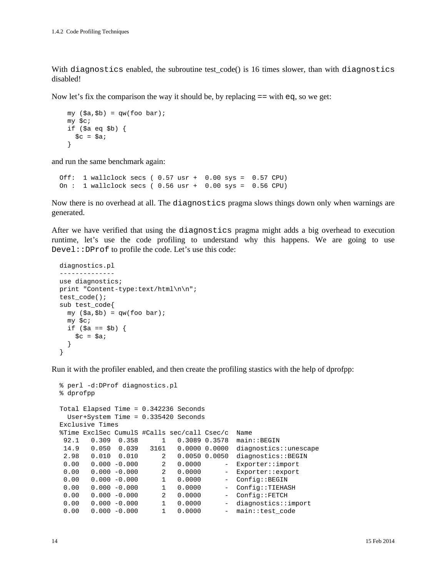With diagnostics enabled, the subroutine test  $code()$  is 16 times slower, than with diagnostics disabled!

Now let's fix the comparison the way it should be, by replacing  $=$  = with  $\epsilon q$ , so we get:

```
my (sa, sb) = gw(foo bar); my $c;
 if ($a eq $b) {
  \zeta_c = \zeta_a;
 }
```
and run the same benchmark again:

```
 Off: 1 wallclock secs ( 0.57 usr + 0.00 sys = 0.57 CPU)
 On : 1 wallclock secs ( 0.56 usr + 0.00 sys = 0.56 CPU)
```
Now there is no overhead at all. The diagnostics pragma slows things down only when warnings are generated.

After we have verified that using the diagnostics pragma might adds a big overhead to execution runtime, let's use the code profiling to understand why this happens. We are going to use Devel::DProf to profile the code. Let's use this code:

```
 diagnostics.pl
 --------------
 use diagnostics;
 print "Content-type:text/html\n\n";
 test_code();
 sub test_code{
 my (§a,§b) = qw (foo bar);
  my $c;
  if (sa == sb) {
    \zeta_c = \zeta_a;
   }
 }
```
Run it with the profiler enabled, and then create the profiling stastics with the help of dprofpp:

```
 % perl -d:DProf diagnostics.pl
 % dprofpp
 Total Elapsed Time = 0.342236 Seconds
   User+System Time = 0.335420 Seconds
 Exclusive Times
 %Time ExclSec CumulS #Calls sec/call Csec/c Name
92.1  0.309  0.358  1  0.3089  0.3578  main::BEGIN
  14.9 0.050 0.039 3161 0.0000 0.0000 diagnostics::unescape
2.98  0.010  0.010  2  0.0050  0.0050  diagnostics::BEGIN<br>0.00  0.000  -0.000  2  0.0000  - Exporter::import
        0.000 -0.000  2  0.0000  - Exporter::import<br>0.000 -0.000  2  0.0000  - Exporter::export
 0.00 0.000 -0.000 2 0.0000 - Exporter::export<br>0.00 0.000 -0.000 1 0.0000 - Config::BEGIN
 0.00  0.000  -0.000  1  0.0000  - Config::BEGIN<br>0.00  0.000  -0.000  1  0.0000  - Config::TIEHA
 0.00 0.000 -0.000 1 0.0000 - Config::TIEHASH 0.00 0.000 -0.000 2 0.0000 - Config::FETCH
 0.00 0.000 -0.000 2 0.0000 - Config::FETCH<br>0.00 0.000 -0.000 1 0.0000 - diagnostics::
                              1 0.0000 - diagnostics::import
 0.00  0.000  -0.000  1  0.0000  - main::test_code
```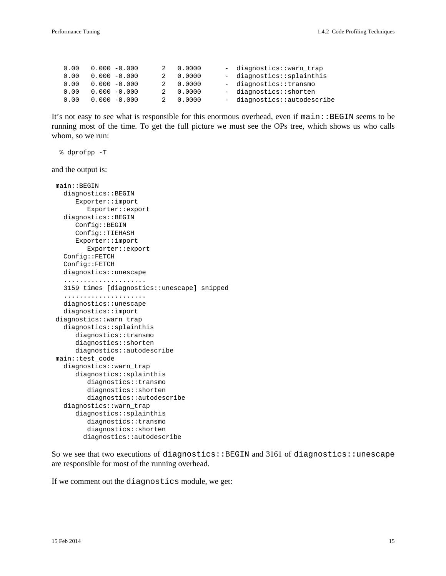| 0.00 | $0.000 - 0.000$ | 2 | 0.0000   | - diagnostics::warn trap    |
|------|-----------------|---|----------|-----------------------------|
| 0.00 | $0.000 - 0.000$ |   | 2 0.0000 | - diagnostics::splainthis   |
| 0.00 | $0.000 - 0.000$ |   | 2 0.0000 | - diagnostics::transmo      |
| 0.00 | $0.000 - 0.000$ |   | 2 0.0000 | - diagnostics::shorten      |
| 0.00 | $0.000 - 0.000$ |   | 2 0.0000 | - diagnostics::autodescribe |

It's not easy to see what is responsible for this enormous overhead, even if  $\text{main}$ : : BEGIN seems to be running most of the time. To get the full picture we must see the OPs tree, which shows us who calls whom, so we run:

% dprofpp -T

and the output is:

```
 main::BEGIN
   diagnostics::BEGIN
      Exporter::import
         Exporter::export
   diagnostics::BEGIN
      Config::BEGIN
      Config::TIEHASH
      Exporter::import
         Exporter::export
   Config::FETCH
   Config::FETCH
   diagnostics::unescape
   .....................
   3159 times [diagnostics::unescape] snipped
   .....................
   diagnostics::unescape
   diagnostics::import
 diagnostics::warn_trap
   diagnostics::splainthis
      diagnostics::transmo
      diagnostics::shorten
      diagnostics::autodescribe
 main::test_code
   diagnostics::warn_trap
      diagnostics::splainthis
         diagnostics::transmo
         diagnostics::shorten
         diagnostics::autodescribe
   diagnostics::warn_trap
      diagnostics::splainthis
         diagnostics::transmo
         diagnostics::shorten
        diagnostics::autodescribe
```
So we see that two executions of diagnostics::BEGIN and 3161 of diagnostics::unescape are responsible for most of the running overhead.

If we comment out the diagnostics module, we get: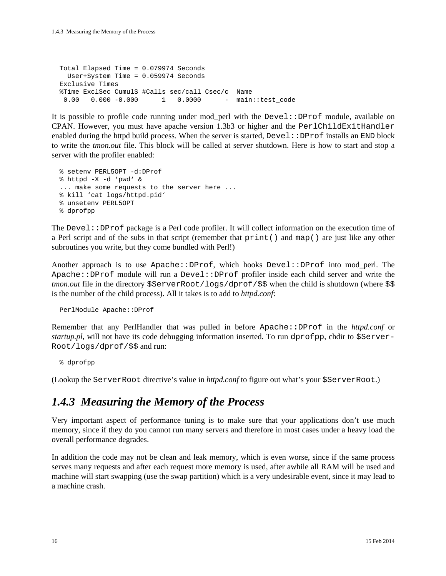Total Elapsed Time = 0.079974 Seconds User+System Time = 0.059974 Seconds Exclusive Times %Time ExclSec CumulS #Calls sec/call Csec/c Name 0.00 0.000 -0.000 1 0.0000 - main::test\_code

It is possible to profile code running under mod\_perl with the Devel::DProf module, available on CPAN. However, you must have apache version 1.3b3 or higher and the PerlChildExitHandler enabled during the httpd build process. When the server is started,  $Devel::DProf$  installs an END block to write the *tmon.out* file. This block will be called at server shutdown. Here is how to start and stop a server with the profiler enabled:

```
 % setenv PERL5OPT -d:DProf
 % httpd -X -d 'pwd' &
 ... make some requests to the server here ...
 % kill 'cat logs/httpd.pid'
 % unsetenv PERL5OPT
 % dprofpp
```
The Devel::DProf package is a Perl code profiler. It will collect information on the execution time of a Perl script and of the subs in that script (remember that print() and map() are just like any other subroutines you write, but they come bundled with Perl!)

Another approach is to use Apache::DProf, which hooks Devel::DProf into mod\_perl. The Apache::DProf module will run a Devel::DProf profiler inside each child server and write the *tmon.out* file in the directory \$ServerRoot/logs/dprof/\$\$ when the child is shutdown (where \$\$ is the number of the child process). All it takes is to add to *httpd.conf*:

PerlModule Apache::DProf

Remember that any PerlHandler that was pulled in before Apache::DProf in the *httpd.conf* or *startup.pl*, will not have its code debugging information inserted. To run dprofpp, chdir to \$Server-Root/logs/dprof/\$\$ and run:

% dprofpp

(Lookup the ServerRoot directive's value in *httpd.conf* to figure out what's your \$ServerRoot.)

## *1.4.3 Measuring the Memory of the Process*

Very important aspect of performance tuning is to make sure that your applications don't use much memory, since if they do you cannot run many servers and therefore in most cases under a heavy load the overall performance degrades.

In addition the code may not be clean and leak memory, which is even worse, since if the same process serves many requests and after each request more memory is used, after awhile all RAM will be used and machine will start swapping (use the swap partition) which is a very undesirable event, since it may lead to a machine crash.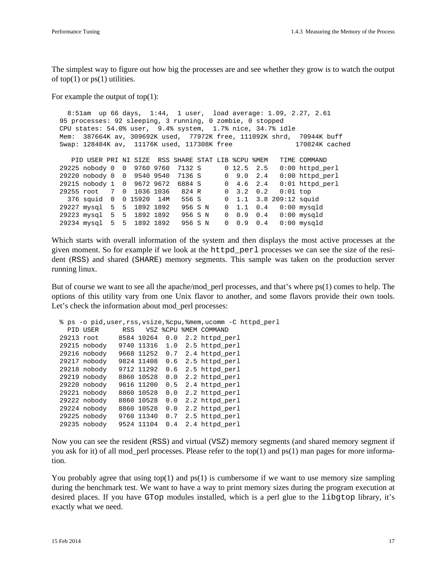The simplest way to figure out how big the processes are and see whether they grow is to watch the output of top(1) or  $ps(1)$  utilities.

For example the output of top(1):

```
 8:51am up 66 days, 1:44, 1 user, load average: 1.09, 2.27, 2.61
  95 processes: 92 sleeping, 3 running, 0 zombie, 0 stopped
  CPU states: 54.0% user, 9.4% system, 1.7% nice, 34.7% idle
  Mem: 387664K av, 309692K used, 77972K free, 111092K shrd, 70944K buff
  Swap: 128484K av, 11176K used, 117308K free 170824K cached
     PID USER PRI NI SIZE RSS SHARE STAT LIB %CPU %MEM TIME COMMAND
 29225 nobody 0 0 9760 9760 7132 S 0 12.5 2.5 0:00 httpd_perl<br>29220 nobody 0 0 9540 9540 7136 S 0 9.0 2.4 0:00 httpd_perl
 29220 nobody 0 0 9540 9540 7136 S 0 9.0 2.4 0:00 httpd_perl
 29215 nobody 1 0 9672 9672 6884 S 0 4.6 2.4 0:01 httpd_perl
 29255 root 7 0 1036 1036 824 R 0 3.2 0.2 0:01 top
 376 squid 0 0 15920 14M 556 S 0 1.1 3.8 209:12 squid
 29227 mysql 5 5 1892 1892 956 S N 0 1.1 0.4 0:00 mysqld
 29223 mysql 5 5 1892 1892 956 S N 0 0.9 0.4 0:00 mysqld
  29234 mysql 5 5 1892 1892 956 S N 0 0.9 0.4 0:00 mysqld
```
Which starts with overall information of the system and then displays the most active processes at the given moment. So for example if we look at the httpd\_perl processes we can see the size of the resident (RSS) and shared (SHARE) memory segments. This sample was taken on the production server running linux.

But of course we want to see all the apache/mod\_perl processes, and that's where ps(1) comes to help. The options of this utility vary from one Unix flavor to another, and some flavors provide their own tools. Let's check the information about mod\_perl processes:

```
 % ps -o pid,user,rss,vsize,%cpu,%mem,ucomm -C httpd_perl
   PID USER RSS VSZ %CPU %MEM COMMAND
  29213 root 8584 10264 0.0 2.2 httpd_perl
  29215 nobody 9740 11316 1.0 2.5 httpd_perl
 29216 nobody 9668 11252 0.7 2.4 httpd_perl
 29217 nobody 9824 11408 0.6 2.5 httpd_perl
  29218 nobody 9712 11292 0.6 2.5 httpd_perl
  29219 nobody 8860 10528 0.0 2.2 httpd_perl
  29220 nobody 9616 11200 0.5 2.4 httpd_perl
  29221 nobody 8860 10528 0.0 2.2 httpd_perl
  29222 nobody 8860 10528 0.0 2.2 httpd_perl
  29224 nobody 8860 10528 0.0 2.2 httpd_perl
  29225 nobody 9760 11340 0.7 2.5 httpd_perl
  29235 nobody 9524 11104 0.4 2.4 httpd_perl
```
Now you can see the resident (RSS) and virtual (VSZ) memory segments (and shared memory segment if you ask for it) of all mod\_perl processes. Please refer to the top(1) and ps(1) man pages for more information.

You probably agree that using top(1) and  $ps(1)$  is cumbersome if we want to use memory size sampling during the benchmark test. We want to have a way to print memory sizes during the program execution at desired places. If you have GTop modules installed, which is a perl glue to the libgtop library, it's exactly what we need.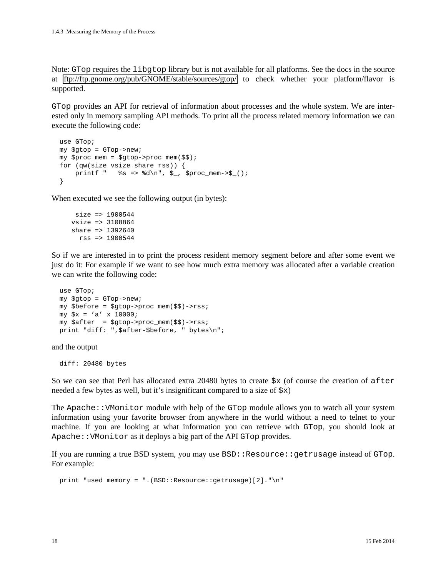Note: GTop requires the libgtop library but is not available for all platforms. See the docs in the source at <ftp://ftp.gnome.org/pub/GNOME/stable/sources/gtop/>to check whether your platform/flavor is supported.

GTop provides an API for retrieval of information about processes and the whole system. We are interested only in memory sampling API methods. To print all the process related memory information we can execute the following code:

```
 use GTop;
 my $gtop = GTop->new;
 my $proc_mem = $gtop->proc_mem($$);
 for (qw(size vsize share rss)) {
    printf " %s => %d\n", \zeta , $proc_mem->\zeta ();
 }
```
When executed we see the following output (in bytes):

```
 size => 1900544
 vsize => 3108864
 share => 1392640
  rss => 1900544
```
So if we are interested in to print the process resident memory segment before and after some event we just do it: For example if we want to see how much extra memory was allocated after a variable creation we can write the following code:

```
 use GTop;
 my $gtop = GTop->new;
 my $before = $gtop->proc_mem($$)->rss;
my $x = 'a' \ x 10000; my $after = $gtop->proc_mem($$)->rss;
 print "diff: ",$after-$before, " bytes\n";
```
and the output

diff: 20480 bytes

So we can see that Perl has allocated extra 20480 bytes to create  $\frac{5x}{x}$  (of course the creation of after needed a few bytes as well, but it's insignificant compared to a size of  $\zeta x$ )

The Apache::VMonitor module with help of the GTop module allows you to watch all your system information using your favorite browser from anywhere in the world without a need to telnet to your machine. If you are looking at what information you can retrieve with GTop, you should look at Apache::VMonitor as it deploys a big part of the API GTop provides.

If you are running a true BSD system, you may use BSD::Resource::getrusage instead of GTop. For example:

print "used memory = ".(BSD::Resource::getrusage)[2]."\n"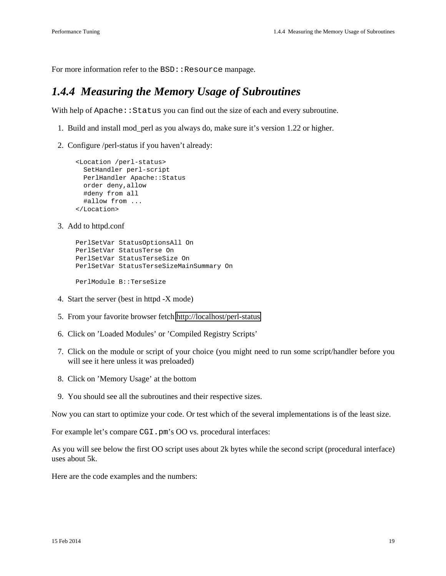For more information refer to the BSD: : Resource manpage.

## *1.4.4 Measuring the Memory Usage of Subroutines*

With help of Apache: : Status you can find out the size of each and every subroutine.

- 1. Build and install mod\_perl as you always do, make sure it's version 1.22 or higher.
- 2. Configure /perl-status if you haven't already:

```
 <Location /perl-status>
  SetHandler perl-script
  PerlHandler Apache::Status
  order deny,allow
  #deny from all
  #allow from ...
 </Location>
```
3. Add to httpd.conf

```
 PerlSetVar StatusOptionsAll On
 PerlSetVar StatusTerse On
 PerlSetVar StatusTerseSize On
 PerlSetVar StatusTerseSizeMainSummary On
 PerlModule B::TerseSize
```
- 4. Start the server (best in httpd -X mode)
- 5. From your favorite browser fetch<http://localhost/perl-status>
- 6. Click on 'Loaded Modules' or 'Compiled Registry Scripts'
- 7. Click on the module or script of your choice (you might need to run some script/handler before you will see it here unless it was preloaded)
- 8. Click on 'Memory Usage' at the bottom
- 9. You should see all the subroutines and their respective sizes.

Now you can start to optimize your code. Or test which of the several implementations is of the least size.

For example let's compare CGI.pm's OO vs. procedural interfaces:

As you will see below the first OO script uses about 2k bytes while the second script (procedural interface) uses about 5k.

Here are the code examples and the numbers: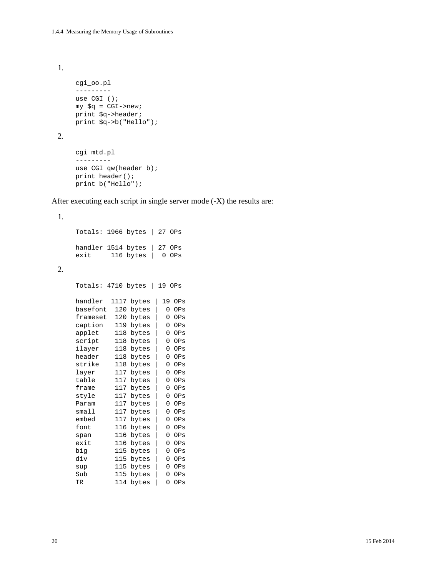1.

```
 cgi_oo.pl
 ---------
 use CGI ();
 my $q = CGI->new;
 print $q->header;
 print $q->b("Hello");
```
2.

1.

2.

```
 cgi_mtd.pl
 ---------
use CGI qw(header b);
 print header();
 print b("Hello");
```
After executing each script in single server mode (-X) the results are:

```
 Totals: 1966 bytes | 27 OPs
 handler 1514 bytes | 27 OPs
 exit 116 bytes | 0 OPs
 Totals: 4710 bytes | 19 OPs
 handler 1117 bytes | 19 OPs
 basefont 120 bytes | 0 OPs
 frameset 120 bytes | 0 OPs
 caption 119 bytes | 0 OPs
 applet 118 bytes | 0 OPs
script 118 bytes | 0 OPs
 ilayer 118 bytes | 0 OPs
 header 118 bytes | 0 OPs
 strike 118 bytes | 0 OPs
layer 117 \text{ bytes} 0 OPs
 table 117 bytes | 0 OPs
frame 117 bytes | 0 OPs<br>style 117 bytes | 0 OPs
 style 117 bytes | 0 OPs
        117 bytes | 0 OPs
small 117 bytes | 0 OPs
 embed 117 bytes | 0 OPs
 font 116 bytes | 0 OPs
 span 116 bytes | 0 OPs
 exit 116 bytes | 0 OPs
 big 115 bytes | 0 OPs
 div 115 bytes | 0 OPs
 sup 115 bytes | 0 OPs
 Sub 115 bytes | 0 OPs
 TR 114 bytes | 0 OPs
```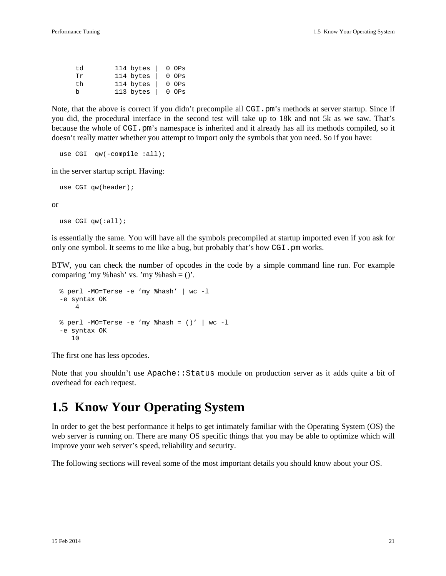| t.d | 114 bytes $ $ |  | $0$ $OPs$  |
|-----|---------------|--|------------|
| Tr  | 114 bytes     |  | $0$ $0$ Ps |
| th  | 114 bytes     |  | $0$ $0$ Ps |
| b   | 113 bytes     |  | $0$ $0$ Ps |

Note, that the above is correct if you didn't precompile all CGI.pm's methods at server startup. Since if you did, the procedural interface in the second test will take up to 18k and not 5k as we saw. That's because the whole of CGI. pm's namespace is inherited and it already has all its methods compiled, so it doesn't really matter whether you attempt to import only the symbols that you need. So if you have:

```
use CGI qw(-compile :all);
```
in the server startup script. Having:

```
use CGI qw(header);
```
or

use CGI qw(:all);

is essentially the same. You will have all the symbols precompiled at startup imported even if you ask for only one symbol. It seems to me like a bug, but probably that's how CGI.pm works.

BTW, you can check the number of opcodes in the code by a simple command line run. For example comparing 'my %hash' vs. 'my %hash  $=$  ()'.

```
 % perl -MO=Terse -e 'my %hash' | wc -l
 -e syntax OK
     4
\text{Perl} -MO=Terse -e 'my \text{hash} = ()' | wc -l
 -e syntax OK
    10
```
The first one has less opcodes.

Note that you shouldn't use Apache::Status module on production server as it adds quite a bit of overhead for each request.

# **1.5 Know Your Operating System**

In order to get the best performance it helps to get intimately familiar with the Operating System (OS) the web server is running on. There are many OS specific things that you may be able to optimize which will improve your web server's speed, reliability and security.

The following sections will reveal some of the most important details you should know about your OS.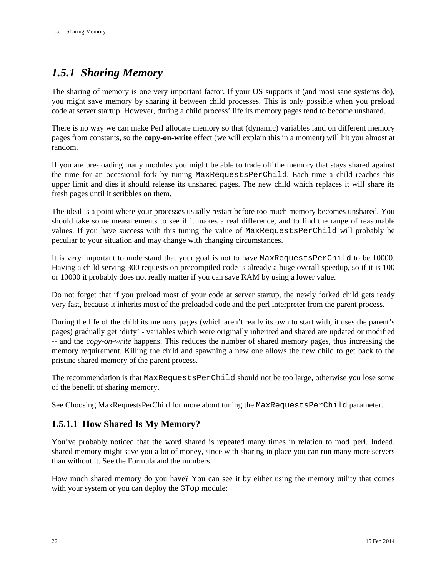# *1.5.1 Sharing Memory*

The sharing of memory is one very important factor. If your OS supports it (and most sane systems do), you might save memory by sharing it between child processes. This is only possible when you preload code at server startup. However, during a child process' life its memory pages tend to become unshared.

There is no way we can make Perl allocate memory so that (dynamic) variables land on different memory pages from constants, so the **copy-on-write** effect (we will explain this in a moment) will hit you almost at random.

If you are pre-loading many modules you might be able to trade off the memory that stays shared against the time for an occasional fork by tuning MaxRequestsPerChild. Each time a child reaches this upper limit and dies it should release its unshared pages. The new child which replaces it will share its fresh pages until it scribbles on them.

The ideal is a point where your processes usually restart before too much memory becomes unshared. You should take some measurements to see if it makes a real difference, and to find the range of reasonable values. If you have success with this tuning the value of MaxRequestsPerChild will probably be peculiar to your situation and may change with changing circumstances.

It is very important to understand that your goal is not to have MaxRequestsPerChild to be 10000. Having a child serving 300 requests on precompiled code is already a huge overall speedup, so if it is 100 or 10000 it probably does not really matter if you can save RAM by using a lower value.

Do not forget that if you preload most of your code at server startup, the newly forked child gets ready very fast, because it inherits most of the preloaded code and the perl interpreter from the parent process.

During the life of the child its memory pages (which aren't really its own to start with, it uses the parent's pages) gradually get 'dirty' - variables which were originally inherited and shared are updated or modified -- and the *copy-on-write* happens. This reduces the number of shared memory pages, thus increasing the memory requirement. Killing the child and spawning a new one allows the new child to get back to the pristine shared memory of the parent process.

The recommendation is that MaxRequestsPerChild should not be too large, otherwise you lose some of the benefit of sharing memory.

See Choosing MaxRequestsPerChild for more about tuning the MaxRequestsPerChild parameter.

### **1.5.1.1 How Shared Is My Memory?**

You've probably noticed that the word shared is repeated many times in relation to mod\_perl. Indeed, shared memory might save you a lot of money, since with sharing in place you can run many more servers than without it. See the Formula and the numbers.

How much shared memory do you have? You can see it by either using the memory utility that comes with your system or you can deploy the GTop module: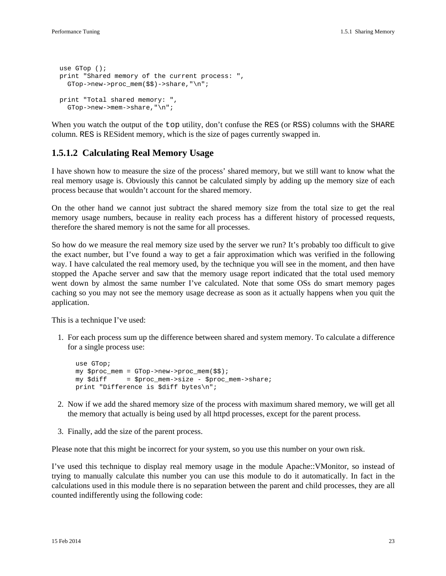```
 use GTop ();
 print "Shared memory of the current process: ",
   GTop->new->proc_mem($$)->share,"\n";
 print "Total shared memory: ",
   GTop->new->mem->share,"\n";
```
When you watch the output of the top utility, don't confuse the RES (or RSS) columns with the SHARE column. RES is RESident memory, which is the size of pages currently swapped in.

### **1.5.1.2 Calculating Real Memory Usage**

I have shown how to measure the size of the process' shared memory, but we still want to know what the real memory usage is. Obviously this cannot be calculated simply by adding up the memory size of each process because that wouldn't account for the shared memory.

On the other hand we cannot just subtract the shared memory size from the total size to get the real memory usage numbers, because in reality each process has a different history of processed requests, therefore the shared memory is not the same for all processes.

So how do we measure the real memory size used by the server we run? It's probably too difficult to give the exact number, but I've found a way to get a fair approximation which was verified in the following way. I have calculated the real memory used, by the technique you will see in the moment, and then have stopped the Apache server and saw that the memory usage report indicated that the total used memory went down by almost the same number I've calculated. Note that some OSs do smart memory pages caching so you may not see the memory usage decrease as soon as it actually happens when you quit the application.

This is a technique I've used:

1. For each process sum up the difference between shared and system memory. To calculate a difference for a single process use:

```
 use GTop;
 my $proc_mem = GTop->new->proc_mem($$);
 my $diff = $proc_mem->size - $proc_mem->share;
 print "Difference is $diff bytes\n";
```
- 2. Now if we add the shared memory size of the process with maximum shared memory, we will get all the memory that actually is being used by all httpd processes, except for the parent process.
- 3. Finally, add the size of the parent process.

Please note that this might be incorrect for your system, so you use this number on your own risk.

I've used this technique to display real memory usage in the module Apache::VMonitor, so instead of trying to manually calculate this number you can use this module to do it automatically. In fact in the calculations used in this module there is no separation between the parent and child processes, they are all counted indifferently using the following code: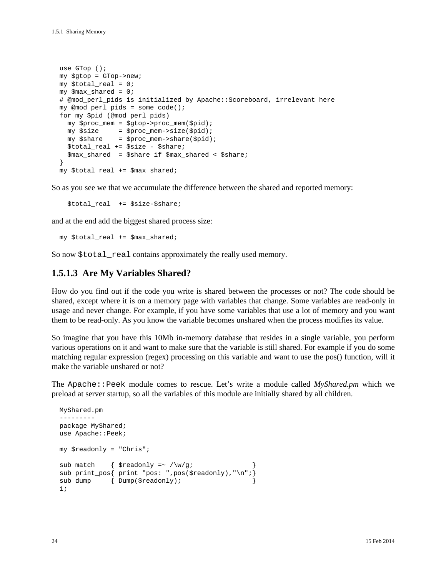```
 use GTop ();
 my $gtop = GTop->new;
 my $total_real = 0;
 my $max_shared = 0;
 # @mod_perl_pids is initialized by Apache::Scoreboard, irrelevant here
 my @mod_perl_pids = some_code();
 for my $pid (@mod_perl_pids)
   my $proc_mem = $gtop->proc_mem($pid);
   my $size = $proc_mem->size($pid);
   my $share = $proc_mem->share($pid);
   $total_real += $size - $share;
   $max_shared = $share if $max_shared < $share;
 }
 my $total_real += $max_shared;
```
So as you see we that we accumulate the difference between the shared and reported memory:

\$total\_real += \$size-\$share;

and at the end add the biggest shared process size:

my \$total\_real += \$max\_shared;

So now \$total\_real contains approximately the really used memory.

#### **1.5.1.3 Are My Variables Shared?**

How do you find out if the code you write is shared between the processes or not? The code should be shared, except where it is on a memory page with variables that change. Some variables are read-only in usage and never change. For example, if you have some variables that use a lot of memory and you want them to be read-only. As you know the variable becomes unshared when the process modifies its value.

So imagine that you have this 10Mb in-memory database that resides in a single variable, you perform various operations on it and want to make sure that the variable is still shared. For example if you do some matching regular expression (regex) processing on this variable and want to use the pos() function, will it make the variable unshared or not?

The Apache::Peek module comes to rescue. Let's write a module called *MyShared.pm* which we preload at server startup, so all the variables of this module are initially shared by all children.

```
 MyShared.pm
 ---------
 package MyShared;
 use Apache::Peek;
 my $readonly = "Chris";
sub match { $readonly = ~ / \w/g;
 sub print_pos{ print "pos: ",pos($readonly),"\n";}
sub dump { Dump($readonly);
 1;
```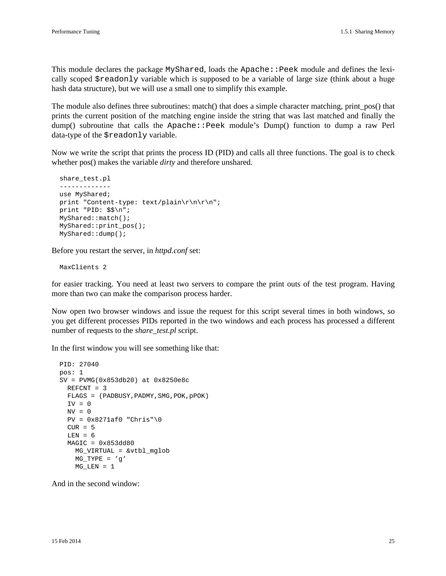This module declares the package MyShared, loads the Apache:: Peek module and defines the lexically scoped \$readonly variable which is supposed to be a variable of large size (think about a huge hash data structure), but we will use a small one to simplify this example.

The module also defines three subroutines: match() that does a simple character matching, print\_pos() that prints the current position of the matching engine inside the string that was last matched and finally the dump() subroutine that calls the Apache::Peek module's Dump() function to dump a raw Perl data-type of the \$readonly variable.

Now we write the script that prints the process ID (PID) and calls all three functions. The goal is to check whether pos() makes the variable *dirty* and therefore unshared.

```
share test.pl
 -------------
 use MyShared;
print "Content-type: text/plain\r\n\r\n";
 print "PID: $$\n";
 MyShared::match();
 MyShared::print_pos();
 MyShared::dump();
```
Before you restart the server, in *httpd.conf* set:

MaxClients 2

for easier tracking. You need at least two servers to compare the print outs of the test program. Having more than two can make the comparison process harder.

Now open two browser windows and issue the request for this script several times in both windows, so you get different processes PIDs reported in the two windows and each process has processed a different number of requests to the *share\_test.pl* script.

In the first window you will see something like that:

```
 PID: 27040
 pos: 1
 SV = PVMG(0x853db20) at 0x8250e8c
  REFCNT = 3
  FLAGS = (PADBUSY, PADMY, SMG, POK, PPOK)
 IV = 0NV = 0PV = 0x8271af0 "Chris"\0
 CUR = 5LEN = 6MAGIC = 0x853d d80 MG_VIRTUAL = &vtbl_mglob
    MG_TYPE = 'q'MG LEN = 1
```
And in the second window: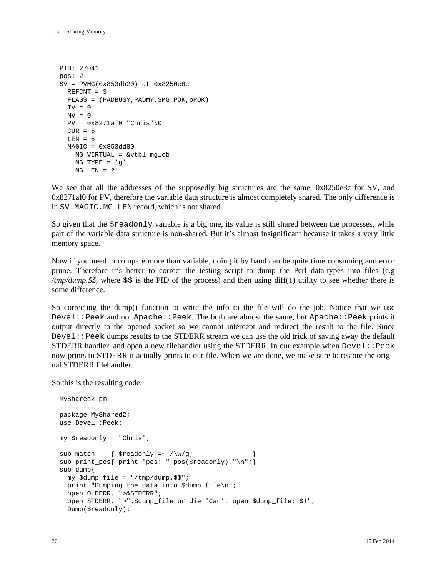```
 PID: 27041
 pos: 2
 SV = PVMG(0x853db20) at 0x8250e8c
  REFCNT = 3
  FLAGS = (PADBUSY, PADMY, SMG, POK, pPOK)
  TV = 0NV = 0PV = 0x8271af0 "Chris"\0
  CUIR = 5LEN = 6MAGIC = 0x853d d80 MG_VIRTUAL = &vtbl_mglob
    MG_TYPE = 'q'MG LEN = 2
```
We see that all the addresses of the supposedly big structures are the same,  $0x8250e8c$  for SV, and 0x8271af0 for PV, therefore the variable data structure is almost completely shared. The only difference is in SV.MAGIC.MG\_LEN record, which is not shared.

So given that the \$readonly variable is a big one, its value is still shared between the processes, while part of the variable data structure is non-shared. But it's almost insignificant because it takes a very little memory space.

Now if you need to compare more than variable, doing it by hand can be quite time consuming and error prune. Therefore it's better to correct the testing script to dump the Perl data-types into files (e.g */tmp/dump.\$\$*, where \$\$ is the PID of the process) and then using diff(1) utility to see whether there is some difference.

So correcting the dump() function to write the info to the file will do the job. Notice that we use Devel::Peek and not Apache::Peek. The both are almost the same, but Apache::Peek prints it output directly to the opened socket so we cannot intercept and redirect the result to the file. Since Devel::Peek dumps results to the STDERR stream we can use the old trick of saving away the default STDERR handler, and open a new filehandler using the STDERR. In our example when  $Devel$ : Peek now prints to STDERR it actually prints to our file. When we are done, we make sure to restore the original STDERR filehandler.

So this is the resulting code:

```
 MyShared2.pm
 ---------
 package MyShared2;
 use Devel::Peek;
 my $readonly = "Chris";
sub match { $ready = ~ / \w/q;
 sub print_pos{ print "pos: ",pos($readonly),"\n";}
 sub dump{
 my \text{dump file} = \text{"tmp/dump}.$$";
   print "Dumping the data into $dump_file\n";
   open OLDERR, ">&STDERR";
   open STDERR, ">".$dump_file or die "Can't open $dump_file: $!";
   Dump($readonly);
```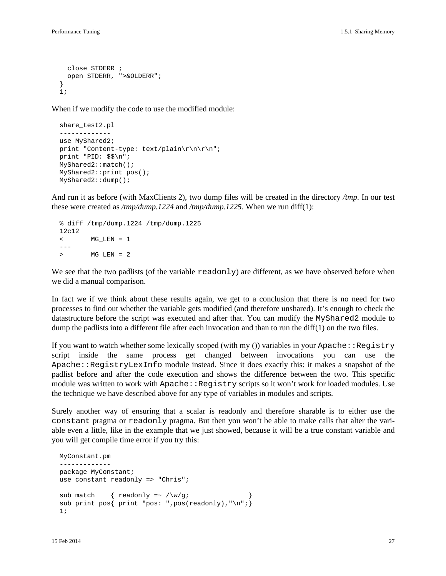```
 close STDERR ;
     open STDERR, ">&OLDERR";
 }
  1;
```
When if we modify the code to use the modified module:

```
 share_test2.pl
 -------------
 use MyShared2;
 print "Content-type: text/plain\r\n\r\n";
 print "PID: $$\n";
 MyShared2::match();
 MyShared2::print_pos();
 MyShared2::dump();
```
And run it as before (with MaxClients 2), two dump files will be created in the directory */tmp*. In our test these were created as */tmp/dump.1224* and */tmp/dump.1225*. When we run diff(1):

```
 % diff /tmp/dump.1224 /tmp/dump.1225
 12c12
 < MG_LEN = 1
 ---
 > MG_LEN = 2
```
We see that the two padlists (of the variable readonly) are different, as we have observed before when we did a manual comparison.

In fact we if we think about these results again, we get to a conclusion that there is no need for two processes to find out whether the variable gets modified (and therefore unshared). It's enough to check the datastructure before the script was executed and after that. You can modify the MyShared2 module to dump the padlists into a different file after each invocation and than to run the diff(1) on the two files.

If you want to watch whether some lexically scoped (with my ()) variables in your  $\text{Apache}:$ Registry script inside the same process get changed between invocations you can use the Apache::RegistryLexInfo module instead. Since it does exactly this: it makes a snapshot of the padlist before and after the code execution and shows the difference between the two. This specific module was written to work with Apache: : Registry scripts so it won't work for loaded modules. Use the technique we have described above for any type of variables in modules and scripts.

Surely another way of ensuring that a scalar is readonly and therefore sharable is to either use the constant pragma or readonly pragma. But then you won't be able to make calls that alter the variable even a little, like in the example that we just showed, because it will be a true constant variable and you will get compile time error if you try this:

```
 MyConstant.pm
 -------------
 package MyConstant;
use constant readonly => "Chris";
sub match { readonly =~ /\sqrt{q};
sub print_pos{ print "pos: ",pos(readonly), "\n";}
 1;
```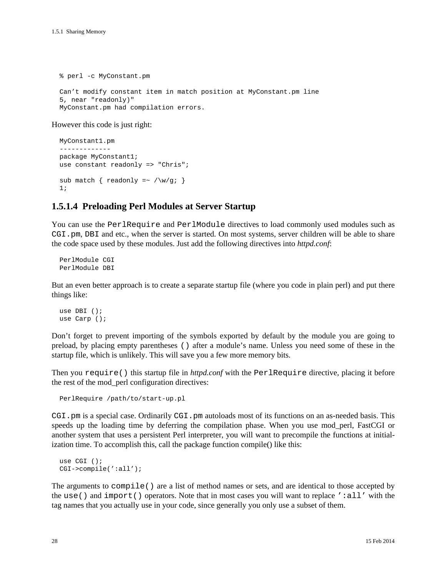% perl -c MyConstant.pm Can't modify constant item in match position at MyConstant.pm line 5, near "readonly)" MyConstant.pm had compilation errors.

However this code is just right:

```
 MyConstant1.pm
 -------------
 package MyConstant1;
use constant readonly => "Chris";
sub match { readonly =~ /\we{g}; }
 1;
```
### **1.5.1.4 Preloading Perl Modules at Server Startup**

You can use the PerlRequire and PerlModule directives to load commonly used modules such as CGI.pm, DBI and etc., when the server is started. On most systems, server children will be able to share the code space used by these modules. Just add the following directives into *httpd.conf*:

 PerlModule CGI PerlModule DBI

But an even better approach is to create a separate startup file (where you code in plain perl) and put there things like:

```
 use DBI ();
 use Carp ();
```
Don't forget to prevent importing of the symbols exported by default by the module you are going to preload, by placing empty parentheses () after a module's name. Unless you need some of these in the startup file, which is unlikely. This will save you a few more memory bits.

Then you require() this startup file in *httpd.conf* with the PerlRequire directive, placing it before the rest of the mod\_perl configuration directives:

```
 PerlRequire /path/to/start-up.pl
```
CGI.pm is a special case. Ordinarily CGI.pm autoloads most of its functions on an as-needed basis. This speeds up the loading time by deferring the compilation phase. When you use mod perl, FastCGI or another system that uses a persistent Perl interpreter, you will want to precompile the functions at initialization time. To accomplish this, call the package function compile() like this:

```
 use CGI ();
 CGI->compile(':all');
```
The arguments to compile() are a list of method names or sets, and are identical to those accepted by the use () and import () operators. Note that in most cases you will want to replace ':all' with the tag names that you actually use in your code, since generally you only use a subset of them.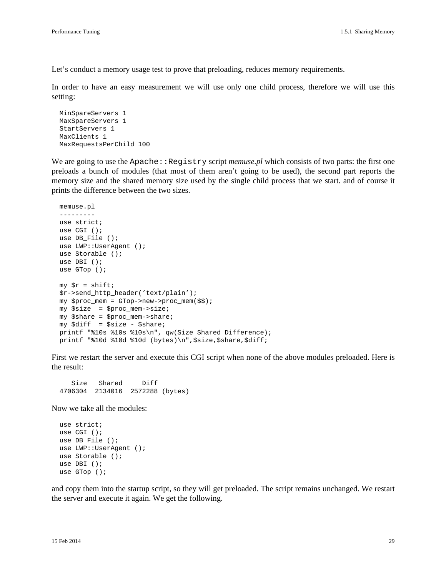Let's conduct a memory usage test to prove that preloading, reduces memory requirements.

In order to have an easy measurement we will use only one child process, therefore we will use this setting:

```
 MinSpareServers 1
 MaxSpareServers 1
 StartServers 1
 MaxClients 1
 MaxRequestsPerChild 100
```
We are going to use the Apache::Registry script *memuse.pl* which consists of two parts: the first one preloads a bunch of modules (that most of them aren't going to be used), the second part reports the memory size and the shared memory size used by the single child process that we start. and of course it prints the difference between the two sizes.

```
 memuse.pl
 ---------
 use strict;
 use CGI ();
 use DB_File ();
 use LWP::UserAgent ();
 use Storable ();
 use DBI ();
 use GTop ();
my \text{sr} = \text{shift};
 $r->send_http_header('text/plain');
 my $proc_mem = GTop->new->proc_mem($$);
 my $size = $proc_mem->size;
 my $share = $proc_mem->share;
 my $diff = $size - $share;
 printf "%10s %10s %10s\n", qw(Size Shared Difference);
printf "%10d %10d %10d (bytes)\n", $size, $share, $diff;
```
First we restart the server and execute this CGI script when none of the above modules preloaded. Here is the result:

 Size Shared Diff 4706304 2134016 2572288 (bytes)

Now we take all the modules:

```
 use strict;
 use CGI ();
 use DB_File ();
 use LWP::UserAgent ();
 use Storable ();
 use DBI ();
 use GTop ();
```
and copy them into the startup script, so they will get preloaded. The script remains unchanged. We restart the server and execute it again. We get the following.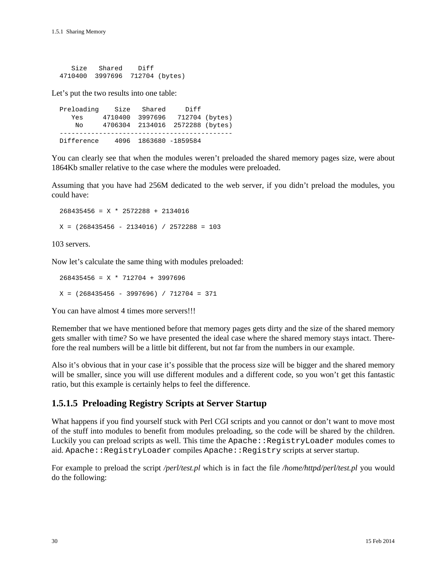| Size | Shared          | Diff |                |
|------|-----------------|------|----------------|
|      | 4710400 3997696 |      | 712704 (bytes) |

Let's put the two results into one table:

 Preloading Size Shared Diff Yes 4710400 3997696 712704 (bytes) No 4706304 2134016 2572288 (bytes) -------------------------------------------- Difference 4096 1863680 -1859584

You can clearly see that when the modules weren't preloaded the shared memory pages size, were about 1864Kb smaller relative to the case where the modules were preloaded.

Assuming that you have had 256M dedicated to the web server, if you didn't preload the modules, you could have:

 268435456 = X \* 2572288 + 2134016  $X = (268435456 - 2134016) / 2572288 = 103$ 

103 servers.

Now let's calculate the same thing with modules preloaded:

 268435456 = X \* 712704 + 3997696  $X = (268435456 - 3997696) / 712704 = 371$ 

You can have almost 4 times more servers!!!

Remember that we have mentioned before that memory pages gets dirty and the size of the shared memory gets smaller with time? So we have presented the ideal case where the shared memory stays intact. Therefore the real numbers will be a little bit different, but not far from the numbers in our example.

Also it's obvious that in your case it's possible that the process size will be bigger and the shared memory will be smaller, since you will use different modules and a different code, so you won't get this fantastic ratio, but this example is certainly helps to feel the difference.

#### **1.5.1.5 Preloading Registry Scripts at Server Startup**

What happens if you find yourself stuck with Perl CGI scripts and you cannot or don't want to move most of the stuff into modules to benefit from modules preloading, so the code will be shared by the children. Luckily you can preload scripts as well. This time the Apache::RegistryLoader modules comes to aid. Apache::RegistryLoader compiles Apache::Registry scripts at server startup.

For example to preload the script */perl/test.pl* which is in fact the file */home/httpd/perl/test.pl* you would do the following: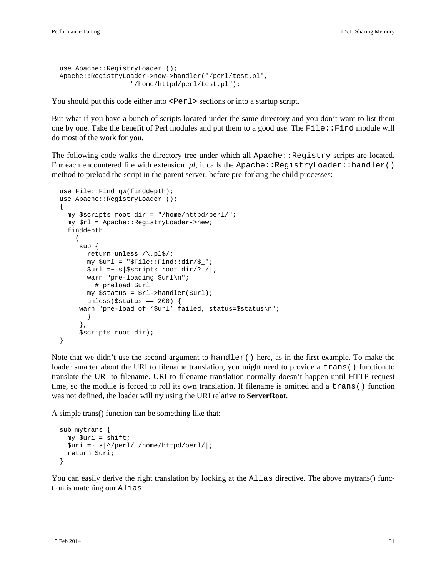```
use Apache::RegistryLoader ();
 Apache::RegistryLoader->new->handler("/perl/test.pl",
                   "/home/httpd/perl/test.pl");
```
You should put this code either into  $\leq$  Perl  $>$  sections or into a startup script.

But what if you have a bunch of scripts located under the same directory and you don't want to list them one by one. Take the benefit of Perl modules and put them to a good use. The File::Find module will do most of the work for you.

The following code walks the directory tree under which all Apache: : Registry scripts are located. For each encountered file with extension *.pl*, it calls the Apache::RegistryLoader::handler() method to preload the script in the parent server, before pre-forking the child processes:

```
use File::Find qw(finddepth);
  use Apache::RegistryLoader ();
 {
     my $scripts_root_dir = "/home/httpd/perl/";
     my $rl = Apache::RegistryLoader->new;
     finddepth
       (
        sub {
          return unless /\.pl$/;
          my $url = "$File::Find::dir/$_";
         \text{Surl} = \; | \text{Sscripts\_root\_dir} / | / | ; warn "pre-loading $url\n";
            # preload $url
          my $status = $rl->handler($url);
         unless($status == 200) {
       warn "pre-load of '$url' failed, status=$status\n";
          }
        },
        $scripts_root_dir);
   }
```
Note that we didn't use the second argument to handler() here, as in the first example. To make the loader smarter about the URI to filename translation, you might need to provide a trans() function to translate the URI to filename. URI to filename translation normally doesn't happen until HTTP request time, so the module is forced to roll its own translation. If filename is omitted and a trans() function was not defined, the loader will try using the URI relative to **ServerRoot**.

A simple trans() function can be something like that:

```
 sub mytrans {
  my Suri = shift;\frac{1}{2} =~ s|^/perl/|/home/httpd/perl/|;
   return $uri;
 }
```
You can easily derive the right translation by looking at the Alias directive. The above mytrans() function is matching our Alias: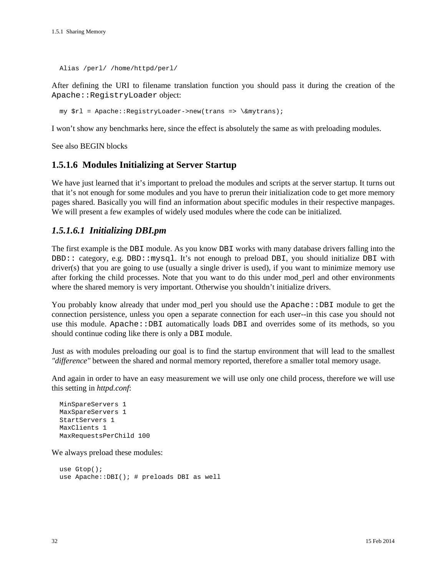Alias /perl/ /home/httpd/perl/

After defining the URI to filename translation function you should pass it during the creation of the Apache::RegistryLoader object:

my \$rl = Apache::RegistryLoader->new(trans => \&mytrans);

I won't show any benchmarks here, since the effect is absolutely the same as with preloading modules.

See also BEGIN blocks

#### **1.5.1.6 Modules Initializing at Server Startup**

We have just learned that it's important to preload the modules and scripts at the server startup. It turns out that it's not enough for some modules and you have to prerun their initialization code to get more memory pages shared. Basically you will find an information about specific modules in their respective manpages. We will present a few examples of widely used modules where the code can be initialized.

#### *1.5.1.6.1 Initializing DBI.pm*

The first example is the DBI module. As you know DBI works with many database drivers falling into the DBD:: category, e.g. DBD::mysql. It's not enough to preload DBI, you should initialize DBI with driver(s) that you are going to use (usually a single driver is used), if you want to minimize memory use after forking the child processes. Note that you want to do this under mod\_perl and other environments where the shared memory is very important. Otherwise you shouldn't initialize drivers.

You probably know already that under mod perl you should use the Apache::DBI module to get the connection persistence, unless you open a separate connection for each user--in this case you should not use this module. Apache::DBI automatically loads DBI and overrides some of its methods, so you should continue coding like there is only a DBI module.

Just as with modules preloading our goal is to find the startup environment that will lead to the smallest *"difference"* between the shared and normal memory reported, therefore a smaller total memory usage.

And again in order to have an easy measurement we will use only one child process, therefore we will use this setting in *httpd.conf*:

```
 MinSpareServers 1
 MaxSpareServers 1
 StartServers 1
 MaxClients 1
 MaxRequestsPerChild 100
```
We always preload these modules:

```
 use Gtop();
 use Apache::DBI(); # preloads DBI as well
```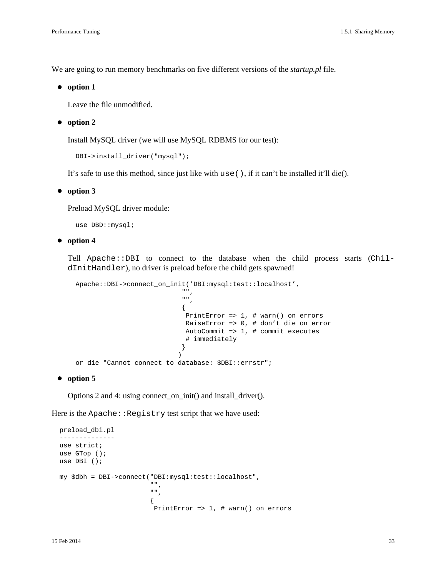We are going to run memory benchmarks on five different versions of the *startup.pl* file.

**option 1**

Leave the file unmodified.

**option 2**

Install MySQL driver (we will use MySQL RDBMS for our test):

```
 DBI->install_driver("mysql");
```
It's safe to use this method, since just like with use(), if it can't be installed it'll die().

#### **option 3**

Preload MySQL driver module:

use DBD::mysql;

#### **option 4**

Tell Apache::DBI to connect to the database when the child process starts  $(Chil$ dInitHandler), no driver is preload before the child gets spawned!

```
 Apache::DBI->connect_on_init('DBI:mysql:test::localhost',
 "",
 "",
\{ PrintError => 1, # warn() on errors
                    RaiseError => 0, # don't die on error
                    AutoCommit => 1, # commit executes
                    # immediately
 }
 )
  or die "Cannot connect to database: $DBI::errstr";
```
#### **option 5**

Options 2 and 4: using connect\_on\_init() and install\_driver().

Here is the Apache:: Registry test script that we have used:

```
 preload_dbi.pl
    --------------
   use strict;
   use GTop ();
   use DBI ();
   my $dbh = DBI->connect("DBI:mysql:test::localhost",
                                    \begin{array}{c} \begin{array}{c} \text{if } \text{if } \\ \text{if } \text{if } \\ \text{if } \text{if } \\ \end{array} \end{array} "",
\{ PrintError => 1, # warn() on errors
```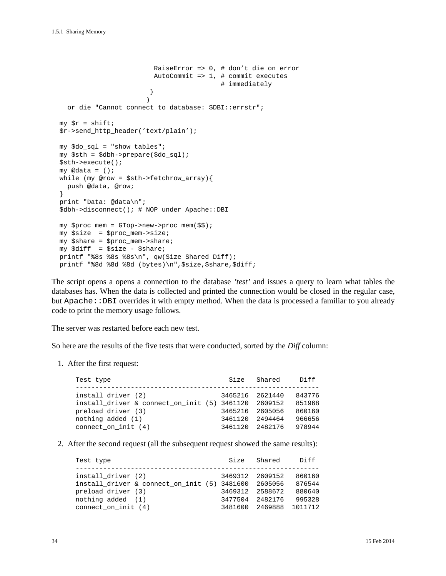```
 RaiseError => 0, # don't die on error
                          AutoCommit => 1, # commit executes
                                            # immediately
 }
) or die "Cannot connect to database: $DBI::errstr";
 my \text{sr} = \text{shift};
  $r->send_http_header('text/plain');
  my $do_sql = "show tables";
  my $sth = $dbh->prepare($do_sql);
  $sth->execute();
 my \mathcal Qdata = ();
  while (my @row = $sth->fetchrow_array){
    push @data, @row;
  }
  print "Data: @data\n";
  $dbh->disconnect(); # NOP under Apache::DBI
  my $proc_mem = GTop->new->proc_mem($$);
  my $size = $proc_mem->size;
  my $share = $proc_mem->share;
  my $diff = $size - $share;
  printf "%8s %8s %8s\n", qw(Size Shared Diff);
 printf "%8d %8d %8d (bytes)\n", $size, $share, $diff;
```
The script opens a opens a connection to the database *'test'* and issues a query to learn what tables the databases has. When the data is collected and printed the connection would be closed in the regular case, but Apache::DBI overrides it with empty method. When the data is processed a familiar to you already code to print the memory usage follows.

The server was restarted before each new test.

So here are the results of the five tests that were conducted, sorted by the *Diff* column:

1. After the first request:

| Test type                                                                  | Size            | Shared          | Di f f           |
|----------------------------------------------------------------------------|-----------------|-----------------|------------------|
| install driver (2)<br>install driver & connect on init (5) 3461120 2609152 | 3465216 2621440 |                 | 843776<br>851968 |
| preload driver (3)                                                         |                 | 3465216 2605056 | 860160           |
| nothing added (1)                                                          | 3461120         | 2494464         | 966656           |
| connect on init $(4)$                                                      | 3461120         | 2482176         | 978944           |

2. After the second request (all the subsequent request showed the same results):

| Shared<br>Size<br>Test type                            | Di ff   |
|--------------------------------------------------------|---------|
| install driver (2)<br>3469312 2609152                  | 860160  |
| install driver & connect on init $(5)$ 3481600 2605056 | 876544  |
| preload driver (3)<br>3469312 2588672                  | 880640  |
| nothing added (1)<br>2482176<br>3477504                | 995328  |
| connect on init $(4)$<br>3481600 2469888               | 1011712 |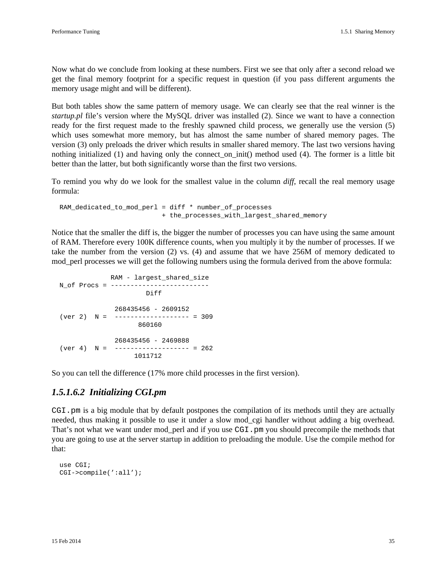Now what do we conclude from looking at these numbers. First we see that only after a second reload we get the final memory footprint for a specific request in question (if you pass different arguments the memory usage might and will be different).

But both tables show the same pattern of memory usage. We can clearly see that the real winner is the *startup.pl* file's version where the MySQL driver was installed (2). Since we want to have a connection ready for the first request made to the freshly spawned child process, we generally use the version (5) which uses somewhat more memory, but has almost the same number of shared memory pages. The version (3) only preloads the driver which results in smaller shared memory. The last two versions having nothing initialized (1) and having only the connect\_on\_init() method used (4). The former is a little bit better than the latter, but both significantly worse than the first two versions.

To remind you why do we look for the smallest value in the column *diff*, recall the real memory usage formula:

 RAM\_dedicated\_to\_mod\_perl = diff \* number\_of\_processes + the\_processes\_with\_largest\_shared\_memory

Notice that the smaller the diff is, the bigger the number of processes you can have using the same amount of RAM. Therefore every 100K difference counts, when you multiply it by the number of processes. If we take the number from the version (2) vs. (4) and assume that we have 256M of memory dedicated to mod\_perl processes we will get the following numbers using the formula derived from the above formula:

```
 RAM - largest_shared_size
 N_of Procs = -------------------------
                        Diff
               268435456 - 2609152
ver 2) N = ------------------- = 309
                    860160
               268435456 - 2469888
(\text{ver } 4) \quad N = ------------------ = 262
                     1011712
```
So you can tell the difference (17% more child processes in the first version).

#### *1.5.1.6.2 Initializing CGI.pm*

CGI.pm is a big module that by default postpones the compilation of its methods until they are actually needed, thus making it possible to use it under a slow mod\_cgi handler without adding a big overhead. That's not what we want under mod\_perl and if you use CGI.pm you should precompile the methods that you are going to use at the server startup in addition to preloading the module. Use the compile method for that:

```
 use CGI;
 CGI->compile(':all');
```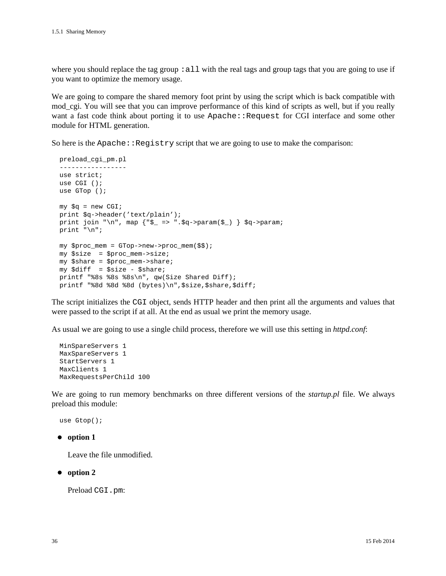where you should replace the tag group : all with the real tags and group tags that you are going to use if you want to optimize the memory usage.

We are going to compare the shared memory foot print by using the script which is back compatible with mod\_cgi. You will see that you can improve performance of this kind of scripts as well, but if you really want a fast code think about porting it to use Apache: : Request for CGI interface and some other module for HTML generation.

So here is the  $A$ pache:: $Registry$  script that we are going to use to make the comparison:

```
 preload_cgi_pm.pl
 -----------------
 use strict;
 use CGI ();
 use GTop ();
my \zeta q = new CGI;
 print $q->header('text/plain');
print join "\n", map \{\"$_ => ".$q->param(\$) } $q->param;
 print "\n";
 my $proc_mem = GTop->new->proc_mem($$);
 my $size = $proc_mem->size;
 my $share = $proc_mem->share;
 my $diff = $size - $share;
printf "%8s %8s %8s\n", qw(Size Shared Diff);
printf "%8d %8d %8d (bytes)\n", $size, $share, $diff;
```
The script initializes the CGI object, sends HTTP header and then print all the arguments and values that were passed to the script if at all. At the end as usual we print the memory usage.

As usual we are going to use a single child process, therefore we will use this setting in *httpd.conf*:

```
 MinSpareServers 1
 MaxSpareServers 1
 StartServers 1
 MaxClients 1
 MaxRequestsPerChild 100
```
We are going to run memory benchmarks on three different versions of the *startup.pl* file. We always preload this module:

```
 use Gtop();
```
**option 1**

Leave the file unmodified.

**option 2**

Preload CGI.pm: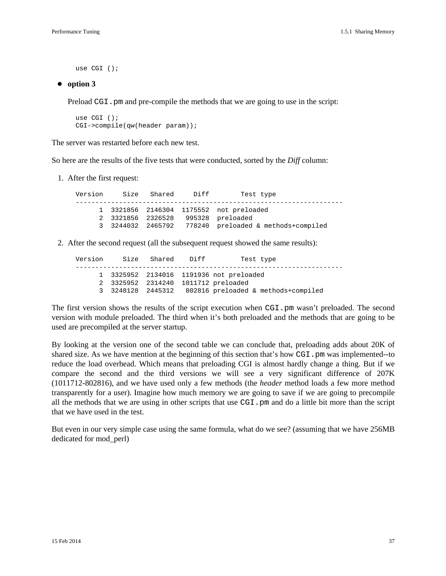use CGI ();

#### **option 3**

Preload CGI. pm and pre-compile the methods that we are going to use in the script:

 use CGI (); CGI->compile(qw(header param));

The server was restarted before each new test.

So here are the results of the five tests that were conducted, sorted by the *Diff* column:

1. After the first request:

 Version Size Shared Diff Test type -------------------------------------------------------------------- 1 3321856 2146304 1175552 not preloaded 2 3321856 2326528 995328 preloaded 3 3244032 2465792 778240 preloaded & methods+compiled

2. After the second request (all the subsequent request showed the same results):

| Size Shared Diff<br>Version<br>Test type              |  |
|-------------------------------------------------------|--|
| 1 3325952 2134016 1191936 not preloaded               |  |
| 2 3325952 2314240 1011712 preloaded                   |  |
| 3 3248128 2445312 802816 preloaded & methods+compiled |  |

The first version shows the results of the script execution when CGI.pm wasn't preloaded. The second version with module preloaded. The third when it's both preloaded and the methods that are going to be used are precompiled at the server startup.

By looking at the version one of the second table we can conclude that, preloading adds about 20K of shared size. As we have mention at the beginning of this section that's how CGI.pm was implemented-to reduce the load overhead. Which means that preloading CGI is almost hardly change a thing. But if we compare the second and the third versions we will see a very significant difference of 207K (1011712-802816), and we have used only a few methods (the *header* method loads a few more method transparently for a user). Imagine how much memory we are going to save if we are going to precompile all the methods that we are using in other scripts that use CGI.pm and do a little bit more than the script that we have used in the test.

But even in our very simple case using the same formula, what do we see? (assuming that we have 256MB dedicated for mod\_perl)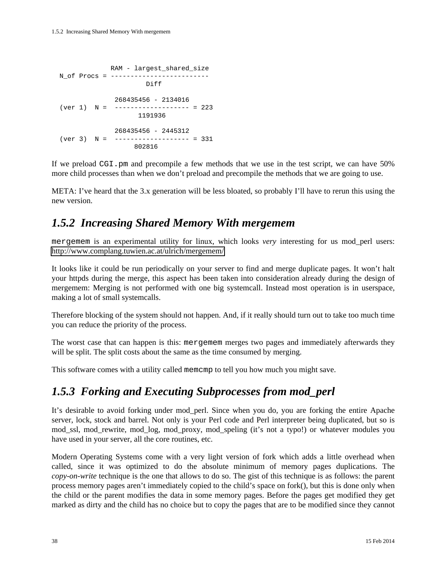```
 RAM - largest_shared_size
N of Procs = -------------------------
                      Diff
              268435456 - 2134016
(ver 1) N = ------------------- = 223
                    1191936
              268435456 - 2445312
(ver 3) N = ------------------- = 331
                  802816
```
If we preload CGI.pm and precompile a few methods that we use in the test script, we can have 50% more child processes than when we don't preload and precompile the methods that we are going to use.

META: I've heard that the 3.x generation will be less bloated, so probably I'll have to rerun this using the new version.

### *1.5.2 Increasing Shared Memory With mergemem*

mergemem is an experimental utility for linux, which looks *very* interesting for us mod\_perl users: <http://www.complang.tuwien.ac.at/ulrich/mergemem/>

It looks like it could be run periodically on your server to find and merge duplicate pages. It won't halt your httpds during the merge, this aspect has been taken into consideration already during the design of mergemem: Merging is not performed with one big systemcall. Instead most operation is in userspace, making a lot of small systemcalls.

Therefore blocking of the system should not happen. And, if it really should turn out to take too much time you can reduce the priority of the process.

The worst case that can happen is this: mergemem merges two pages and immediately afterwards they will be split. The split costs about the same as the time consumed by merging.

This software comes with a utility called memcmp to tell you how much you might save.

# *1.5.3 Forking and Executing Subprocesses from mod\_perl*

It's desirable to avoid forking under mod\_perl. Since when you do, you are forking the entire Apache server, lock, stock and barrel. Not only is your Perl code and Perl interpreter being duplicated, but so is mod\_ssl, mod\_rewrite, mod\_log, mod\_proxy, mod\_speling (it's not a typo!) or whatever modules you have used in your server, all the core routines, etc.

Modern Operating Systems come with a very light version of fork which adds a little overhead when called, since it was optimized to do the absolute minimum of memory pages duplications. The *copy-on-write* technique is the one that allows to do so. The gist of this technique is as follows: the parent process memory pages aren't immediately copied to the child's space on fork(), but this is done only when the child or the parent modifies the data in some memory pages. Before the pages get modified they get marked as dirty and the child has no choice but to copy the pages that are to be modified since they cannot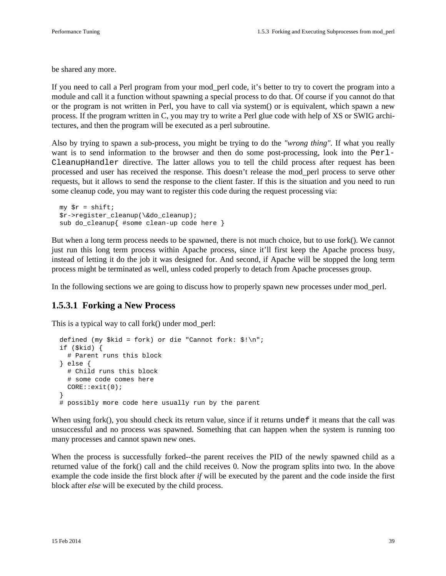be shared any more.

If you need to call a Perl program from your mod\_perl code, it's better to try to covert the program into a module and call it a function without spawning a special process to do that. Of course if you cannot do that or the program is not written in Perl, you have to call via system() or is equivalent, which spawn a new process. If the program written in C, you may try to write a Perl glue code with help of XS or SWIG architectures, and then the program will be executed as a perl subroutine.

Also by trying to spawn a sub-process, you might be trying to do the *"wrong thing"*. If what you really want is to send information to the browser and then do some post-processing, look into the Perl-CleanupHandler directive. The latter allows you to tell the child process after request has been processed and user has received the response. This doesn't release the mod\_perl process to serve other requests, but it allows to send the response to the client faster. If this is the situation and you need to run some cleanup code, you may want to register this code during the request processing via:

```
my \zeta r = \text{shift};
 $r->register_cleanup(\&do_cleanup);
 sub do_cleanup{ #some clean-up code here }
```
But when a long term process needs to be spawned, there is not much choice, but to use fork(). We cannot just run this long term process within Apache process, since it'll first keep the Apache process busy, instead of letting it do the job it was designed for. And second, if Apache will be stopped the long term process might be terminated as well, unless coded properly to detach from Apache processes group.

In the following sections we are going to discuss how to properly spawn new processes under mod\_perl.

#### **1.5.3.1 Forking a New Process**

This is a typical way to call fork() under mod\_perl:

```
 defined (my $kid = fork) or die "Cannot fork: $!\n";
  if ($kid) {
     # Parent runs this block
  } else {
     # Child runs this block
     # some code comes here
    CORE::exit(0);
 }
  # possibly more code here usually run by the parent
```
When using fork(), you should check its return value, since if it returns undef it means that the call was unsuccessful and no process was spawned. Something that can happen when the system is running too many processes and cannot spawn new ones.

When the process is successfully forked--the parent receives the PID of the newly spawned child as a returned value of the fork() call and the child receives 0. Now the program splits into two. In the above example the code inside the first block after *if* will be executed by the parent and the code inside the first block after *else* will be executed by the child process.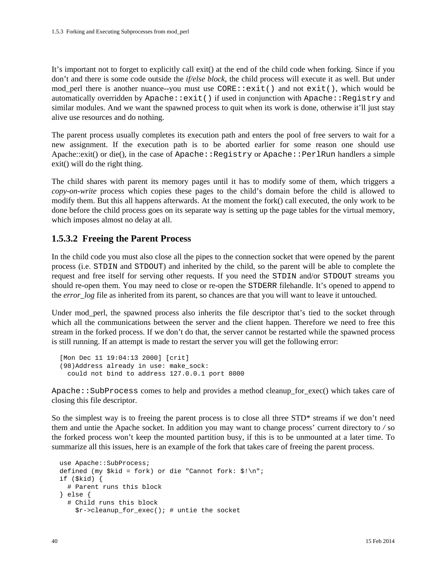It's important not to forget to explicitly call exit() at the end of the child code when forking. Since if you don't and there is some code outside the *if/else block*, the child process will execute it as well. But under mod perl there is another nuance--you must use  $CORE: :exit()$  and not  $exit(),$  which would be automatically overridden by Apache::exit() if used in conjunction with Apache::Registry and similar modules. And we want the spawned process to quit when its work is done, otherwise it'll just stay alive use resources and do nothing.

The parent process usually completes its execution path and enters the pool of free servers to wait for a new assignment. If the execution path is to be aborted earlier for some reason one should use Apache::exit() or die(), in the case of Apache::Registry or Apache::PerlRun handlers a simple exit() will do the right thing.

The child shares with parent its memory pages until it has to modify some of them, which triggers a *copy-on-write* process which copies these pages to the child's domain before the child is allowed to modify them. But this all happens afterwards. At the moment the fork() call executed, the only work to be done before the child process goes on its separate way is setting up the page tables for the virtual memory, which imposes almost no delay at all.

#### **1.5.3.2 Freeing the Parent Process**

In the child code you must also close all the pipes to the connection socket that were opened by the parent process (i.e. STDIN and STDOUT) and inherited by the child, so the parent will be able to complete the request and free itself for serving other requests. If you need the STDIN and/or STDOUT streams you should re-open them. You may need to close or re-open the STDERR filehandle. It's opened to append to the *error\_log* file as inherited from its parent, so chances are that you will want to leave it untouched.

Under mod perl, the spawned process also inherits the file descriptor that's tied to the socket through which all the communications between the server and the client happen. Therefore we need to free this stream in the forked process. If we don't do that, the server cannot be restarted while the spawned process is still running. If an attempt is made to restart the server you will get the following error:

```
 [Mon Dec 11 19:04:13 2000] [crit] 
 (98)Address already in use: make_sock:
   could not bind to address 127.0.0.1 port 8000
```
Apache:: SubProcess comes to help and provides a method cleanup\_for\_exec() which takes care of closing this file descriptor.

So the simplest way is to freeing the parent process is to close all three STD\* streams if we don't need them and untie the Apache socket. In addition you may want to change process' current directory to */* so the forked process won't keep the mounted partition busy, if this is to be unmounted at a later time. To summarize all this issues, here is an example of the fork that takes care of freeing the parent process.

```
 use Apache::SubProcess;
defined (my $kid = fork) or die "Cannot fork: \frac{\sinh(\theta)}{\sinh(\theta)} if ($kid) {
   # Parent runs this block
 } else {
   # Child runs this block
     $r->cleanup_for_exec(); # untie the socket
```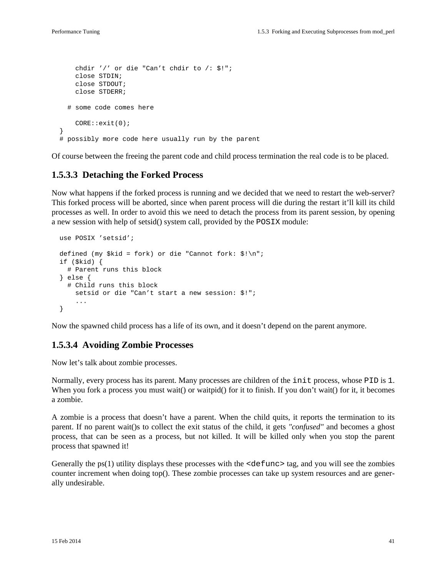```
 chdir '/' or die "Can't chdir to /: $!";
     close STDIN;
     close STDOUT;
     close STDERR;
   # some code comes here
     CORE::exit(0);
 }
 # possibly more code here usually run by the parent
```
Of course between the freeing the parent code and child process termination the real code is to be placed.

#### **1.5.3.3 Detaching the Forked Process**

Now what happens if the forked process is running and we decided that we need to restart the web-server? This forked process will be aborted, since when parent process will die during the restart it'll kill its child processes as well. In order to avoid this we need to detach the process from its parent session, by opening a new session with help of setsid() system call, provided by the POSIX module:

```
 use POSIX 'setsid';
defined (my $kid = fork) or die "Cannot fork: \sin^n i if ($kid) {
   # Parent runs this block
 } else {
   # Child runs this block
     setsid or die "Can't start a new session: $!";
     ...
 }
```
Now the spawned child process has a life of its own, and it doesn't depend on the parent anymore.

#### **1.5.3.4 Avoiding Zombie Processes**

Now let's talk about zombie processes.

Normally, every process has its parent. Many processes are children of the init process, whose PID is 1. When you fork a process you must wait() or waitpid() for it to finish. If you don't wait() for it, it becomes a zombie.

A zombie is a process that doesn't have a parent. When the child quits, it reports the termination to its parent. If no parent wait()s to collect the exit status of the child, it gets *"confused"* and becomes a ghost process, that can be seen as a process, but not killed. It will be killed only when you stop the parent process that spawned it!

Generally the  $ps(1)$  utility displays these processes with the  $\leq$  defunc  $\geq$  tag, and you will see the zombies counter increment when doing top(). These zombie processes can take up system resources and are generally undesirable.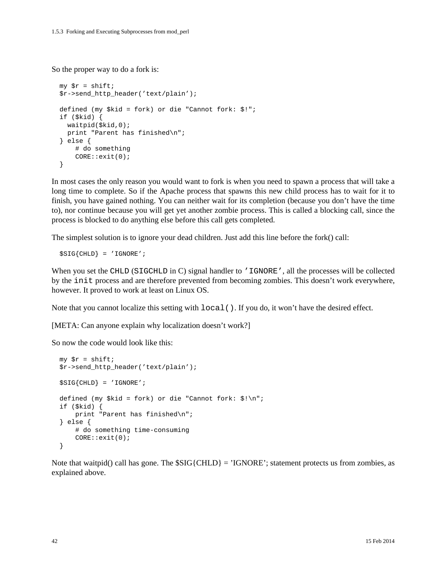So the proper way to do a fork is:

```
my \zeta r = \text{shift};
 $r->send_http_header('text/plain');
 defined (my $kid = fork) or die "Cannot fork: $!";
 if ($kid) {
   waitpid($kid,0);
  print "Parent has finished\n";
 } else {
     # do something
     CORE::exit(0);
 }
```
In most cases the only reason you would want to fork is when you need to spawn a process that will take a long time to complete. So if the Apache process that spawns this new child process has to wait for it to finish, you have gained nothing. You can neither wait for its completion (because you don't have the time to), nor continue because you will get yet another zombie process. This is called a blocking call, since the process is blocked to do anything else before this call gets completed.

The simplest solution is to ignore your dead children. Just add this line before the fork() call:

\$SIG{CHLD} = 'IGNORE';

When you set the CHLD (SIGCHLD in C) signal handler to 'IGNORE', all the processes will be collected by the init process and are therefore prevented from becoming zombies. This doesn't work everywhere, however. It proved to work at least on Linux OS.

Note that you cannot localize this setting with local(). If you do, it won't have the desired effect.

[META: Can anyone explain why localization doesn't work?]

So now the code would look like this:

```
my \zeta r = \text{shift};
 $r->send_http_header('text/plain');
$SIG{CHLD} = 'IGNORE'; defined (my $kid = fork) or die "Cannot fork: $!\n";
 if ($kid) {
     print "Parent has finished\n";
 } else {
     # do something time-consuming
     CORE::exit(0);
 }
```
Note that waitpid() call has gone. The  $SIG{CHLD} = 'IGNORE'$ ; statement protects us from zombies, as explained above.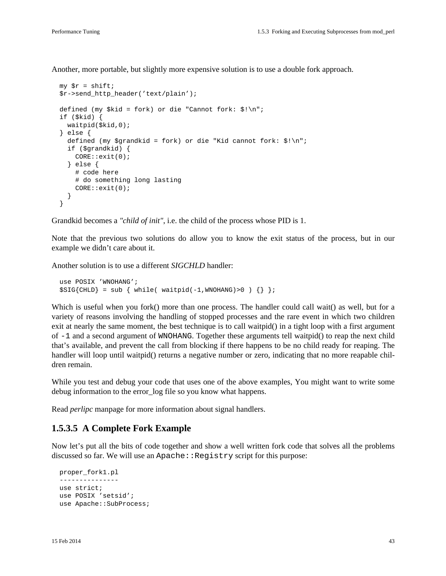Another, more portable, but slightly more expensive solution is to use a double fork approach.

```
my \zeta r = \text{shift};
 $r->send_http_header('text/plain');
 defined (my $kid = fork) or die "Cannot fork: $!\n";
 if ($kid) {
   waitpid($kid,0);
 } else {
   defined (my $grandkid = fork) or die "Kid cannot fork: $!\n";
   if ($grandkid) {
     CORE::exit(0);
   } else {
     # code here
     # do something long lasting
     CORE::exit(0);
   }
 }
```
Grandkid becomes a *"child of init"*, i.e. the child of the process whose PID is 1.

Note that the previous two solutions do allow you to know the exit status of the process, but in our example we didn't care about it.

Another solution is to use a different *SIGCHLD* handler:

```
 use POSIX 'WNOHANG';
$SIG{CHLD} = sub { while ( waiting(-1,WNOHANG)>0 ) };
```
Which is useful when you fork() more than one process. The handler could call wait() as well, but for a variety of reasons involving the handling of stopped processes and the rare event in which two children exit at nearly the same moment, the best technique is to call waitpid() in a tight loop with a first argument of -1 and a second argument of WNOHANG. Together these arguments tell waitpid() to reap the next child that's available, and prevent the call from blocking if there happens to be no child ready for reaping. The handler will loop until waitpid() returns a negative number or zero, indicating that no more reapable children remain.

While you test and debug your code that uses one of the above examples, You might want to write some debug information to the error\_log file so you know what happens.

Read *perlipc* manpage for more information about signal handlers.

#### **1.5.3.5 A Complete Fork Example**

Now let's put all the bits of code together and show a well written fork code that solves all the problems discussed so far. We will use an Apache: : Registry script for this purpose:

```
 proper_fork1.pl
 ---------------
 use strict;
 use POSIX 'setsid';
 use Apache::SubProcess;
```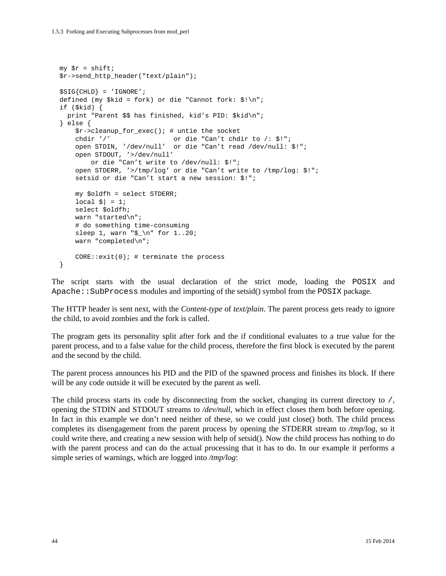```
my \text{sr} = \text{shift};
 $r->send_http_header("text/plain");
 $SIG{CHLD} = 'IGNORE';
 defined (my $kid = fork) or die "Cannot fork: $!\n";
 if ($kid) {
  print "Parent $$ has finished, kid's PID: $kid\n";
 } else {
     $r->cleanup_for_exec(); # untie the socket
     chdir '/' or die "Can't chdir to /: $!";
     open STDIN, '/dev/null' or die "Can't read /dev/null: $!";
     open STDOUT, '>/dev/null'
         or die "Can't write to /dev/null: $!";
     open STDERR, '>/tmp/log' or die "Can't write to /tmp/log: $!";
     setsid or die "Can't start a new session: $!";
     my $oldfh = select STDERR;
    local \hat{s}| = 1;
     select $oldfh;
     warn "started\n";
     # do something time-consuming
     sleep 1, warn "$_\n" for 1..20;
     warn "completed\n";
    CORE::exit(0); # terminate the process
 }
```
The script starts with the usual declaration of the strict mode, loading the POSIX and Apache:: SubProcess modules and importing of the setsid() symbol from the POSIX package.

The HTTP header is sent next, with the *Content-type* of *text/plain*. The parent process gets ready to ignore the child, to avoid zombies and the fork is called.

The program gets its personality split after fork and the if conditional evaluates to a true value for the parent process, and to a false value for the child process, therefore the first block is executed by the parent and the second by the child.

The parent process announces his PID and the PID of the spawned process and finishes its block. If there will be any code outside it will be executed by the parent as well.

The child process starts its code by disconnecting from the socket, changing its current directory to /, opening the STDIN and STDOUT streams to */dev/null*, which in effect closes them both before opening. In fact in this example we don't need neither of these, so we could just close() both. The child process completes its disengagement from the parent process by opening the STDERR stream to */tmp/log*, so it could write there, and creating a new session with help of setsid(). Now the child process has nothing to do with the parent process and can do the actual processing that it has to do. In our example it performs a simple series of warnings, which are logged into */tmp/log*: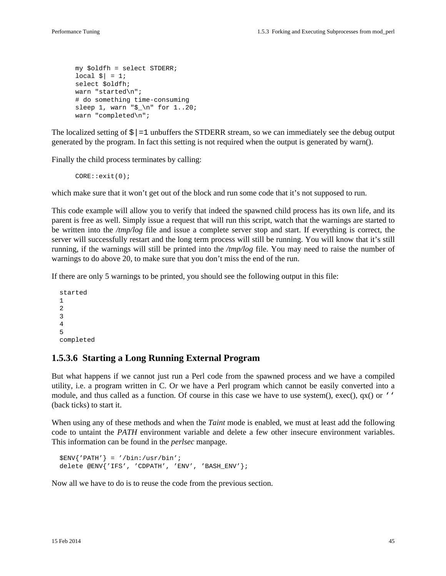```
 my $oldfh = select STDERR;
local \vert \xi \vert = 1;
 select $oldfh;
 warn "started\n";
 # do something time-consuming
sleep 1, warn "\frac{1}{5}" for 1..20;
 warn "completed\n";
```
The localized setting of  $\frac{1}{5}$  = 1 unbuffers the STDERR stream, so we can immediately see the debug output generated by the program. In fact this setting is not required when the output is generated by warn().

Finally the child process terminates by calling:

CORE::exit(0);

which make sure that it won't get out of the block and run some code that it's not supposed to run.

This code example will allow you to verify that indeed the spawned child process has its own life, and its parent is free as well. Simply issue a request that will run this script, watch that the warnings are started to be written into the */tmp/log* file and issue a complete server stop and start. If everything is correct, the server will successfully restart and the long term process will still be running. You will know that it's still running, if the warnings will still be printed into the */tmp/log* file. You may need to raise the number of warnings to do above 20, to make sure that you don't miss the end of the run.

If there are only 5 warnings to be printed, you should see the following output in this file:

```
 started
 1
 2
 3
 4
 5
 completed
```
#### **1.5.3.6 Starting a Long Running External Program**

But what happens if we cannot just run a Perl code from the spawned process and we have a compiled utility, i.e. a program written in C. Or we have a Perl program which cannot be easily converted into a module, and thus called as a function. Of course in this case we have to use system(), exec(),  $qx()$  or '' (back ticks) to start it.

When using any of these methods and when the *Taint* mode is enabled, we must at least add the following code to untaint the *PATH* environment variable and delete a few other insecure environment variables. This information can be found in the *perlsec* manpage.

```
 $ENV{'PATH'} = '/bin:/usr/bin';
 delete @ENV{'IFS', 'CDPATH', 'ENV', 'BASH_ENV'};
```
Now all we have to do is to reuse the code from the previous section.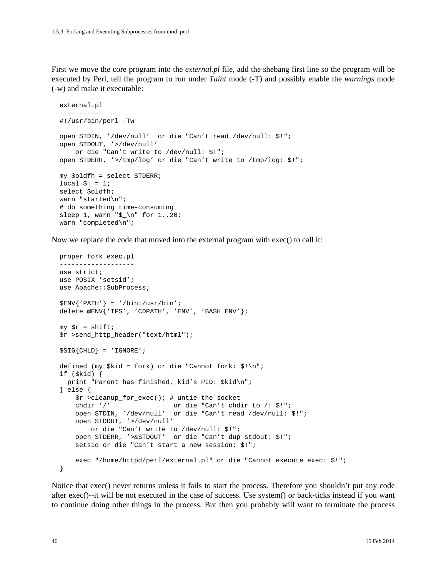First we move the core program into the *external.pl* file, add the shebang first line so the program will be executed by Perl, tell the program to run under *Taint* mode (-T) and possibly enable the *warnings* mode (-w) and make it executable:

```
 external.pl
 -----------
 #!/usr/bin/perl -Tw
 open STDIN, '/dev/null' or die "Can't read /dev/null: $!";
 open STDOUT, '>/dev/null'
    or die "Can't write to /dev/null: $!";
 open STDERR, '>/tmp/log' or die "Can't write to /tmp/log: $!";
 my $oldfh = select STDERR;
local \zeta = 1;
 select $oldfh;
 warn "started\n";
 # do something time-consuming
 sleep 1, warn "$_\n" for 1..20;
 warn "completed\n";
```
Now we replace the code that moved into the external program with exec() to call it:

```
 proper_fork_exec.pl
 -------------------
 use strict;
 use POSIX 'setsid';
use Apache:: SubProcess;
 $ENV{'PATH'} = '/bin:/usr/bin';
 delete @ENV{'IFS', 'CDPATH', 'ENV', 'BASH_ENV'};
my \zeta r = \text{shift};
 $r->send_http_header("text/html");
$SIG{CHLD} = 'IGNORE'; defined (my $kid = fork) or die "Cannot fork: $!\n";
 if ($kid) {
   print "Parent has finished, kid's PID: $kid\n";
 } else {
     $r->cleanup_for_exec(); # untie the socket
     chdir '/' or die "Can't chdir to /: $!";
     open STDIN, '/dev/null' or die "Can't read /dev/null: $!";
     open STDOUT, '>/dev/null'
        or die "Can't write to /dev/null: $!";
     open STDERR, '>&STDOUT' or die "Can't dup stdout: $!";
     setsid or die "Can't start a new session: $!";
     exec "/home/httpd/perl/external.pl" or die "Cannot execute exec: $!";
 }
```
Notice that exec() never returns unless it fails to start the process. Therefore you shouldn't put any code after exec()--it will be not executed in the case of success. Use system() or back-ticks instead if you want to continue doing other things in the process. But then you probably will want to terminate the process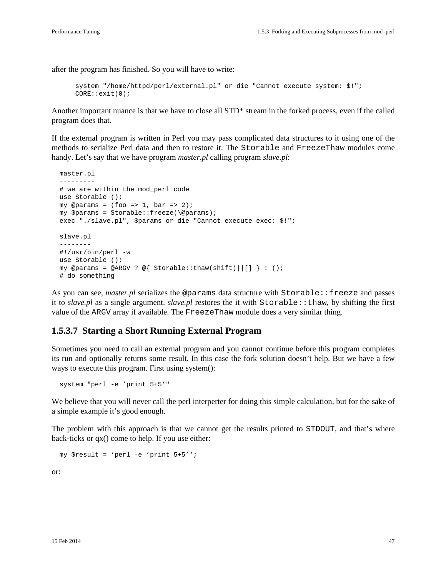after the program has finished. So you will have to write:

```
 system "/home/httpd/perl/external.pl" or die "Cannot execute system: $!";
 CORE::exit(0);
```
Another important nuance is that we have to close all STD\* stream in the forked process, even if the called program does that.

If the external program is written in Perl you may pass complicated data structures to it using one of the methods to serialize Perl data and then to restore it. The Storable and FreezeThaw modules come handy. Let's say that we have program *master.pl* calling program *slave.pl*:

```
 master.pl
 ---------
 # we are within the mod_perl code
 use Storable ();
my @params = (foo => 1, bar => 2);
 my $params = Storable::freeze(\@params);
 exec "./slave.pl", $params or die "Cannot execute exec: $!";
 slave.pl
 --------
 #!/usr/bin/perl -w
 use Storable ();
my @params = @ARGV ? @{ Storable::thaw(shift)||[] } : ();
 # do something
```
As you can see, *master.pl* serializes the @params data structure with Storable::freeze and passes it to *slave.pl* as a single argument. *slave.pl* restores the it with Storable::thaw, by shifting the first value of the ARGV array if available. The FreezeThaw module does a very similar thing.

#### **1.5.3.7 Starting a Short Running External Program**

Sometimes you need to call an external program and you cannot continue before this program completes its run and optionally returns some result. In this case the fork solution doesn't help. But we have a few ways to execute this program. First using system():

```
 system "perl -e 'print 5+5'"
```
We believe that you will never call the perl interperter for doing this simple calculation, but for the sake of a simple example it's good enough.

The problem with this approach is that we cannot get the results printed to STDOUT, and that's where back-ticks or qx() come to help. If you use either:

my \$result = 'perl -e 'print 5+5'';

or: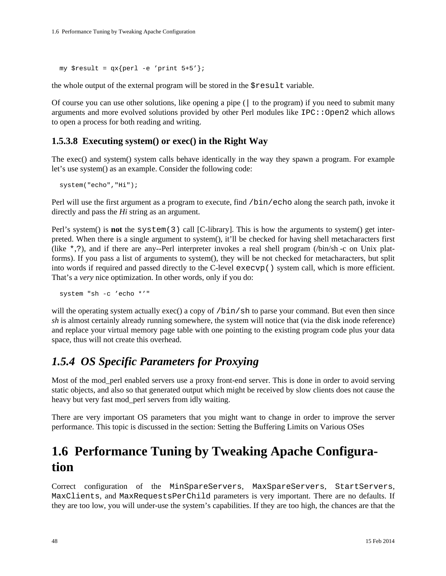my \$result =  $qx{peri -e$  'print  $5+5'$ };

the whole output of the external program will be stored in the \$result variable.

Of course you can use other solutions, like opening a pipe (| to the program) if you need to submit many arguments and more evolved solutions provided by other Perl modules like  $IPC:Open2$  which allows to open a process for both reading and writing.

#### **1.5.3.8 Executing system() or exec() in the Right Way**

The exec() and system() system calls behave identically in the way they spawn a program. For example let's use system() as an example. Consider the following code:

```
 system("echo","Hi");
```
Perl will use the first argument as a program to execute, find /bin/echo along the search path, invoke it directly and pass the *Hi* string as an argument.

Perl's system() is **not** the system(3) call [C-library]. This is how the arguments to system() get interpreted. When there is a single argument to system(), it'll be checked for having shell metacharacters first (like \*,?), and if there are any--Perl interpreter invokes a real shell program (/bin/sh -c on Unix platforms). If you pass a list of arguments to system(), they will be not checked for metacharacters, but split into words if required and passed directly to the C-level execvp() system call, which is more efficient. That's a *very* nice optimization. In other words, only if you do:

```
 system "sh -c 'echo *'"
```
will the operating system actually exec() a copy of /bin/sh to parse your command. But even then since *sh* is almost certainly already running somewhere, the system will notice that (via the disk inode reference) and replace your virtual memory page table with one pointing to the existing program code plus your data space, thus will not create this overhead.

### *1.5.4 OS Specific Parameters for Proxying*

Most of the mod\_perl enabled servers use a proxy front-end server. This is done in order to avoid serving static objects, and also so that generated output which might be received by slow clients does not cause the heavy but very fast mod\_perl servers from idly waiting.

There are very important OS parameters that you might want to change in order to improve the server performance. This topic is discussed in the section: Setting the Buffering Limits on Various OSes

# **1.6 Performance Tuning by Tweaking Apache Configuration**

Correct configuration of the MinSpareServers, MaxSpareServers, StartServers, MaxClients, and MaxRequestsPerChild parameters is very important. There are no defaults. If they are too low, you will under-use the system's capabilities. If they are too high, the chances are that the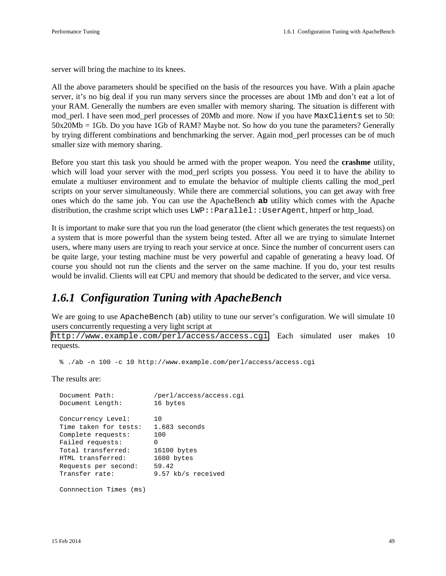server will bring the machine to its knees.

All the above parameters should be specified on the basis of the resources you have. With a plain apache server, it's no big deal if you run many servers since the processes are about 1Mb and don't eat a lot of your RAM. Generally the numbers are even smaller with memory sharing. The situation is different with mod\_perl. I have seen mod\_perl processes of 20Mb and more. Now if you have MaxClients set to 50: 50x20Mb = 1Gb. Do you have 1Gb of RAM? Maybe not. So how do you tune the parameters? Generally by trying different combinations and benchmarking the server. Again mod\_perl processes can be of much smaller size with memory sharing.

Before you start this task you should be armed with the proper weapon. You need the **crashme** utility, which will load your server with the mod\_perl scripts you possess. You need it to have the ability to emulate a multiuser environment and to emulate the behavior of multiple clients calling the mod\_perl scripts on your server simultaneously. While there are commercial solutions, you can get away with free ones which do the same job. You can use the ApacheBench **ab** utility which comes with the Apache distribution, the crashme script which uses LWP::Parallel::UserAgent, httperf or http\_load.

It is important to make sure that you run the load generator (the client which generates the test requests) on a system that is more powerful than the system being tested. After all we are trying to simulate Internet users, where many users are trying to reach your service at once. Since the number of concurrent users can be quite large, your testing machine must be very powerful and capable of generating a heavy load. Of course you should not run the clients and the server on the same machine. If you do, your test results would be invalid. Clients will eat CPU and memory that should be dedicated to the server, and vice versa.

### *1.6.1 Configuration Tuning with ApacheBench*

We are going to use ApacheBench (ab) utility to tune our server's configuration. We will simulate 10 users concurrently requesting a very light script at

<http://www.example.com/perl/access/access.cgi>. Each simulated user makes 10 requests.

% ./ab -n 100 -c 10 http://www.example.com/perl/access/access.cgi

The results are:

| Document Path:         | /perl/access/access.cqi |
|------------------------|-------------------------|
| Document Length:       | 16 bytes                |
|                        |                         |
| Concurrency Level:     | 10                      |
| Time taken for tests:  | $1.683$ seconds         |
| Complete requests:     | 100                     |
| Failed requests:       | O                       |
| Total transferred:     | 16100 bytes             |
| HTML transferred:      | 1600 bytes              |
| Requests per second:   | 59.42                   |
| Transfer rate:         | 9.57 kb/s received      |
|                        |                         |
| Connnection Times (ms) |                         |
|                        |                         |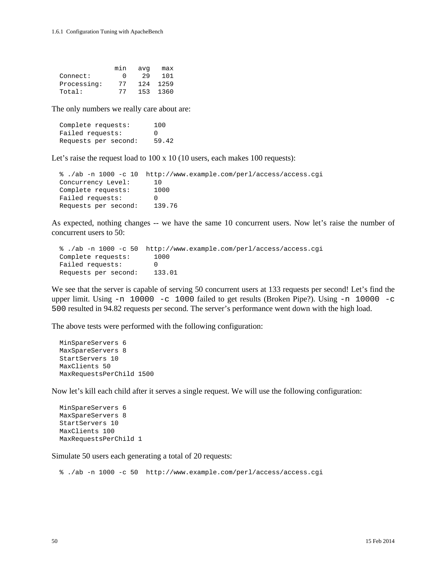|             | min    | avq | max  |
|-------------|--------|-----|------|
| Connect:    | $\cup$ | 29  | 101  |
| Processing: | 77     | 124 | 1259 |
| Total:      | 77     | 153 | 1360 |

The only numbers we really care about are:

 Complete requests: 100 Failed requests: 0 Requests per second: 59.42

Let's raise the request load to 100 x 10 (10 users, each makes 100 requests):

```
 % ./ab -n 1000 -c 10 http://www.example.com/perl/access/access.cgi
 Concurrency Level: 10
 Complete requests: 1000
Failed requests: 0
 Requests per second: 139.76
```
As expected, nothing changes -- we have the same 10 concurrent users. Now let's raise the number of concurrent users to 50:

```
 % ./ab -n 1000 -c 50 http://www.example.com/perl/access/access.cgi
 Complete requests: 1000
Failed requests: 0
 Requests per second: 133.01
```
We see that the server is capable of serving 50 concurrent users at 133 requests per second! Let's find the upper limit. Using -n 10000 -c 1000 failed to get results (Broken Pipe?). Using -n 10000 -c 500 resulted in 94.82 requests per second. The server's performance went down with the high load.

The above tests were performed with the following configuration:

```
 MinSpareServers 6
 MaxSpareServers 8
 StartServers 10
 MaxClients 50
 MaxRequestsPerChild 1500
```
Now let's kill each child after it serves a single request. We will use the following configuration:

```
 MinSpareServers 6
 MaxSpareServers 8
 StartServers 10
 MaxClients 100
 MaxRequestsPerChild 1
```
Simulate 50 users each generating a total of 20 requests:

% ./ab -n 1000 -c 50 http://www.example.com/perl/access/access.cgi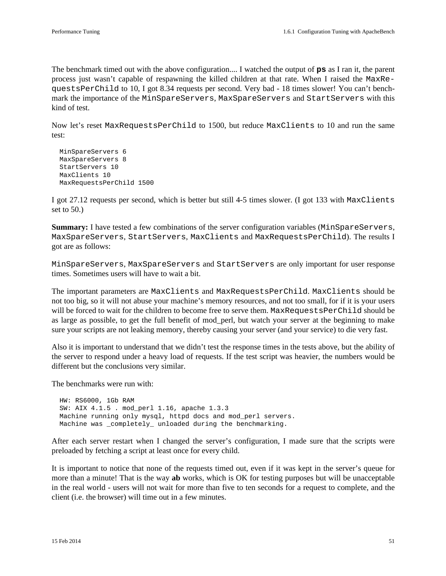The benchmark timed out with the above configuration.... I watched the output of **ps** as I ran it, the parent process just wasn't capable of respawning the killed children at that rate. When I raised the MaxRequestsPerChild to 10, I got 8.34 requests per second. Very bad - 18 times slower! You can't benchmark the importance of the MinSpareServers, MaxSpareServers and StartServers with this kind of test.

Now let's reset MaxRequestsPerChild to 1500, but reduce MaxClients to 10 and run the same test:

```
 MinSpareServers 6
 MaxSpareServers 8
 StartServers 10
 MaxClients 10
 MaxRequestsPerChild 1500
```
I got 27.12 requests per second, which is better but still 4-5 times slower. (I got 133 with MaxClients set to 50.)

**Summary:** I have tested a few combinations of the server configuration variables (MinSpareServers, MaxSpareServers, StartServers, MaxClients and MaxRequestsPerChild). The results I got are as follows:

MinSpareServers, MaxSpareServers and StartServers are only important for user response times. Sometimes users will have to wait a bit.

The important parameters are MaxClients and MaxRequestsPerChild. MaxClients should be not too big, so it will not abuse your machine's memory resources, and not too small, for if it is your users will be forced to wait for the children to become free to serve them. MaxRequestsPerChild should be as large as possible, to get the full benefit of mod\_perl, but watch your server at the beginning to make sure your scripts are not leaking memory, thereby causing your server (and your service) to die very fast.

Also it is important to understand that we didn't test the response times in the tests above, but the ability of the server to respond under a heavy load of requests. If the test script was heavier, the numbers would be different but the conclusions very similar.

The benchmarks were run with:

 HW: RS6000, 1Gb RAM SW: AIX 4.1.5 . mod\_perl 1.16, apache 1.3.3 Machine running only mysql, httpd docs and mod\_perl servers. Machine was \_completely\_ unloaded during the benchmarking.

After each server restart when I changed the server's configuration, I made sure that the scripts were preloaded by fetching a script at least once for every child.

It is important to notice that none of the requests timed out, even if it was kept in the server's queue for more than a minute! That is the way **ab** works, which is OK for testing purposes but will be unacceptable in the real world - users will not wait for more than five to ten seconds for a request to complete, and the client (i.e. the browser) will time out in a few minutes.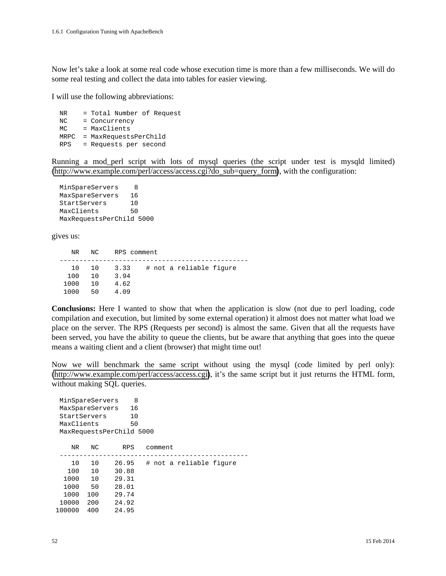Now let's take a look at some real code whose execution time is more than a few milliseconds. We will do some real testing and collect the data into tables for easier viewing.

I will use the following abbreviations:

 NR = Total Number of Request NC = Concurrency MC = MaxClients MRPC = MaxRequestsPerChild RPS = Requests per second

Running a mod\_perl script with lots of mysql queries (the script under test is mysqld limited) [\(http://www.example.com/perl/access/access.cgi?do\\_sub=query\\_form\)](http://www.example.com/perl/access/access.cgi?do_sub=query_form), with the configuration:

MinSpareServers 8 MaxSpareServers 16 StartServers 10 MaxClients 50 MaxRequestsPerChild 5000

gives us:

| NR   | NC. | RPS comment |                         |
|------|-----|-------------|-------------------------|
| 1 O  | 1 O | 3.33        | # not a reliable figure |
|      |     |             |                         |
| 100  | 1 O | 3.94        |                         |
| 1000 | 1 O | 4.62        |                         |
| 1000 | 50  | 4.09        |                         |

**Conclusions:** Here I wanted to show that when the application is slow (not due to perl loading, code compilation and execution, but limited by some external operation) it almost does not matter what load we place on the server. The RPS (Requests per second) is almost the same. Given that all the requests have been served, you have the ability to queue the clients, but be aware that anything that goes into the queue means a waiting client and a client (browser) that might time out!

Now we will benchmark the same script without using the mysql (code limited by perl only): [\(http://www.example.com/perl/access/access.cgi\)](http://www.example.com/perl/access/access.cgi), it's the same script but it just returns the HTML form, without making SQL queries.

| MinSpareServers<br>MaxSpareServers<br>StartServers<br>MaxClients |          | 8<br>16<br>10<br>50<br>MaxRequestsPerChild 5000 |                         |  |
|------------------------------------------------------------------|----------|-------------------------------------------------|-------------------------|--|
| NR.                                                              | NC       | <b>RPS</b>                                      | comment                 |  |
| 10<br>100                                                        | 10<br>10 | 26.95<br>30.88                                  | # not a reliable fiqure |  |
| 1000                                                             | 10       | 29.31                                           |                         |  |
| 1000                                                             | 50       | 28.01                                           |                         |  |
| 1000                                                             | 100      | 29.74                                           |                         |  |
| 10000                                                            | 200      | 24.92                                           |                         |  |
| 100000                                                           | 400      | 24.95                                           |                         |  |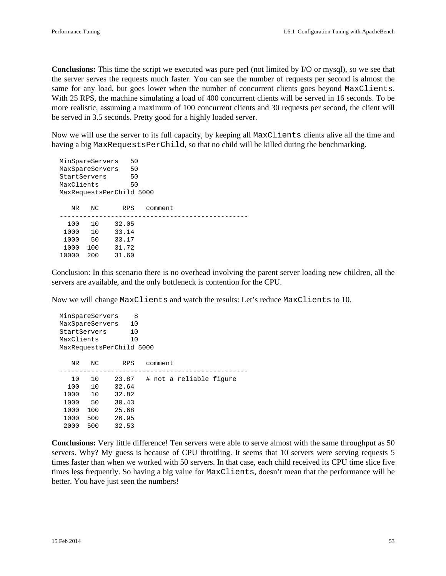**Conclusions:** This time the script we executed was pure perl (not limited by I/O or mysql), so we see that the server serves the requests much faster. You can see the number of requests per second is almost the same for any load, but goes lower when the number of concurrent clients goes beyond MaxClients. With 25 RPS, the machine simulating a load of 400 concurrent clients will be served in 16 seconds. To be more realistic, assuming a maximum of 100 concurrent clients and 30 requests per second, the client will be served in 3.5 seconds. Pretty good for a highly loaded server.

Now we will use the server to its full capacity, by keeping all MaxClients clients alive all the time and having a big MaxRequestsPerChild, so that no child will be killed during the benchmarking.

| MinSpareServers |                          |     | 50         |         |  |
|-----------------|--------------------------|-----|------------|---------|--|
|                 | MaxSpareServers          |     | 50         |         |  |
|                 | StartServers             |     | 50         |         |  |
|                 | MaxClients               |     | 50         |         |  |
|                 | MaxRequestsPerChild 5000 |     |            |         |  |
|                 | NR.                      | NC. | <b>RPS</b> | comment |  |
|                 | 100                      | 10  | 32.05      |         |  |
|                 | 1000                     | 10  | 33.14      |         |  |
|                 | 1000                     | 50  | 33.17      |         |  |
|                 | 1000                     | 100 | 31.72      |         |  |
|                 | 10000                    | 200 | 31.60      |         |  |

Conclusion: In this scenario there is no overhead involving the parent server loading new children, all the servers are available, and the only bottleneck is contention for the CPU.

Now we will change MaxClients and watch the results: Let's reduce MaxClients to 10.

| MinSpareServers |     | 8                        |                         |
|-----------------|-----|--------------------------|-------------------------|
| MaxSpareServers |     | 10                       |                         |
| StartServers    |     | 10                       |                         |
| MaxClients      |     | 10                       |                         |
|                 |     | MaxRequestsPerChild 5000 |                         |
|                 |     |                          |                         |
| NR.             | NC. | <b>RPS</b>               | comment                 |
|                 |     |                          |                         |
| 10              | 10  | 23.87                    | # not a reliable fiqure |
| 100             | 10  | 32.64                    |                         |
| 1000            | 10  | 32.82                    |                         |
| 1000            | 50  | 30.43                    |                         |
| 1000            | 100 | 25.68                    |                         |
| 1000            | 500 | 26.95                    |                         |
| 2000            | 500 | 32.53                    |                         |

**Conclusions:** Very little difference! Ten servers were able to serve almost with the same throughput as 50 servers. Why? My guess is because of CPU throttling. It seems that 10 servers were serving requests 5 times faster than when we worked with 50 servers. In that case, each child received its CPU time slice five times less frequently. So having a big value for MaxClients, doesn't mean that the performance will be better. You have just seen the numbers!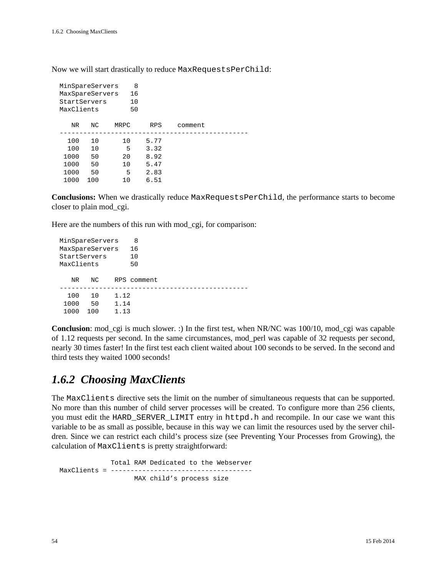Now we will start drastically to reduce MaxRequestsPerChild:

| MaxClients | 8<br>16<br>10<br>50 |                                                    |         |  |
|------------|---------------------|----------------------------------------------------|---------|--|
| NC         | <b>MRPC</b>         | <b>RPS</b>                                         | comment |  |
| 10         | 10                  | 5.77                                               |         |  |
| 10         | 5                   | 3.32                                               |         |  |
| 50         | 20                  | 8.92                                               |         |  |
| 50         | 10                  | 5.47                                               |         |  |
| 50         | 5                   | 2.83                                               |         |  |
| 100        | 10                  | 6.51                                               |         |  |
|            |                     | MinSpareServers<br>MaxSpareServers<br>StartServers |         |  |

**Conclusions:** When we drastically reduce MaxRequestsPerChild, the performance starts to become closer to plain mod\_cgi.

Here are the numbers of this run with mod\_cgi, for comparison:

```
MinSpareServers 8
 MaxSpareServers 16
 StartServers 10
 MaxClients 50
   NR NC RPS comment
       ------------------------------------------------
  100 10 1.12
  1000 50 1.14
  1000 100 1.13
```
**Conclusion**: mod\_cgi is much slower. :) In the first test, when NR/NC was 100/10, mod\_cgi was capable of 1.12 requests per second. In the same circumstances, mod\_perl was capable of 32 requests per second, nearly 30 times faster! In the first test each client waited about 100 seconds to be served. In the second and third tests they waited 1000 seconds!

### *1.6.2 Choosing MaxClients*

The MaxClients directive sets the limit on the number of simultaneous requests that can be supported. No more than this number of child server processes will be created. To configure more than 256 clients, you must edit the HARD\_SERVER\_LIMIT entry in httpd.h and recompile. In our case we want this variable to be as small as possible, because in this way we can limit the resources used by the server children. Since we can restrict each child's process size (see Preventing Your Processes from Growing), the calculation of MaxClients is pretty straightforward:

 Total RAM Dedicated to the Webserver MaxClients = ---------------------------------MAX child's process size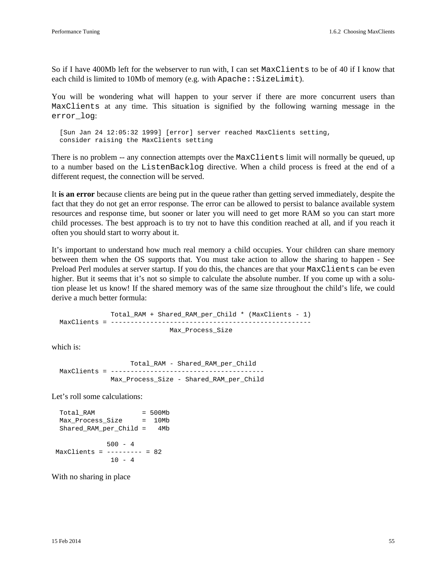So if I have 400Mb left for the webserver to run with, I can set MaxClients to be of 40 if I know that each child is limited to 10Mb of memory (e.g. with Apache:: SizeLimit).

You will be wondering what will happen to your server if there are more concurrent users than MaxClients at any time. This situation is signified by the following warning message in the error\_log:

 [Sun Jan 24 12:05:32 1999] [error] server reached MaxClients setting, consider raising the MaxClients setting

There is no problem -- any connection attempts over the MaxClients limit will normally be queued, up to a number based on the ListenBacklog directive. When a child process is freed at the end of a different request, the connection will be served.

It **is an error** because clients are being put in the queue rather than getting served immediately, despite the fact that they do not get an error response. The error can be allowed to persist to balance available system resources and response time, but sooner or later you will need to get more RAM so you can start more child processes. The best approach is to try not to have this condition reached at all, and if you reach it often you should start to worry about it.

It's important to understand how much real memory a child occupies. Your children can share memory between them when the OS supports that. You must take action to allow the sharing to happen - See Preload Perl modules at server startup. If you do this, the chances are that your MaxClients can be even higher. But it seems that it's not so simple to calculate the absolute number. If you come up with a solution please let us know! If the shared memory was of the same size throughout the child's life, we could derive a much better formula:

 Total\_RAM + Shared\_RAM\_per\_Child \* (MaxClients - 1) MaxClients = --------------------------------------------------- Max\_Process\_Size

which is:

```
 Total_RAM - Shared_RAM_per_Child
 MaxClients = ---------------------------------------
              Max_Process_Size - Shared_RAM_per_Child
```
Let's roll some calculations:

 Total\_RAM = 500Mb Max\_Process\_Size = 10Mb Shared\_RAM\_per\_Child = 4Mb 500 - 4 MaxClients = --------- = 82  $10 - 4$ 

With no sharing in place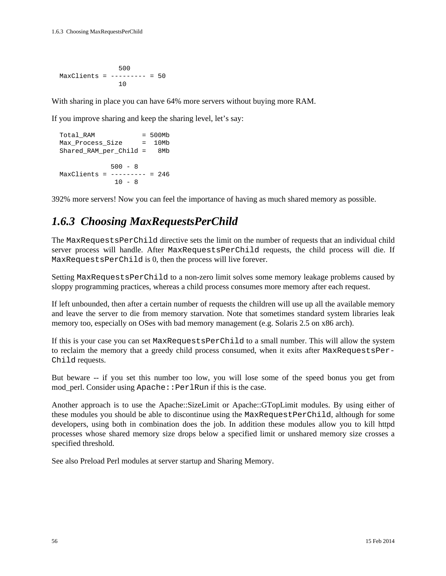500  $MaxClients = --- --- - - - - = 50$ 10

With sharing in place you can have 64% more servers without buying more RAM.

If you improve sharing and keep the sharing level, let's say:

```
 Total_RAM = 500Mb
 Max_Process_Size = 10Mb
  Shared_RAM_per_Child = 8Mb
            500 - 8MaxClients = --- --- - = 24610 - 8
```
392% more servers! Now you can feel the importance of having as much shared memory as possible.

# *1.6.3 Choosing MaxRequestsPerChild*

The MaxRequestsPerChild directive sets the limit on the number of requests that an individual child server process will handle. After MaxRequestsPerChild requests, the child process will die. If MaxRequestsPerChild is 0, then the process will live forever.

Setting MaxRequestsPerChild to a non-zero limit solves some memory leakage problems caused by sloppy programming practices, whereas a child process consumes more memory after each request.

If left unbounded, then after a certain number of requests the children will use up all the available memory and leave the server to die from memory starvation. Note that sometimes standard system libraries leak memory too, especially on OSes with bad memory management (e.g. Solaris 2.5 on x86 arch).

If this is your case you can set MaxRequestsPerChild to a small number. This will allow the system to reclaim the memory that a greedy child process consumed, when it exits after MaxRequestsPer-Child requests.

But beware -- if you set this number too low, you will lose some of the speed bonus you get from mod perl. Consider using Apache::PerlRun if this is the case.

Another approach is to use the Apache::SizeLimit or Apache::GTopLimit modules. By using either of these modules you should be able to discontinue using the MaxRequestPerChild, although for some developers, using both in combination does the job. In addition these modules allow you to kill httpd processes whose shared memory size drops below a specified limit or unshared memory size crosses a specified threshold.

See also Preload Perl modules at server startup and Sharing Memory.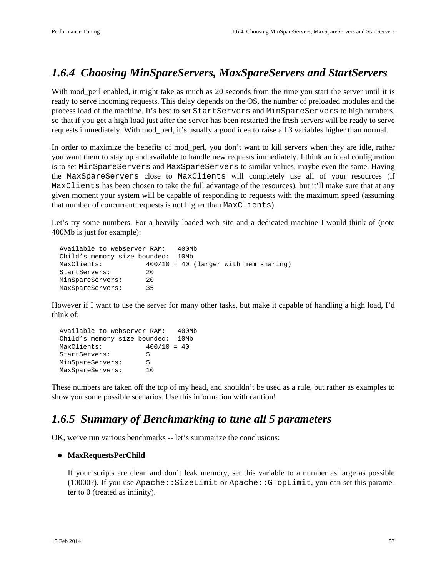### *1.6.4 Choosing MinSpareServers, MaxSpareServers and StartServers*

With mod\_perl enabled, it might take as much as 20 seconds from the time you start the server until it is ready to serve incoming requests. This delay depends on the OS, the number of preloaded modules and the process load of the machine. It's best to set StartServers and MinSpareServers to high numbers, so that if you get a high load just after the server has been restarted the fresh servers will be ready to serve requests immediately. With mod\_perl, it's usually a good idea to raise all 3 variables higher than normal.

In order to maximize the benefits of mod\_perl, you don't want to kill servers when they are idle, rather you want them to stay up and available to handle new requests immediately. I think an ideal configuration is to set MinSpareServers and MaxSpareServers to similar values, maybe even the same. Having the MaxSpareServers close to MaxClients will completely use all of your resources (if MaxClients has been chosen to take the full advantage of the resources), but it'll make sure that at any given moment your system will be capable of responding to requests with the maximum speed (assuming that number of concurrent requests is not higher than MaxClients).

Let's try some numbers. For a heavily loaded web site and a dedicated machine I would think of (note 400Mb is just for example):

```
 Available to webserver RAM: 400Mb
 Child's memory size bounded: 10Mb
 MaxClients: 400/10 = 40 (larger with mem sharing)
StartServers: 20
 MinSpareServers: 20
 MaxSpareServers: 35
```
However if I want to use the server for many other tasks, but make it capable of handling a high load, I'd think of:

```
 Available to webserver RAM: 400Mb
 Child's memory size bounded: 10Mb
 MaxClients: 400/10 = 40
 StartServers: 5
 MinSpareServers: 5
 MaxSpareServers: 10
```
These numbers are taken off the top of my head, and shouldn't be used as a rule, but rather as examples to show you some possible scenarios. Use this information with caution!

### *1.6.5 Summary of Benchmarking to tune all 5 parameters*

OK, we've run various benchmarks -- let's summarize the conclusions:

#### **MaxRequestsPerChild**

If your scripts are clean and don't leak memory, set this variable to a number as large as possible (10000?). If you use Apache::SizeLimit or Apache::GTopLimit, you can set this parameter to 0 (treated as infinity).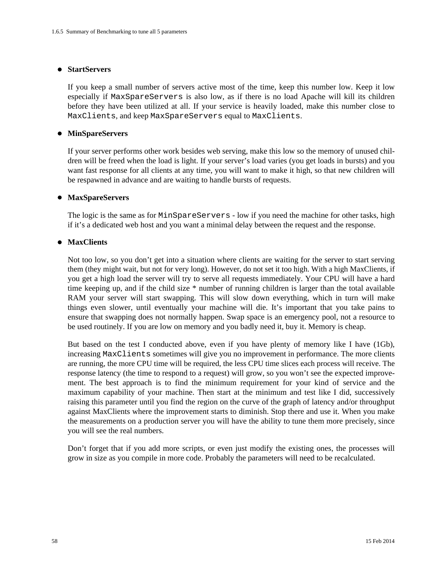#### **StartServers**

If you keep a small number of servers active most of the time, keep this number low. Keep it low especially if MaxSpareServers is also low, as if there is no load Apache will kill its children before they have been utilized at all. If your service is heavily loaded, make this number close to MaxClients, and keep MaxSpareServers equal to MaxClients.

#### **MinSpareServers**

If your server performs other work besides web serving, make this low so the memory of unused children will be freed when the load is light. If your server's load varies (you get loads in bursts) and you want fast response for all clients at any time, you will want to make it high, so that new children will be respawned in advance and are waiting to handle bursts of requests.

#### **MaxSpareServers**

The logic is the same as for MinSpareServers - low if you need the machine for other tasks, high if it's a dedicated web host and you want a minimal delay between the request and the response.

#### **MaxClients**

Not too low, so you don't get into a situation where clients are waiting for the server to start serving them (they might wait, but not for very long). However, do not set it too high. With a high MaxClients, if you get a high load the server will try to serve all requests immediately. Your CPU will have a hard time keeping up, and if the child size \* number of running children is larger than the total available RAM your server will start swapping. This will slow down everything, which in turn will make things even slower, until eventually your machine will die. It's important that you take pains to ensure that swapping does not normally happen. Swap space is an emergency pool, not a resource to be used routinely. If you are low on memory and you badly need it, buy it. Memory is cheap.

But based on the test I conducted above, even if you have plenty of memory like I have (1Gb), increasing MaxClients sometimes will give you no improvement in performance. The more clients are running, the more CPU time will be required, the less CPU time slices each process will receive. The response latency (the time to respond to a request) will grow, so you won't see the expected improvement. The best approach is to find the minimum requirement for your kind of service and the maximum capability of your machine. Then start at the minimum and test like I did, successively raising this parameter until you find the region on the curve of the graph of latency and/or throughput against MaxClients where the improvement starts to diminish. Stop there and use it. When you make the measurements on a production server you will have the ability to tune them more precisely, since you will see the real numbers.

Don't forget that if you add more scripts, or even just modify the existing ones, the processes will grow in size as you compile in more code. Probably the parameters will need to be recalculated.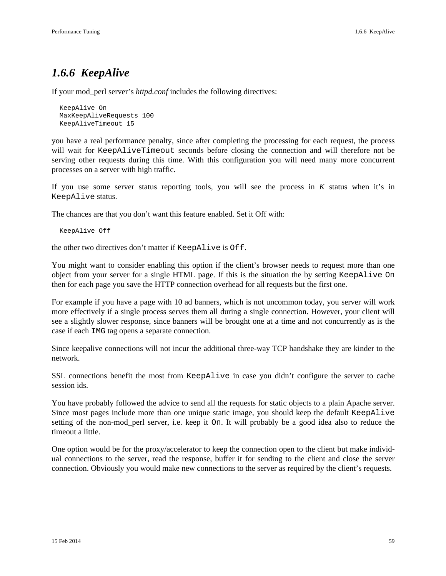# *1.6.6 KeepAlive*

If your mod\_perl server's *httpd.conf* includes the following directives:

```
 KeepAlive On
 MaxKeepAliveRequests 100
 KeepAliveTimeout 15
```
you have a real performance penalty, since after completing the processing for each request, the process will wait for KeepAliveTimeout seconds before closing the connection and will therefore not be serving other requests during this time. With this configuration you will need many more concurrent processes on a server with high traffic.

If you use some server status reporting tools, you will see the process in *K* status when it's in KeepAlive status.

The chances are that you don't want this feature enabled. Set it Off with:

```
 KeepAlive Off
```
the other two directives don't matter if KeepAlive is Off.

You might want to consider enabling this option if the client's browser needs to request more than one object from your server for a single HTML page. If this is the situation the by setting KeepAlive On then for each page you save the HTTP connection overhead for all requests but the first one.

For example if you have a page with 10 ad banners, which is not uncommon today, you server will work more effectively if a single process serves them all during a single connection. However, your client will see a slightly slower response, since banners will be brought one at a time and not concurrently as is the case if each IMG tag opens a separate connection.

Since keepalive connections will not incur the additional three-way TCP handshake they are kinder to the network.

SSL connections benefit the most from KeepAlive in case you didn't configure the server to cache session ids.

You have probably followed the advice to send all the requests for static objects to a plain Apache server. Since most pages include more than one unique static image, you should keep the default KeepAlive setting of the non-mod\_perl server, i.e. keep it On. It will probably be a good idea also to reduce the timeout a little.

One option would be for the proxy/accelerator to keep the connection open to the client but make individual connections to the server, read the response, buffer it for sending to the client and close the server connection. Obviously you would make new connections to the server as required by the client's requests.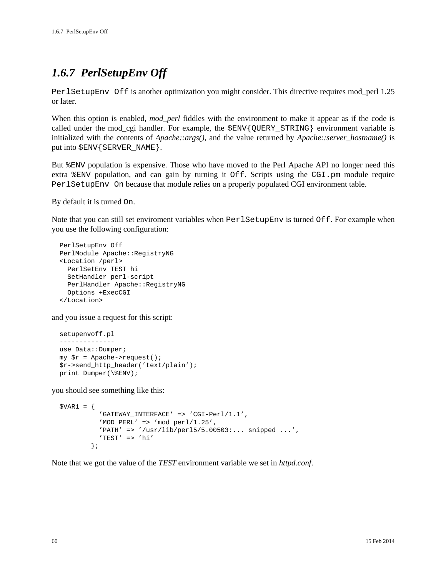# *1.6.7 PerlSetupEnv Off*

PerlSetupEnv Off is another optimization you might consider. This directive requires mod\_perl 1.25 or later.

When this option is enabled, *mod perl* fiddles with the environment to make it appear as if the code is called under the mod\_cgi handler. For example, the \$ENV{QUERY\_STRING} environment variable is initialized with the contents of *Apache::args()*, and the value returned by *Apache::server\_hostname()* is put into  $$ENV{$ SERVER\_NAME  $}.$ 

But %ENV population is expensive. Those who have moved to the Perl Apache API no longer need this extra %ENV population, and can gain by turning it Off. Scripts using the CGI.pm module require PerlSetupEnv On because that module relies on a properly populated CGI environment table.

By default it is turned On.

Note that you can still set enviroment variables when PerlSetupEnv is turned Off. For example when you use the following configuration:

```
 PerlSetupEnv Off
 PerlModule Apache::RegistryNG
 <Location /perl>
   PerlSetEnv TEST hi
   SetHandler perl-script
  PerlHandler Apache::RegistryNG
   Options +ExecCGI
 </Location>
```
and you issue a request for this script:

```
 setupenvoff.pl
 --------------
 use Data::Dumper;
my \text{ $r = A<sub>p</sub>ache-&gt;request()}; $r->send_http_header('text/plain');
 print Dumper(\%ENV);
```
you should see something like this:

```
$VAR1 = { 'GATEWAY_INTERFACE' => 'CGI-Perl/1.1',
          'MOD_PERL' => 'mod_perl/1.25',
           'PATH' => '/usr/lib/perl5/5.00503:... snipped ...',
           'TEST' => 'hi'
         };
```
Note that we got the value of the *TEST* environment variable we set in *httpd.conf*.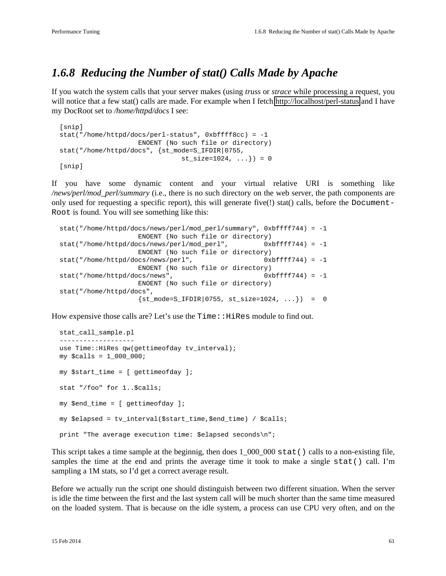# *1.6.8 Reducing the Number of stat() Calls Made by Apache*

If you watch the system calls that your server makes (using *truss* or *strace* while processing a request, you will notice that a few stat() calls are made. For example when I fetch<http://localhost/perl-status>and I have my DocRoot set to */home/httpd/docs* I see:

```
 [snip]
 stat("/home/httpd/docs/perl-status", 0xbffff8cc) = -1 
                      ENOENT (No such file or directory)
 stat("/home/httpd/docs", {st_mode=S_IFDIR|0755, 
                                st\_size=1024, ...}) = 0
 [snip]
```
If you have some dynamic content and your virtual relative URI is something like */news/perl/mod\_perl/summary* (i.e., there is no such directory on the web server, the path components are only used for requesting a specific report), this will generate five(!) stat() calls, before the Document-Root is found. You will see something like this:

```
 stat("/home/httpd/docs/news/perl/mod_perl/summary", 0xbffff744) = -1 
                   ENOENT (No such file or directory)
 stat("/home/httpd/docs/news/perl/mod_perl", 0xbffff744) = -1
                   ENOENT (No such file or directory)
stat("/home/httpd/docs/news/perl", 0xbfffff744) = -1
                   ENOENT (No such file or directory)
stat("/home/httpd/docs/news", 0xbffff744) = -1
                   ENOENT (No such file or directory)
 stat("/home/httpd/docs", 
                  {st_{model-S_{IFDIR}}|0755, st_{size=1024, ...}} = 0
```
How expensive those calls are? Let's use the  $Time$ :  $HiRes$  module to find out.

```
 stat_call_sample.pl
 -------------------
use Time:: HiRes qw(gettimeofday tv_interval);
 my $calls = 1_000_000;
 my $start_time = [ gettimeofday ];
 stat "/foo" for 1..$calls;
 my $end_time = [ gettimeofday ];
 my $elapsed = tv_interval($start_time,$end_time) / $calls;
 print "The average execution time: $elapsed seconds\n";
```
This script takes a time sample at the beginnig, then does  $1\_000\_000$  stat() calls to a non-existing file, samples the time at the end and prints the average time it took to make a single stat() call. I'm sampling a 1M stats, so I'd get a correct average result.

Before we actually run the script one should distinguish between two different situation. When the server is idle the time between the first and the last system call will be much shorter than the same time measured on the loaded system. That is because on the idle system, a process can use CPU very often, and on the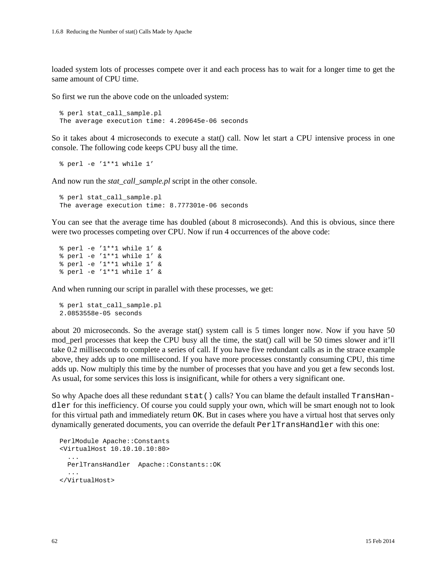loaded system lots of processes compete over it and each process has to wait for a longer time to get the same amount of CPU time.

So first we run the above code on the unloaded system:

```
 % perl stat_call_sample.pl
 The average execution time: 4.209645e-06 seconds
```
So it takes about 4 microseconds to execute a stat() call. Now let start a CPU intensive process in one console. The following code keeps CPU busy all the time.

% perl -e '1\*\*1 while 1'

And now run the *stat\_call\_sample.pl* script in the other console.

```
 % perl stat_call_sample.pl
 The average execution time: 8.777301e-06 seconds
```
You can see that the average time has doubled (about 8 microseconds). And this is obvious, since there were two processes competing over CPU. Now if run 4 occurrences of the above code:

```
 % perl -e '1**1 while 1' &
 % perl -e '1**1 while 1' &
 % perl -e '1**1 while 1' &
 % perl -e '1**1 while 1' &
```
And when running our script in parallel with these processes, we get:

```
 % perl stat_call_sample.pl
 2.0853558e-05 seconds
```
about 20 microseconds. So the average stat() system call is 5 times longer now. Now if you have 50 mod\_perl processes that keep the CPU busy all the time, the stat() call will be 50 times slower and it'll take 0.2 milliseconds to complete a series of call. If you have five redundant calls as in the strace example above, they adds up to one millisecond. If you have more processes constantly consuming CPU, this time adds up. Now multiply this time by the number of processes that you have and you get a few seconds lost. As usual, for some services this loss is insignificant, while for others a very significant one.

So why Apache does all these redundant stat() calls? You can blame the default installed TransHandler for this inefficiency. Of course you could supply your own, which will be smart enough not to look for this virtual path and immediately return OK. But in cases where you have a virtual host that serves only dynamically generated documents, you can override the default PerlTransHandler with this one:

```
 PerlModule Apache::Constants
 <VirtualHost 10.10.10.10:80>
   ...
  PerlTransHandler Apache::Constants::OK
   ...
 </VirtualHost>
```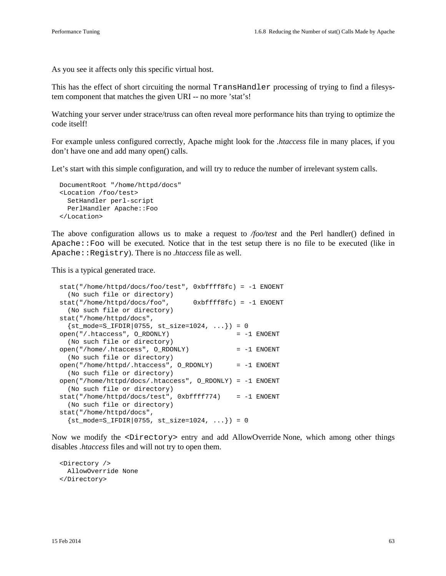As you see it affects only this specific virtual host.

This has the effect of short circuiting the normal TransHandler processing of trying to find a filesystem component that matches the given URI -- no more 'stat's!

Watching your server under strace/truss can often reveal more performance hits than trying to optimize the code itself!

For example unless configured correctly, Apache might look for the *.htaccess* file in many places, if you don't have one and add many open() calls.

Let's start with this simple configuration, and will try to reduce the number of irrelevant system calls.

```
 DocumentRoot "/home/httpd/docs"
 <Location /foo/test>
   SetHandler perl-script
   PerlHandler Apache::Foo
 </Location>
```
The above configuration allows us to make a request to */foo/test* and the Perl handler() defined in Apache::Foo will be executed. Notice that in the test setup there is no file to be executed (like in Apache::Registry). There is no *.htaccess* file as well.

This is a typical generated trace.

```
 stat("/home/httpd/docs/foo/test", 0xbffff8fc) = -1 ENOENT 
   (No such file or directory)
 stat("/home/httpd/docs/foo", 0xbffff8fc) = -1 ENOENT 
   (No such file or directory)
 stat("/home/httpd/docs", 
  \{st\_mode=S\_IFDIR|0755, st\_size=1024, ... \}) = 0 open("/.htaccess", O_RDONLY) = -1 ENOENT 
   (No such file or directory)
open("/home/.htaccess", O RDONLY) = -1 ENOENT
  (No such file or directory)
 open("/home/httpd/.htaccess", O_RDONLY) = -1 ENOENT 
   (No such file or directory)
 open("/home/httpd/docs/.htaccess", O_RDONLY) = -1 ENOENT 
  (No such file or directory)
 stat("/home/httpd/docs/test", 0xbffff774) = -1 ENOENT 
  (No such file or directory)
 stat("/home/httpd/docs", 
  \{st\_mode=S\_IFDIR|0755, st\_size=1024, ... \}) = 0
```
Now we modify the <Directory> entry and add AllowOverride None, which among other things disables *.htaccess* files and will not try to open them.

 <Directory /> AllowOverride None </Directory>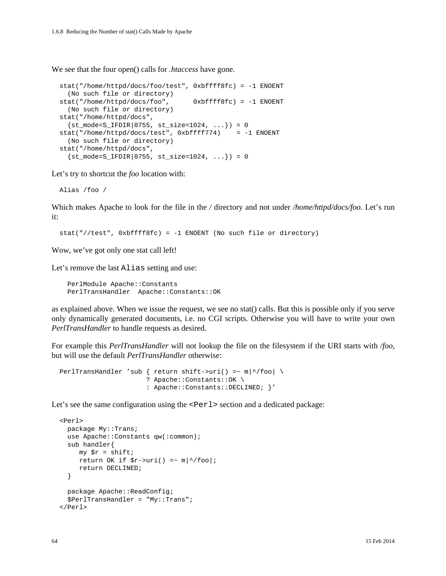We see that the four open() calls for *.htaccess* have gone.

```
 stat("/home/httpd/docs/foo/test", 0xbffff8fc) = -1 ENOENT 
   (No such file or directory)
 stat("/home/httpd/docs/foo", 0xbffff8fc) = -1 ENOENT 
  (No such file or directory)
 stat("/home/httpd/docs", 
  \{st\_mode=S\_IFDIR|0755, st\_size=1024, ... \}) = 0 stat("/home/httpd/docs/test", 0xbffff774) = -1 ENOENT 
   (No such file or directory)
 stat("/home/httpd/docs", 
  \{st\_mode = S_IFDIR | 0755, st\_size = 1024, ... \}) = 0
```
Let's try to shortcut the *foo* location with:

Alias /foo /

Which makes Apache to look for the file in the */* directory and not under */home/httpd/docs/foo*. Let's run it:

stat("//test", 0xbffff8fc) = -1 ENOENT (No such file or directory)

Wow, we've got only one stat call left!

Let's remove the last Alias setting and use:

 PerlModule Apache::Constants PerlTransHandler Apache::Constants::OK

as explained above. When we issue the request, we see no stat() calls. But this is possible only if you serve only dynamically generated documents, i.e. no CGI scripts. Otherwise you will have to write your own *PerlTransHandler* to handle requests as desired.

For example this *PerlTransHandler* will not lookup the file on the filesystem if the URI starts with */foo*, but will use the default *PerlTransHandler* otherwise:

```
PerlTransHandler 'sub { return shift->uri() =~ m \mid \land/foo| \setminus ? Apache::Constants::OK \
                           : Apache::Constants::DECLINED; }'
```
Let's see the same configuration using the  $\leq$ Perl  $\geq$  section and a dedicated package:

```
 <Perl> 
   package My::Trans;
   use Apache::Constants qw(:common);
   sub handler{
    my \,$r = shift;
     return OK if \frac{1}{2} = \frac{1}{2} = \frac{1}{2} m \frac{1}{2} foo ;
      return DECLINED;
   }
   package Apache::ReadConfig; 
   $PerlTransHandler = "My::Trans";
 </Perl>
```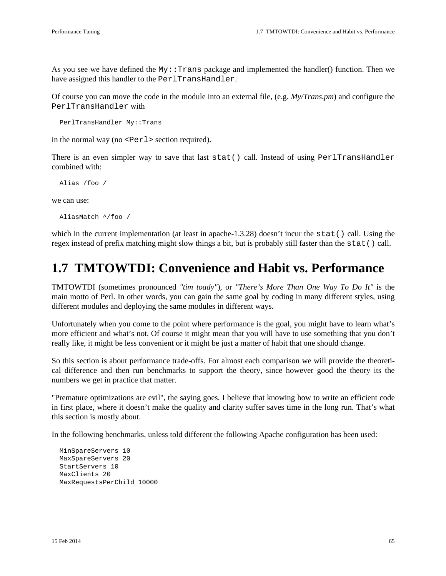As you see we have defined the  $My::\text{Trans package}$  and implemented the handler() function. Then we have assigned this handler to the PerlTransHandler.

Of course you can move the code in the module into an external file, (e.g. *My/Trans.pm*) and configure the PerlTransHandler with

PerlTransHandler My::Trans

in the normal way (no  $\leq$ Perl > section required).

There is an even simpler way to save that last stat() call. Instead of using PerlTransHandler combined with:

Alias /foo /

we can use:

AliasMatch ^/foo /

which in the current implementation (at least in apache-1.3.28) doesn't incur the stat() call. Using the regex instead of prefix matching might slow things a bit, but is probably still faster than the stat() call.

# **1.7 TMTOWTDI: Convenience and Habit vs. Performance**

TMTOWTDI (sometimes pronounced *"tim toady"*), or *"There's More Than One Way To Do It"* is the main motto of Perl. In other words, you can gain the same goal by coding in many different styles, using different modules and deploying the same modules in different ways.

Unfortunately when you come to the point where performance is the goal, you might have to learn what's more efficient and what's not. Of course it might mean that you will have to use something that you don't really like, it might be less convenient or it might be just a matter of habit that one should change.

So this section is about performance trade-offs. For almost each comparison we will provide the theoretical difference and then run benchmarks to support the theory, since however good the theory its the numbers we get in practice that matter.

"Premature optimizations are evil", the saying goes. I believe that knowing how to write an efficient code in first place, where it doesn't make the quality and clarity suffer saves time in the long run. That's what this section is mostly about.

In the following benchmarks, unless told different the following Apache configuration has been used:

 MinSpareServers 10 MaxSpareServers 20 StartServers 10 MaxClients 20 MaxRequestsPerChild 10000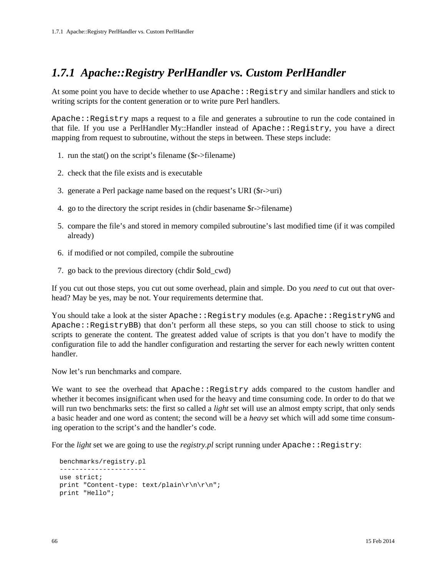# *1.7.1 Apache::Registry PerlHandler vs. Custom PerlHandler*

At some point you have to decide whether to use Apache::Registry and similar handlers and stick to writing scripts for the content generation or to write pure Perl handlers.

Apache::Registry maps a request to a file and generates a subroutine to run the code contained in that file. If you use a PerlHandler My::Handler instead of Apache::Registry, you have a direct mapping from request to subroutine, without the steps in between. These steps include:

- 1. run the stat() on the script's filename (\$r->filename)
- 2. check that the file exists and is executable
- 3. generate a Perl package name based on the request's URI (\$r->uri)
- 4. go to the directory the script resides in (chdir basename \$r->filename)
- 5. compare the file's and stored in memory compiled subroutine's last modified time (if it was compiled already)
- 6. if modified or not compiled, compile the subroutine
- 7. go back to the previous directory (chdir \$old\_cwd)

If you cut out those steps, you cut out some overhead, plain and simple. Do you *need* to cut out that overhead? May be yes, may be not. Your requirements determine that.

You should take a look at the sister Apache::Registry modules (e.g. Apache::RegistryNG and Apache::RegistryBB) that don't perform all these steps, so you can still choose to stick to using scripts to generate the content. The greatest added value of scripts is that you don't have to modify the configuration file to add the handler configuration and restarting the server for each newly written content handler.

Now let's run benchmarks and compare.

We want to see the overhead that Apache: Reqistry adds compared to the custom handler and whether it becomes insignificant when used for the heavy and time consuming code. In order to do that we will run two benchmarks sets: the first so called a *light* set will use an almost empty script, that only sends a basic header and one word as content; the second will be a *heavy* set which will add some time consuming operation to the script's and the handler's code.

For the *light* set we are going to use the *registry.pl* script running under  $\text{Apache}:$   $\text{Registry}:$ 

```
 benchmarks/registry.pl
 ----------------------
 use strict;
 print "Content-type: text/plain\r\n\r\n";
 print "Hello";
```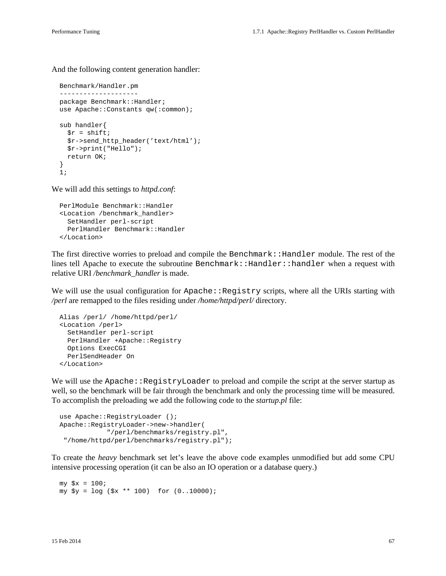And the following content generation handler:

```
 Benchmark/Handler.pm
 --------------------
 package Benchmark::Handler;
 use Apache::Constants qw(:common);
 sub handler{
  \zeta r = \text{shift} $r->send_http_header('text/html');
   $r->print("Hello");
   return OK;
 }
 1;
```
We will add this settings to *httpd.conf*:

```
 PerlModule Benchmark::Handler
 <Location /benchmark_handler>
   SetHandler perl-script
   PerlHandler Benchmark::Handler
 </Location>
```
The first directive worries to preload and compile the Benchmark::Handler module. The rest of the lines tell Apache to execute the subroutine Benchmark::Handler::handler when a request with relative URI */benchmark\_handler* is made.

We will use the usual configuration for  $\text{Apache}:Registry$  scripts, where all the URIs starting with */perl* are remapped to the files residing under */home/httpd/perl/* directory.

```
 Alias /perl/ /home/httpd/perl/
 <Location /perl>
  SetHandler perl-script
   PerlHandler +Apache::Registry
   Options ExecCGI
   PerlSendHeader On
 </Location>
```
We will use the Apache:: $RegistryLoader$  to preload and compile the script at the server startup as well, so the benchmark will be fair through the benchmark and only the processing time will be measured. To accomplish the preloading we add the following code to the *startup.pl* file:

```
use Apache::RegistryLoader ();
 Apache::RegistryLoader->new->handler(
             "/perl/benchmarks/registry.pl",
  "/home/httpd/perl/benchmarks/registry.pl");
```
To create the *heavy* benchmark set let's leave the above code examples unmodified but add some CPU intensive processing operation (it can be also an IO operation or a database query.)

```
my \,$x = 100; my $y = log ($x ** 100) for (0..10000);
```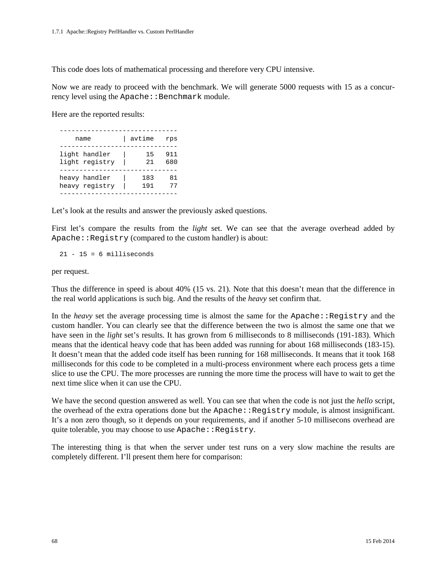This code does lots of mathematical processing and therefore very CPU intensive.

Now we are ready to proceed with the benchmark. We will generate 5000 requests with 15 as a concurrency level using the  $A$ pache::Benchmark module.

Here are the reported results:

| name           | avtime | rps |
|----------------|--------|-----|
| light handler  | 15     | 911 |
| light registry | 21     | 680 |
| heavy handler  | 183    | 81  |
| heavy registry | 191    | 77  |

Let's look at the results and answer the previously asked questions.

First let's compare the results from the *light* set. We can see that the average overhead added by Apache::Registry (compared to the custom handler) is about:

 $21 - 15 = 6$  milliseconds

per request.

Thus the difference in speed is about 40% (15 vs. 21). Note that this doesn't mean that the difference in the real world applications is such big. And the results of the *heavy* set confirm that.

In the *heavy* set the average processing time is almost the same for the Apache: Registry and the custom handler. You can clearly see that the difference between the two is almost the same one that we have seen in the *light* set's results. It has grown from 6 milliseconds to 8 milliseconds (191-183). Which means that the identical heavy code that has been added was running for about 168 milliseconds (183-15). It doesn't mean that the added code itself has been running for 168 milliseconds. It means that it took 168 milliseconds for this code to be completed in a multi-process environment where each process gets a time slice to use the CPU. The more processes are running the more time the process will have to wait to get the next time slice when it can use the CPU.

We have the second question answered as well. You can see that when the code is not just the *hello* script, the overhead of the extra operations done but the  $A$ pache:: $R$ egistry module, is almost insignificant. It's a non zero though, so it depends on your requirements, and if another 5-10 millisecons overhead are quite tolerable, you may choose to use Apache: : Registry.

The interesting thing is that when the server under test runs on a very slow machine the results are completely different. I'll present them here for comparison: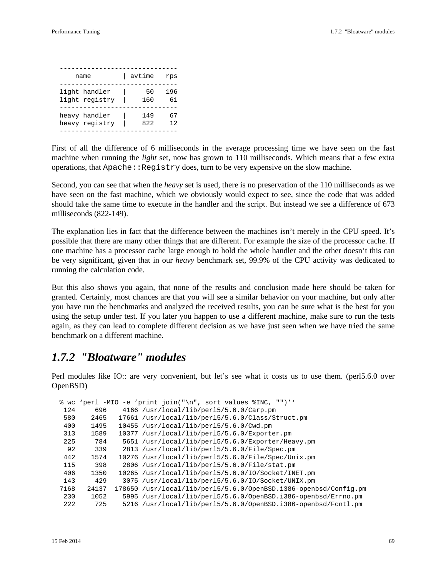| name           | avtime | rps |
|----------------|--------|-----|
| light handler  | 50     | 196 |
| light registry | 160    | 61  |
| heavy handler  | 149    | 67  |
| heavy registry | 822    | 12  |

First of all the difference of 6 milliseconds in the average processing time we have seen on the fast machine when running the *light* set, now has grown to 110 milliseconds. Which means that a few extra operations, that Apache: : Registry does, turn to be very expensive on the slow machine.

Second, you can see that when the *heavy* set is used, there is no preservation of the 110 milliseconds as we have seen on the fast machine, which we obviously would expect to see, since the code that was added should take the same time to execute in the handler and the script. But instead we see a difference of 673 milliseconds (822-149).

The explanation lies in fact that the difference between the machines isn't merely in the CPU speed. It's possible that there are many other things that are different. For example the size of the processor cache. If one machine has a processor cache large enough to hold the whole handler and the other doesn't this can be very significant, given that in our *heavy* benchmark set, 99.9% of the CPU activity was dedicated to running the calculation code.

But this also shows you again, that none of the results and conclusion made here should be taken for granted. Certainly, most chances are that you will see a similar behavior on your machine, but only after you have run the benchmarks and analyzed the received results, you can be sure what is the best for you using the setup under test. If you later you happen to use a different machine, make sure to run the tests again, as they can lead to complete different decision as we have just seen when we have tried the same benchmark on a different machine.

### *1.7.2 "Bloatware" modules*

Perl modules like IO:: are very convenient, but let's see what it costs us to use them. (perl5.6.0 over OpenBSD)

|      |       | % wc 'perl -MIO -e 'print join("\n", sort values %INC, "")''     |
|------|-------|------------------------------------------------------------------|
| 124  | 696   | $4166$ /usr/local/lib/per15/5.6.0/Carp.pm                        |
| 580  | 2465  | 17661 /usr/local/lib/per15/5.6.0/Class/Struct.pm                 |
| 400  | 1495  | 10455 /usr/local/lib/per15/5.6.0/Cwd.pm                          |
| 313  | 1589  | 10377 /usr/local/lib/per15/5.6.0/Exporter.pm                     |
| 225  | 784   | 5651 /usr/local/lib/per15/5.6.0/Exporter/Heavy.pm                |
| 92   | 339   | $2813$ /usr/local/lib/per15/5.6.0/File/Spec.pm                   |
| 442  | 1574  | 10276 /usr/local/lib/per15/5.6.0/File/Spec/Unix.pm               |
| 115  | 398   | 2806 /usr/local/lib/per15/5.6.0/File/stat.pm                     |
| 406  | 1350  | $10265$ /usr/local/lib/per15/5.6.0/IO/Socket/INET.pm             |
| 143  | 429   | 3075 /usr/local/lib/per15/5.6.0/IO/Socket/UNIX.pm                |
| 7168 | 24137 | 178650 /usr/local/lib/per15/5.6.0/OpenBSD.i386-openbsd/Config.pm |
| 230  | 1052  | 5995 /usr/local/lib/per15/5.6.0/OpenBSD.i386-openbsd/Errno.pm    |
| 222  | 725   | 5216 /usr/local/lib/per15/5.6.0/OpenBSD.i386-openbsd/Fcntl.pm    |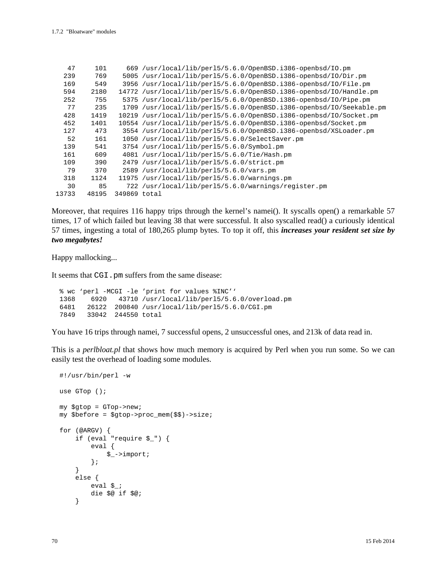| 47    | 101   |              | 669 /usr/local/lib/per15/5.6.0/OpenBSD.i386-openbsd/IO.pm           |
|-------|-------|--------------|---------------------------------------------------------------------|
| 239   | 769   |              | 5005 /usr/local/lib/per15/5.6.0/OpenBSD.i386-openbsd/IO/Dir.pm      |
| 169   | 549   | 3956         | /usr/local/lib/per15/5.6.0/OpenBSD.i386-openbsd/IO/File.pm          |
| 594   | 2180  |              | 14772 /usr/local/lib/per15/5.6.0/OpenBSD.i386-openbsd/IO/Handle.pm  |
| 252   | 755   |              | 5375 /usr/local/lib/per15/5.6.0/OpenBSD.i386-openbsd/IO/Pipe.pm     |
| 77    | 235   |              | 1709 /usr/local/lib/per15/5.6.0/OpenBSD.i386-openbsd/IO/Seekable.pm |
| 428   | 1419  |              | 10219 /usr/local/lib/per15/5.6.0/OpenBSD.i386-openbsd/IO/Socket.pm  |
| 452   | 1401  |              | 10554 /usr/local/lib/per15/5.6.0/OpenBSD.i386-openbsd/Socket.pm     |
| 127   | 473   |              | 3554 /usr/local/lib/perl5/5.6.0/OpenBSD.i386-openbsd/XSLoader.pm    |
| 52    | 161   |              | 1050 /usr/local/lib/per15/5.6.0/SelectSaver.pm                      |
| 139   | 541   |              | 3754 /usr/local/lib/perl5/5.6.0/Symbol.pm                           |
| 161   | 609   |              | 4081 /usr/local/lib/per15/5.6.0/Tie/Hash.pm                         |
| 109   | 390   | 2479         | /usr/local/lib/per15/5.6.0/strict.pm                                |
| 79    | 370   |              | 2589 /usr/local/lib/perl5/5.6.0/vars.pm                             |
| 318   | 1124  | 11975        | /usr/local/lib/per15/5.6.0/warnings.pm                              |
| 30    | 85    |              | 722 /usr/local/lib/per15/5.6.0/warnings/register.pm                 |
| 13733 | 48195 | 349869 total |                                                                     |

Moreover, that requires 116 happy trips through the kernel's namei(). It syscalls open() a remarkable 57 times, 17 of which failed but leaving 38 that were successful. It also syscalled read() a curiously identical 57 times, ingesting a total of 180,265 plump bytes. To top it off, this *increases your resident set size by two megabytes!*

Happy mallocking...

It seems that CGI.pm suffers from the same disease:

```
 % wc 'perl -MCGI -le 'print for values %INC''
 1368 6920 43710 /usr/local/lib/perl5/5.6.0/overload.pm
 6481 26122 200840 /usr/local/lib/perl5/5.6.0/CGI.pm
 7849 33042 244550 total
```
You have 16 trips through namei, 7 successful opens, 2 unsuccessful ones, and 213k of data read in.

This is a *perlbloat.pl* that shows how much memory is acquired by Perl when you run some. So we can easily test the overhead of loading some modules.

```
 #!/usr/bin/perl -w
 use GTop ();
 my $gtop = GTop->new;
 my $before = $gtop->proc_mem($$)->size;
 for (@ARGV) {
     if (eval "require $_") {
          eval {
              $_->import;
          };
     }
     else {
         eval \zeta;
          die $@ if $@;
     }
```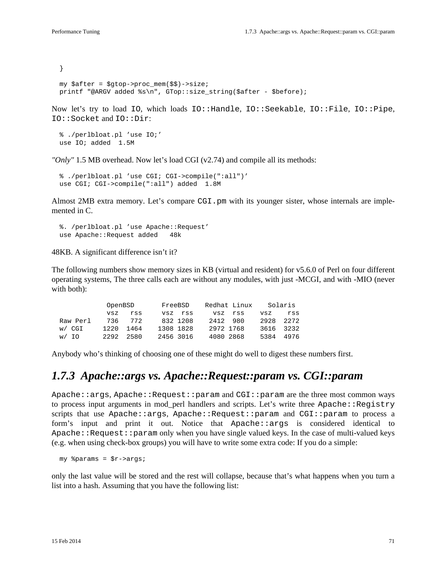} my \$after = \$gtop->proc\_mem(\$\$)->size; printf "@ARGV added %s\n", GTop::size\_string(\$after - \$before);

Now let's try to load IO, which loads IO::Handle, IO::Seekable, IO::File, IO::Pipe, IO::Socket and IO::Dir:

```
 % ./perlbloat.pl 'use IO;'
 use IO; added 1.5M
```
*"Only"* 1.5 MB overhead. Now let's load CGI (v2.74) and compile all its methods:

```
 % ./perlbloat.pl 'use CGI; CGI->compile(":all")'
use CGI; CGI->compile(":all") added 1.8M
```
Almost 2MB extra memory. Let's compare CGI, pm with its younger sister, whose internals are implemented in C.

 %. /perlbloat.pl 'use Apache::Request' use Apache:: Request added 48k

48KB. A significant difference isn't it?

The following numbers show memory sizes in KB (virtual and resident) for v5.6.0 of Perl on four different operating systems, The three calls each are without any modules, with just -MCGI, and with -MIO (never with both):

|          | OpenBSD |      | FreeBSD   |           | Redhat Linux |     | Solaris |      |
|----------|---------|------|-----------|-----------|--------------|-----|---------|------|
|          | VSZ     | rss  | vsz       | rss       | VSZ          | rss | vsz     | rss  |
| Raw Perl | 736     | 772  |           | 832 1208  | 2412         | 980 | 2928    | 2272 |
| w/ CGI   | 1220    | 1464 | 1308 1828 |           | 2972 1768    |     | 3616    | 3232 |
| w/ IO    | 2292    | 2580 |           | 2456 3016 | 4080 2868    |     | 5384    | 4976 |

Anybody who's thinking of choosing one of these might do well to digest these numbers first.

### *1.7.3 Apache::args vs. Apache::Request::param vs. CGI::param*

Apache::args, Apache::Request::param and CGI::param are the three most common ways to process input arguments in mod\_perl handlers and scripts. Let's write three Apache::Registry scripts that use Apache::args, Apache::Request::param and CGI::param to process a form's input and print it out. Notice that Apache::args is considered identical to  $A$ pache::Request::param only when you have single valued keys. In the case of multi-valued keys (e.g. when using check-box groups) you will have to write some extra code: If you do a simple:

my %params = \$r->args;

only the last value will be stored and the rest will collapse, because that's what happens when you turn a list into a hash. Assuming that you have the following list: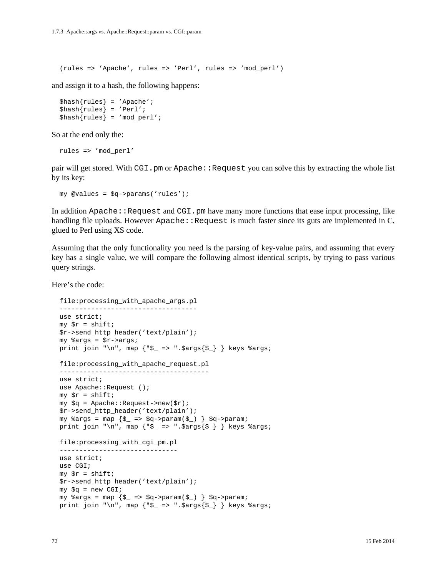(rules => 'Apache', rules => 'Perl', rules => 'mod\_perl')

and assign it to a hash, the following happens:

```
\{\text{hash}\}\ = 'Apache';
\hbox{Shash}{rules} = 'Perl';
\{\text{hash}\{rules\} = 'mod\_perl';
```
So at the end only the:

```
 rules => 'mod_perl'
```
pair will get stored. With CGI.pm or Apache::Request you can solve this by extracting the whole list by its key:

```
 my @values = $q->params('rules');
```
In addition Apache::Request and CGI.pm have many more functions that ease input processing, like handling file uploads. However  $A$ pache:  $R$ equest is much faster since its guts are implemented in  $C$ , glued to Perl using XS code.

Assuming that the only functionality you need is the parsing of key-value pairs, and assuming that every key has a single value, we will compare the following almost identical scripts, by trying to pass various query strings.

Here's the code:

```
 file:processing_with_apache_args.pl
 -----------------------------------
 use strict;
my \text{sr} = \text{shift};
 $r->send_http_header('text/plain');
 my %args = $r->args;
print join "\n", map \{\overline{\mathcal{S}} = \overline{\mathcal{S}} \} } keys \text{args}; file:processing_with_apache_request.pl
 --------------------------------------
 use strict;
use Apache::Request ();
my \,$r = shift;
my \zeta q = Apache:: Request->new(\zeta r);
 $r->send_http_header('text/plain');
 my %args = map {$_ => $q->param($_) } $q->param;
print join "\n", map \{\overline{\ } = \ ".\overline{\ } \overline{\ } \} keys \overline{\ } args;
 file:processing_with_cgi_pm.pl
 ------------------------------
 use strict;
 use CGI;
my \,$r = shift;
 $r->send_http_header('text/plain');
my Sq = new CGI;
my \arg s = \arg \{\xi_-\implies \xi q - \text{param}(\xi_+) \} \xi q - \text{param};print join "\n", map \{ "$_ => ".$args\{$_} \} keys %args;
```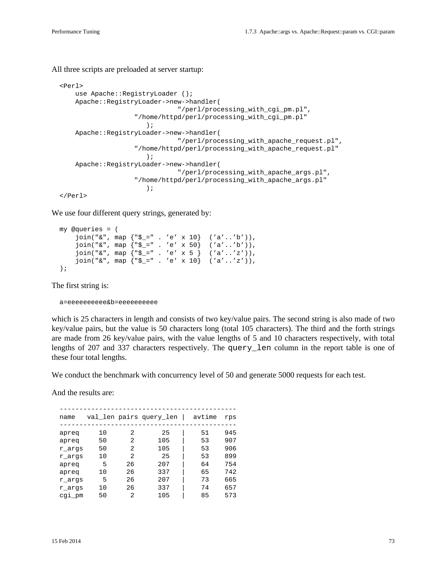All three scripts are preloaded at server startup:

```
 <Perl>
     use Apache::RegistryLoader ();
      Apache::RegistryLoader->new->handler(
                                "/perl/processing_with_cgi_pm.pl",
                     "/home/httpd/perl/processing_with_cgi_pm.pl"
\hspace{0.1cm});
      Apache::RegistryLoader->new->handler(
                                "/perl/processing_with_apache_request.pl",
                     "/home/httpd/perl/processing_with_apache_request.pl"
\hspace{0.1cm});
      Apache::RegistryLoader->new->handler(
                                "/perl/processing_with_apache_args.pl",
                     "/home/httpd/perl/processing_with_apache_args.pl"
\hspace{0.1cm});
  </Perl>
```
We use four different query strings, generated by:

```
 my @queries = (
     join("&", map {"$_=" . 'e' x 10} ('a'..'b')),
    join("&", map \{"$_=" . 'e' x 50} ('a'..'b')),
     join("&", map {"$_=" . 'e' x 5 } ('a'..'z')),
    join("&", map \{"$_=" . 'e' x 10} ('a'..'z')),
 );
```
The first string is:

a=eeeeeeeeee&b=eeeeeeeeee

which is 25 characters in length and consists of two key/value pairs. The second string is also made of two key/value pairs, but the value is 50 characters long (total 105 characters). The third and the forth strings are made from 26 key/value pairs, with the value lengths of 5 and 10 characters respectively, with total lengths of 207 and 337 characters respectively. The query\_len column in the report table is one of these four total lengths.

We conduct the benchmark with concurrency level of 50 and generate 5000 requests for each test.

And the results are:

| name   |    |               | val_len pairs query_len | avtime | rps |
|--------|----|---------------|-------------------------|--------|-----|
| apreq  | 10 | 2             | 25                      | 51     | 945 |
| apreq  | 50 | 2             | 105                     | 53     | 907 |
| r args | 50 | 2             | 105                     | 53     | 906 |
| r args | 10 | $\mathcal{L}$ | 25                      | 53     | 899 |
| apreq  | 5  | 26            | 207                     | 64     | 754 |
| apreq  | 10 | 26            | 337                     | 65     | 742 |
| r args | 5  | 26            | 207                     | 73     | 665 |
| r args | 10 | 26            | 337                     | 74     | 657 |
| cgi_pm | 50 | 2             | 105                     | 85     | 573 |
|        |    |               |                         |        |     |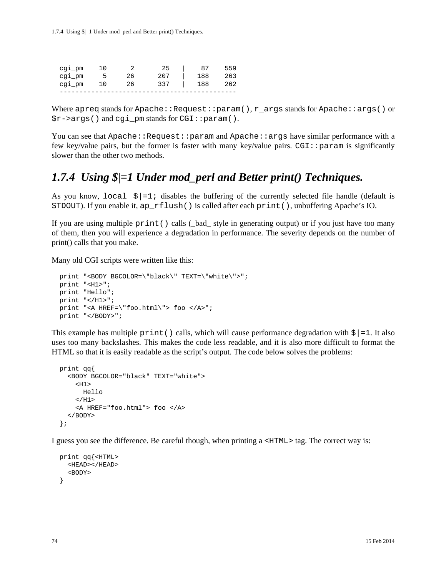1.7.4 Using \$|=1 Under mod\_perl and Better print() Techniques.

| cgi_pm | 1 O |    | 25  | 87  | 559 |
|--------|-----|----|-----|-----|-----|
| cgi pm | Б.  | 26 | 207 | 188 | 263 |
| cgi pm | 1 O | 26 | 337 | 188 | 262 |
|        |     |    |     |     |     |

Where apreq stands for Apache::Request::param(),  $r$  args stands for Apache::args() or \$r->args() and cgi\_pm stands for CGI::param().

You can see that  $A$ pache:: $R$ equest:: $p$ aram and  $A$ pache:: $\arg s$  have similar performance with a few key/value pairs, but the former is faster with many key/value pairs. CGI::param is significantly slower than the other two methods.

### *1.7.4 Using \$|=1 Under mod\_perl and Better print() Techniques.*

As you know,  $local \xi|=1$ ; disables the buffering of the currently selected file handle (default is STDOUT). If you enable it, ap\_rflush() is called after each print(), unbuffering Apache's IO.

If you are using multiple print() calls (\_bad\_ style in generating output) or if you just have too many of them, then you will experience a degradation in performance. The severity depends on the number of print() calls that you make.

Many old CGI scripts were written like this:

```
 print "<BODY BGCOLOR=\"black\" TEXT=\"white\">";
 print "<H1>";
 print "Hello";
print "</H1>";
 print "<A HREF=\"foo.html\"> foo </A>";
 print "</BODY>";
```
This example has multiple print () calls, which will cause performance degradation with  $\frac{1}{5}$  = 1. It also uses too many backslashes. This makes the code less readable, and it is also more difficult to format the HTML so that it is easily readable as the script's output. The code below solves the problems:

```
 print qq{
   <BODY BGCOLOR="black" TEXT="white">
    H1 Hello
    </H<sub>1</sub>>
     <A HREF="foo.html"> foo </A>
   </BODY>
 };
```
I guess you see the difference. Be careful though, when printing a <HTML> tag. The correct way is:

```
 print qq{<HTML>
   <HEAD></HEAD>
   <BODY>
 }
```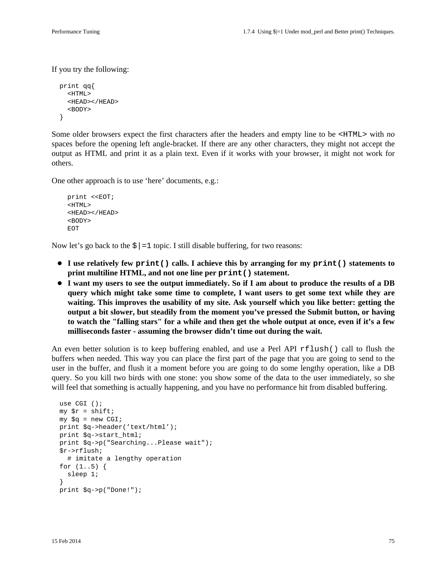If you try the following:

```
 print qq{
   <HTML>
   <HEAD></HEAD>
   <BODY>
 }
```
Some older browsers expect the first characters after the headers and empty line to be <HTML> with *no* spaces before the opening left angle-bracket. If there are any other characters, they might not accept the output as HTML and print it as a plain text. Even if it works with your browser, it might not work for others.

One other approach is to use 'here' documents, e.g.:

```
 print <<EOT;
 <HTML>
 <HEAD></HEAD>
 <BODY>
EOT
```
Now let's go back to the  $\zeta$  = 1 topic. I still disable buffering, for two reasons:

- **I use relatively few print() calls. I achieve this by arranging for my print() statements to print multiline HTML, and not one line per print() statement.**
- **I want my users to see the output immediately. So if I am about to produce the results of a DB query which might take some time to complete, I want users to get some text while they are waiting. This improves the usability of my site. Ask yourself which you like better: getting the output a bit slower, but steadily from the moment you've pressed the Submit button, or having to watch the "falling stars" for a while and then get the whole output at once, even if it's a few milliseconds faster - assuming the browser didn't time out during the wait.**

An even better solution is to keep buffering enabled, and use a Perl API rflush() call to flush the buffers when needed. This way you can place the first part of the page that you are going to send to the user in the buffer, and flush it a moment before you are going to do some lengthy operation, like a DB query. So you kill two birds with one stone: you show some of the data to the user immediately, so she will feel that something is actually happening, and you have no performance hit from disabled buffering.

```
 use CGI ();
my \r = shift;
my \zeta q = new CGI;
 print $q->header('text/html');
 print $q->start_html;
 print $q->p("Searching...Please wait");
 $r->rflush;
   # imitate a lengthy operation
 for (1..5) {
   sleep 1;
 }
 print $q->p("Done!");
```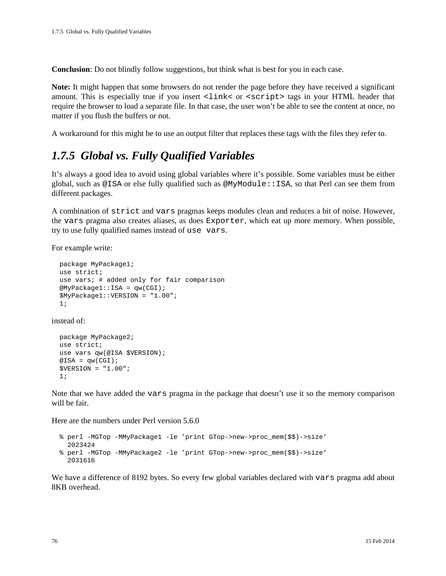**Conclusion**: Do not blindly follow suggestions, but think what is best for you in each case.

**Note:** It might happen that some browsers do not render the page before they have received a significant amount. This is especially true if you insert  $\langle$ link $\langle$  or  $\rangle$   $\langle$   $\langle$   $\rangle$  tags in your HTML header that require the browser to load a separate file. In that case, the user won't be able to see the content at once, no matter if you flush the buffers or not.

A workaround for this might be to use an output filter that replaces these tags with the files they refer to.

## *1.7.5 Global vs. Fully Qualified Variables*

It's always a good idea to avoid using global variables where it's possible. Some variables must be either global, such as @ISA or else fully qualified such as @MyModule::ISA, so that Perl can see them from different packages.

A combination of strict and vars pragmas keeps modules clean and reduces a bit of noise. However, the vars pragma also creates aliases, as does Exporter, which eat up more memory. When possible, try to use fully qualified names instead of use vars.

For example write:

```
 package MyPackage1;
 use strict;
 use vars; # added only for fair comparison
 @MyPackage1::ISA = qw(CGI);
 $MyPackage1::VERSION = "1.00";
 1;
```
instead of:

```
 package MyPackage2;
 use strict;
use vars qw(@ISA $VERSION);
@ISA = qw(CGI); $VERSION = "1.00";
 1;
```
Note that we have added the vars pragma in the package that doesn't use it so the memory comparison will be fair.

Here are the numbers under Perl version 5.6.0

```
 % perl -MGTop -MMyPackage1 -le 'print GTop->new->proc_mem($$)->size'
  2023424
 % perl -MGTop -MMyPackage2 -le 'print GTop->new->proc_mem($$)->size'
   2031616
```
We have a difference of 8192 bytes. So every few global variables declared with vars pragma add about 8KB overhead.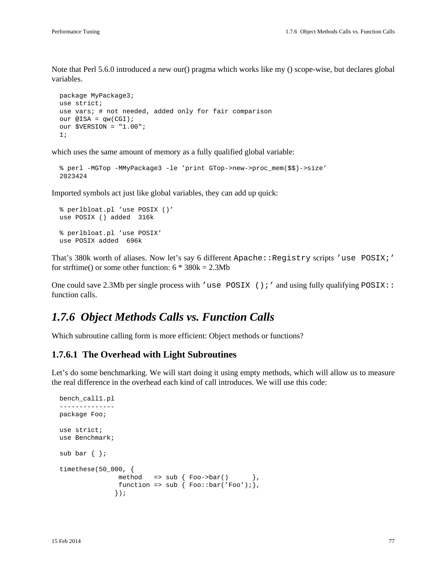Note that Perl 5.6.0 introduced a new our() pragma which works like my () scope-wise, but declares global variables.

```
 package MyPackage3;
 use strict;
 use vars; # not needed, added only for fair comparison
our @ISA = qw(CGI);
 our $VERSION = "1.00";
 1;
```
which uses the same amount of memory as a fully qualified global variable:

```
 % perl -MGTop -MMyPackage3 -le 'print GTop->new->proc_mem($$)->size'
 2023424
```
Imported symbols act just like global variables, they can add up quick:

```
 % perlbloat.pl 'use POSIX ()'
 use POSIX () added 316k
 % perlbloat.pl 'use POSIX'
 use POSIX added 696k
```
That's 380k worth of aliases. Now let's say 6 different Apache: : Registry scripts 'use POSIX;' for strftime() or some other function:  $6 * 380k = 2.3Mb$ 

One could save 2.3Mb per single process with 'use POSIX (); ' and using fully qualifying POSIX:: function calls.

### *1.7.6 Object Methods Calls vs. Function Calls*

Which subroutine calling form is more efficient: Object methods or functions?

#### **1.7.6.1 The Overhead with Light Subroutines**

Let's do some benchmarking. We will start doing it using empty methods, which will allow us to measure the real difference in the overhead each kind of call introduces. We will use this code:

```
 bench_call1.pl
 --------------
 package Foo;
 use strict;
 use Benchmark;
 sub bar { };
 timethese(50_000, {
               method => sub \{ Foo->bar() \},
               function => sub { Foo::bar('Foo');},
                });
```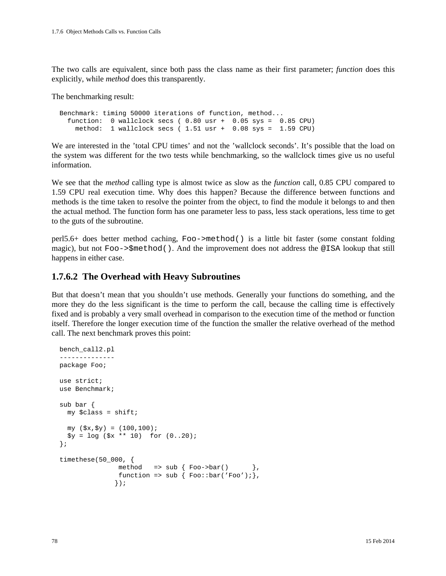The two calls are equivalent, since both pass the class name as their first parameter; *function* does this explicitly, while *method* does this transparently.

The benchmarking result:

 Benchmark: timing 50000 iterations of function, method... function: 0 wallclock secs ( 0.80 usr + 0.05 sys = 0.85 CPU) method: 1 wallclock secs ( 1.51 usr + 0.08 sys = 1.59 CPU)

We are interested in the 'total CPU times' and not the 'wallclock seconds'. It's possible that the load on the system was different for the two tests while benchmarking, so the wallclock times give us no useful information.

We see that the *method* calling type is almost twice as slow as the *function* call, 0.85 CPU compared to 1.59 CPU real execution time. Why does this happen? Because the difference between functions and methods is the time taken to resolve the pointer from the object, to find the module it belongs to and then the actual method. The function form has one parameter less to pass, less stack operations, less time to get to the guts of the subroutine.

perl5.6+ does better method caching, Foo->method() is a little bit faster (some constant folding magic), but not Foo->\$method(). And the improvement does not address the @ISA lookup that still happens in either case.

#### **1.7.6.2 The Overhead with Heavy Subroutines**

But that doesn't mean that you shouldn't use methods. Generally your functions do something, and the more they do the less significant is the time to perform the call, because the calling time is effectively fixed and is probably a very small overhead in comparison to the execution time of the method or function itself. Therefore the longer execution time of the function the smaller the relative overhead of the method call. The next benchmark proves this point:

```
 bench_call2.pl
 --------------
 package Foo;
 use strict;
 use Benchmark;
 sub bar { 
   my $class = shift;
  my (\$x, \$y) = (100, 100);$y = log ( $x ** 10) for (0..20); };
 timethese(50_000, {
                 method => \text{sub} \left\{ \text{Foo->bar( )} \right\}function => sub { Foo::bar('Foo');},
                 });
```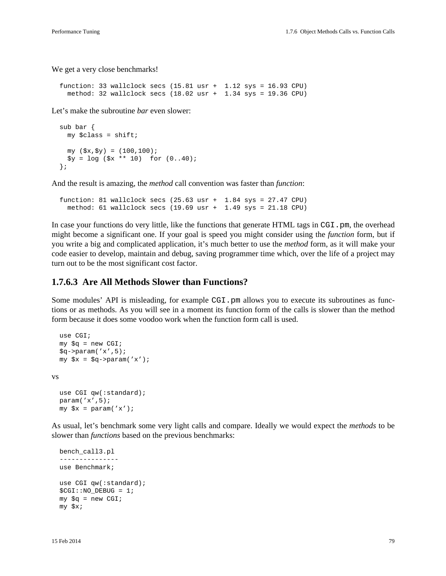We get a very close benchmarks!

function: 33 wallclock secs  $(15.81$  usr + 1.12 sys = 16.93 CPU) method: 32 wallclock secs (18.02 usr + 1.34 sys = 19.36 CPU)

Let's make the subroutine *bar* even slower:

```
 sub bar { 
   my $class = shift;
  my ( $x, $y) = (100, 100);
  $y = log ( $x ** 10) for (0..40); };
```
And the result is amazing, the *method* call convention was faster than *function*:

```
function: 81 wallclock secs (25.63 \text{usr} + 1.84 \text{ sys} = 27.47 \text{ CPU}) method: 61 wallclock secs (19.69 usr + 1.49 sys = 21.18 CPU)
```
In case your functions do very little, like the functions that generate HTML tags in CGI.pm, the overhead might become a significant one. If your goal is speed you might consider using the *function* form, but if you write a big and complicated application, it's much better to use the *method* form, as it will make your code easier to develop, maintain and debug, saving programmer time which, over the life of a project may turn out to be the most significant cost factor.

#### **1.7.6.3 Are All Methods Slower than Functions?**

Some modules' API is misleading, for example CGI. pm allows you to execute its subroutines as functions or as methods. As you will see in a moment its function form of the calls is slower than the method form because it does some voodoo work when the function form call is used.

```
 use CGI;
  my \zeta q = new CGI;
  \sqrt{q}->param('x',5);
  my x = \sqrt{q} ->param('x');
vs
   use CGI qw(:standard);
   param('x',5);
  my \,$x = param('x');
```
As usual, let's benchmark some very light calls and compare. Ideally we would expect the *methods* to be slower than *functions* based on the previous benchmarks:

```
 bench_call3.pl
 ---------------
 use Benchmark;
 use CGI qw(:standard);
 $CGI::NO_DEBUG = 1;
my \zeta q = new CGI;
 my $x;
```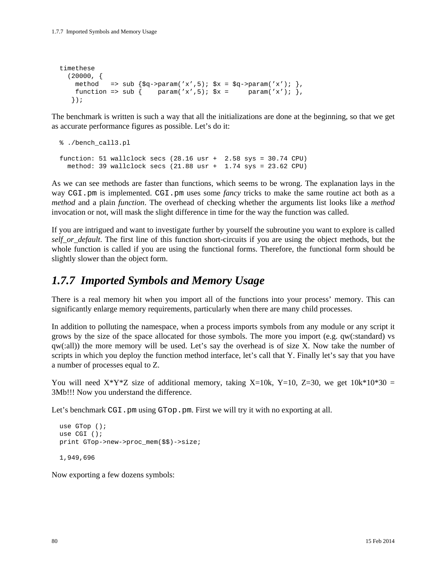```
 timethese
  (20000, )method => sub \{\text{Sq}->param('x',5); \text{Sx} = \text{Sq}->param('x'); },
    function => sub { param('x',5); \xix = param('x'); },
    });
```
The benchmark is written is such a way that all the initializations are done at the beginning, so that we get as accurate performance figures as possible. Let's do it:

```
 % ./bench_call3.pl
function: 51 wallclock secs (28.16 \text{ usr} + 2.58 \text{ sys} = 30.74 \text{ CPU})method: 39 wallclock secs (21.88 \text{ usr} + 1.74 \text{ sys} = 23.62 \text{ CPU})
```
As we can see methods are faster than functions, which seems to be wrong. The explanation lays in the way CGI.pm is implemented. CGI.pm uses some *fancy* tricks to make the same routine act both as a *method* and a plain *function*. The overhead of checking whether the arguments list looks like a *method* invocation or not, will mask the slight difference in time for the way the function was called.

If you are intrigued and want to investigate further by yourself the subroutine you want to explore is called *self\_or\_default*. The first line of this function short-circuits if you are using the object methods, but the whole function is called if you are using the functional forms. Therefore, the functional form should be slightly slower than the object form.

### *1.7.7 Imported Symbols and Memory Usage*

There is a real memory hit when you import all of the functions into your process' memory. This can significantly enlarge memory requirements, particularly when there are many child processes.

In addition to polluting the namespace, when a process imports symbols from any module or any script it grows by the size of the space allocated for those symbols. The more you import (e.g. qw(:standard) vs qw(:all)) the more memory will be used. Let's say the overhead is of size X. Now take the number of scripts in which you deploy the function method interface, let's call that Y. Finally let's say that you have a number of processes equal to Z.

You will need  $X^*Y^*Z$  size of additional memory, taking X=10k, Y=10, Z=30, we get  $10k^*10^*30 =$ 3Mb!!! Now you understand the difference.

Let's benchmark CGI.pm using GTop.pm. First we will try it with no exporting at all.

```
 use GTop ();
 use CGI ();
 print GTop->new->proc_mem($$)->size;
 1,949,696
```
Now exporting a few dozens symbols: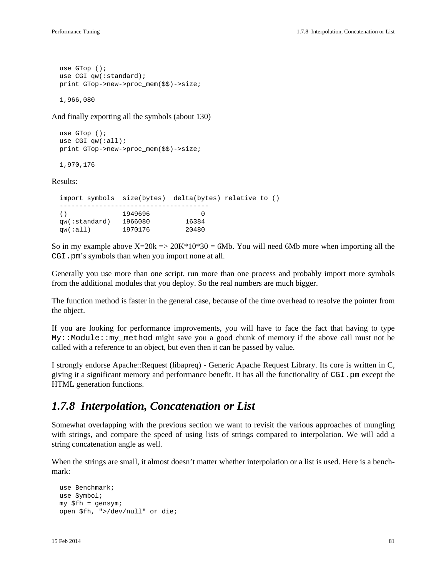```
 use GTop ();
 use CGI qw(:standard);
 print GTop->new->proc_mem($$)->size;
```
1,966,080

And finally exporting all the symbols (about 130)

```
 use GTop ();
 use CGI qw(:all);
 print GTop->new->proc_mem($$)->size;
```
1,970,176

Results:

```
 import symbols size(bytes) delta(bytes) relative to ()
  --------------------------------------
  () 1949696 0
 qw(:standard) 1966080 16384
 qw(:all) 1970176 20480
```
So in my example above  $X=20k = 20K*10*30 = 6Mb$ . You will need 6Mb more when importing all the CGI.pm's symbols than when you import none at all.

Generally you use more than one script, run more than one process and probably import more symbols from the additional modules that you deploy. So the real numbers are much bigger.

The function method is faster in the general case, because of the time overhead to resolve the pointer from the object.

If you are looking for performance improvements, you will have to face the fact that having to type My::Module::my\_method might save you a good chunk of memory if the above call must not be called with a reference to an object, but even then it can be passed by value.

I strongly endorse Apache::Request (libapreq) - Generic Apache Request Library. Its core is written in C, giving it a significant memory and performance benefit. It has all the functionality of CGI.pm except the HTML generation functions.

### *1.7.8 Interpolation, Concatenation or List*

Somewhat overlapping with the previous section we want to revisit the various approaches of mungling with strings, and compare the speed of using lists of strings compared to interpolation. We will add a string concatenation angle as well.

When the strings are small, it almost doesn't matter whether interpolation or a list is used. Here is a benchmark:

```
 use Benchmark;
 use Symbol;
 my $fh = gensym;
 open $fh, ">/dev/null" or die;
```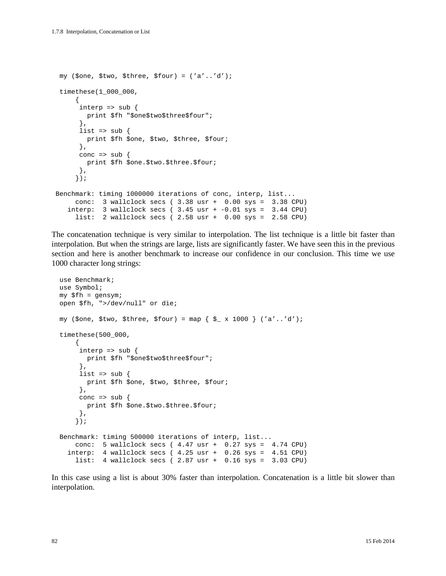```
 my ($one, $two, $three, $four) = ('a'..'d');
  timethese(1_000_000,
      {
      \text{interp} => sub {
        print $fh "$one$two$three$four";
       },
      list => sub {
        print $fh $one, $two, $three, $four;
       },
      conc => sub {
        print $fh $one.$two.$three.$four;
       },
      });
 Benchmark: timing 1000000 iterations of conc, interp, list...
     conc: 3 wallclock secs ( 3.38 usr + 0.00 sys = 3.38 CPU)
   interp: 3 wallclock secs (3.45 usr + -0.01 sys = 3.44 CPU)
      list: 2 wallclock secs ( 2.58 usr + 0.00 sys = 2.58 CPU)
```
The concatenation technique is very similar to interpolation. The list technique is a little bit faster than interpolation. But when the strings are large, lists are significantly faster. We have seen this in the previous section and here is another benchmark to increase our confidence in our conclusion. This time we use 1000 character long strings:

```
 use Benchmark;
  use Symbol;
  my $fh = gensym;
  open $fh, ">/dev/null" or die;
  my ($one, $two, $three, $four) = map { $_ x 1000 } ('a'..'d');
  timethese(500_000,
       {
       \text{interp} => sub {
        print $fh "$one$two$three$four";
        },
       list => sub {
         print $fh $one, $two, $three, $four;
        },
      conc \Rightarrow sub {
         print $fh $one.$two.$three.$four;
       },
       });
  Benchmark: timing 500000 iterations of interp, list...
      conc: 5 wallclock secs ( 4.47 usr + 0.27 sys = 4.74 CPU)
 interp: 4 wallclock secs ( 4.25 usr + 0.26 sys = 4.51 CPU)
 list: 4 wallclock secs ( 2.87 usr + 0.16 sys = 3.03 CPU)
```
In this case using a list is about 30% faster than interpolation. Concatenation is a little bit slower than interpolation.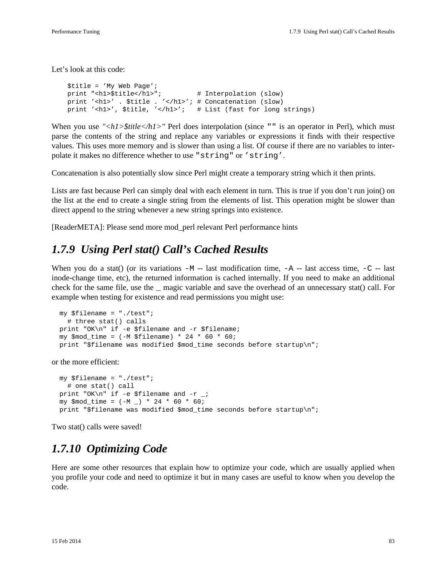Let's look at this code:

```
 $title = 'My Web Page';
 print "<h1>$title</h1>"; # Interpolation (slow)
 print '<h1>' . $title . '</h1>'; # Concatenation (slow)
 print '<h1>', $title, '</h1>'; # List (fast for long strings)
```
When you use "<h1>\$title</h1>" Perl does interpolation (since "" is an operator in Perl), which must parse the contents of the string and replace any variables or expressions it finds with their respective values. This uses more memory and is slower than using a list. Of course if there are no variables to interpolate it makes no difference whether to use "string" or 'string'.

Concatenation is also potentially slow since Perl might create a temporary string which it then prints.

Lists are fast because Perl can simply deal with each element in turn. This is true if you don't run join() on the list at the end to create a single string from the elements of list. This operation might be slower than direct append to the string whenever a new string springs into existence.

[ReaderMETA]: Please send more mod\_perl relevant Perl performance hints

### *1.7.9 Using Perl stat() Call's Cached Results*

When you do a stat() (or its variations  $-M$  -- last modification time,  $-A$  -- last access time,  $-C$  -- last inode-change time, etc), the returned information is cached internally. If you need to make an additional check for the same file, use the \_ magic variable and save the overhead of an unnecessary stat() call. For example when testing for existence and read permissions you might use:

```
 my $filename = "./test";
   # three stat() calls
 print "OK\n" if -e $filename and -r $filename;
 my $mod_time = (-M $filename) * 24 * 60 * 60;
 print "$filename was modified $mod_time seconds before startup\n";
```
or the more efficient:

```
 my $filename = "./test";
   # one stat() call
 print "OK\n" if -e $filename and -r _;
my $mod\_time = (-M_+) * 24 * 60 * 60; print "$filename was modified $mod_time seconds before startup\n";
```
Two stat() calls were saved!

### *1.7.10 Optimizing Code*

Here are some other resources that explain how to optimize your code, which are usually applied when you profile your code and need to optimize it but in many cases are useful to know when you develop the code.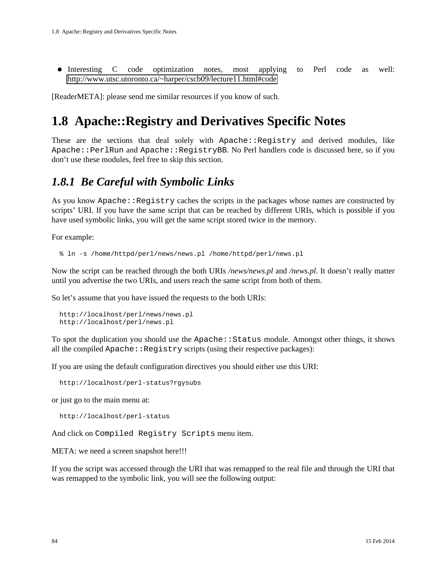Interesting C code optimization notes, most applying to Perl code as well: <http://www.utsc.utoronto.ca/~harper/cscb09/lecture11.html#code>

[ReaderMETA]: please send me similar resources if you know of such.

# **1.8 Apache::Registry and Derivatives Specific Notes**

These are the sections that deal solely with Apache::Registry and derived modules, like Apache::PerlRun and Apache::RegistryBB. No Perl handlers code is discussed here, so if you don't use these modules, feel free to skip this section.

### *1.8.1 Be Careful with Symbolic Links*

As you know Apache::Registry caches the scripts in the packages whose names are constructed by scripts' URI. If you have the same script that can be reached by different URIs, which is possible if you have used symbolic links, you will get the same script stored twice in the memory.

For example:

% ln -s /home/httpd/perl/news/news.pl /home/httpd/perl/news.pl

Now the script can be reached through the both URIs */news/news.pl* and */news.pl*. It doesn't really matter until you advertise the two URIs, and users reach the same script from both of them.

So let's assume that you have issued the requests to the both URIs:

```
 http://localhost/perl/news/news.pl
 http://localhost/perl/news.pl
```
To spot the duplication you should use the Apache::Status module. Amongst other things, it shows all the compiled  $\text{Apache}:$   $\text{Registry scripts}$  (using their respective packages):

If you are using the default configuration directives you should either use this URI:

http://localhost/perl-status?rgysubs

or just go to the main menu at:

http://localhost/perl-status

And click on Compiled Registry Scripts menu item.

META: we need a screen snapshot here!!!

If you the script was accessed through the URI that was remapped to the real file and through the URI that was remapped to the symbolic link, you will see the following output: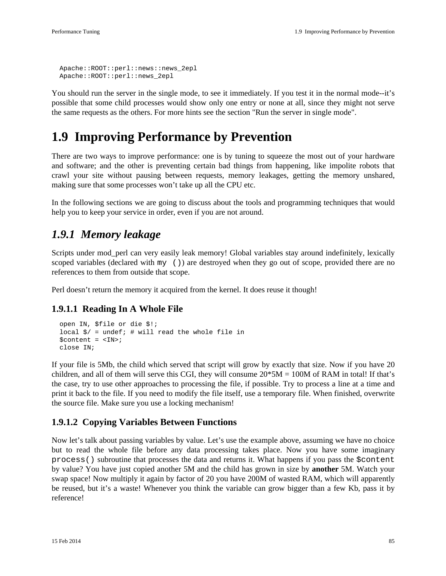```
 Apache::ROOT::perl::news::news_2epl
 Apache::ROOT::perl::news_2epl
```
You should run the server in the single mode, to see it immediately. If you test it in the normal mode--it's possible that some child processes would show only one entry or none at all, since they might not serve the same requests as the others. For more hints see the section "Run the server in single mode".

# **1.9 Improving Performance by Prevention**

There are two ways to improve performance: one is by tuning to squeeze the most out of your hardware and software; and the other is preventing certain bad things from happening, like impolite robots that crawl your site without pausing between requests, memory leakages, getting the memory unshared, making sure that some processes won't take up all the CPU etc.

In the following sections we are going to discuss about the tools and programming techniques that would help you to keep your service in order, even if you are not around.

### *1.9.1 Memory leakage*

Scripts under mod perl can very easily leak memory! Global variables stay around indefinitely, lexically scoped variables (declared with my ()) are destroyed when they go out of scope, provided there are no references to them from outside that scope.

Perl doesn't return the memory it acquired from the kernel. It does reuse it though!

### **1.9.1.1 Reading In A Whole File**

```
 open IN, $file or die $!;
local \frac{s}{r} = undef; # will read the whole file in
 $content = <IN>;
 close IN;
```
If your file is 5Mb, the child which served that script will grow by exactly that size. Now if you have 20 children, and all of them will serve this CGI, they will consume  $20*5M = 100M$  of RAM in total! If that's the case, try to use other approaches to processing the file, if possible. Try to process a line at a time and print it back to the file. If you need to modify the file itself, use a temporary file. When finished, overwrite the source file. Make sure you use a locking mechanism!

### **1.9.1.2 Copying Variables Between Functions**

Now let's talk about passing variables by value. Let's use the example above, assuming we have no choice but to read the whole file before any data processing takes place. Now you have some imaginary process() subroutine that processes the data and returns it. What happens if you pass the \$content by value? You have just copied another 5M and the child has grown in size by **another** 5M. Watch your swap space! Now multiply it again by factor of 20 you have 200M of wasted RAM, which will apparently be reused, but it's a waste! Whenever you think the variable can grow bigger than a few Kb, pass it by reference!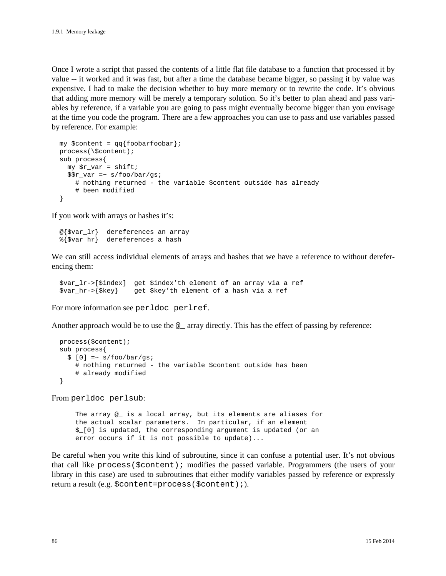Once I wrote a script that passed the contents of a little flat file database to a function that processed it by value -- it worked and it was fast, but after a time the database became bigger, so passing it by value was expensive. I had to make the decision whether to buy more memory or to rewrite the code. It's obvious that adding more memory will be merely a temporary solution. So it's better to plan ahead and pass variables by reference, if a variable you are going to pass might eventually become bigger than you envisage at the time you code the program. There are a few approaches you can use to pass and use variables passed by reference. For example:

```
my $content = qq{foobarfoobar};
 process(\$content);
 sub process{
   my $r_var = shift; 
  $r_var = ~ s/foo/har/gsi # nothing returned - the variable $content outside has already 
     # been modified
 }
```
If you work with arrays or hashes it's:

```
 @{$var_lr} dereferences an array
 %{$var_hr} dereferences a hash
```
We can still access individual elements of arrays and hashes that we have a reference to without dereferencing them:

```
 $var_lr->[$index] get $index'th element of an array via a ref
 $var_hr->{$key} get $key'th element of a hash via a ref
```
For more information see perldoc perlref.

Another approach would be to use the  $\circledast$  array directly. This has the effect of passing by reference:

```
 process($content);
 sub process{
  $[0] =~ s/foo/bar/gs;
     # nothing returned - the variable $content outside has been
     # already modified
 }
```
From perldoc perlsub:

 The array @\_ is a local array, but its elements are aliases for the actual scalar parameters. In particular, if an element \$\_[0] is updated, the corresponding argument is updated (or an error occurs if it is not possible to update)...

Be careful when you write this kind of subroutine, since it can confuse a potential user. It's not obvious that call like process(\$content); modifies the passed variable. Programmers (the users of your library in this case) are used to subroutines that either modify variables passed by reference or expressly return a result (e.g. \$content=process(\$content);).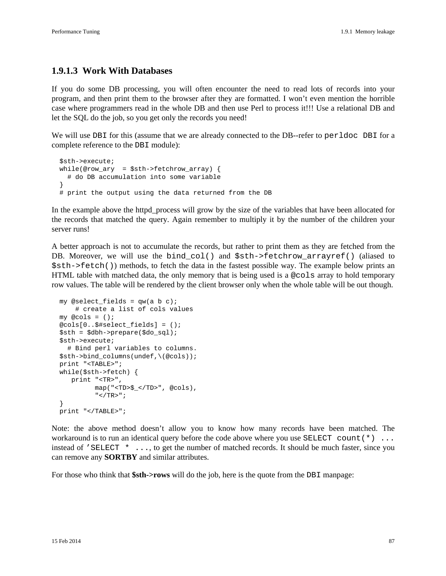#### **1.9.1.3 Work With Databases**

If you do some DB processing, you will often encounter the need to read lots of records into your program, and then print them to the browser after they are formatted. I won't even mention the horrible case where programmers read in the whole DB and then use Perl to process it!!! Use a relational DB and let the SQL do the job, so you get only the records you need!

We will use DBI for this (assume that we are already connected to the DB--refer to perldoc DBI for a complete reference to the DBI module):

```
 $sth->execute;
  while(@row_ary = $sth->fetchrow_array) {
    # do DB accumulation into some variable
 }
  # print the output using the data returned from the DB
```
In the example above the httpd\_process will grow by the size of the variables that have been allocated for the records that matched the query. Again remember to multiply it by the number of the children your server runs!

A better approach is not to accumulate the records, but rather to print them as they are fetched from the DB. Moreover, we will use the bind\_col() and \$sth->fetchrow\_arrayref() (aliased to \$sth->fetch()) methods, to fetch the data in the fastest possible way. The example below prints an HTML table with matched data, the only memory that is being used is a @cols array to hold temporary row values. The table will be rendered by the client browser only when the whole table will be out though.

```
my @select fields = qw(a b c)i # create a list of cols values
my @cols = ();
 @cols[0..$#select_fields] = ();
 $sth = $dbh->prepare($do_sql);
 $sth->execute;
   # Bind perl variables to columns.
 $sth->bind_columns(undef,\(@cols));
 print "<TABLE>";
 while($sth->fetch) {
    print "<TR>",
          map("<TD>$_</TD>", @cols),
         " </TR>";
 }
 print "</TABLE>";
```
Note: the above method doesn't allow you to know how many records have been matched. The workaround is to run an identical query before the code above where you use SELECT count  $(*) \dots$ instead of 'SELECT  $\star \ldots$ , to get the number of matched records. It should be much faster, since you can remove any **SORTBY** and similar attributes.

For those who think that **\$sth->rows** will do the job, here is the quote from the DBI manpage: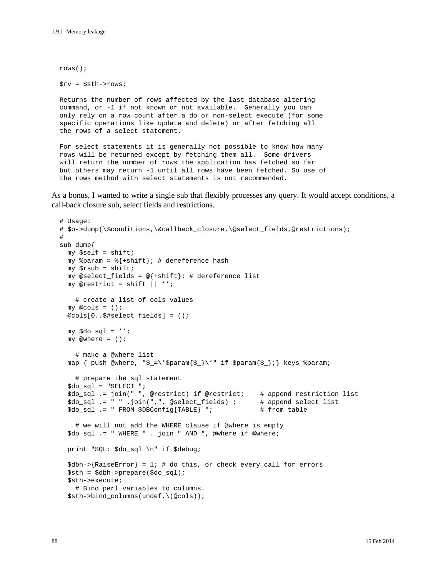```
 rows();
 $rv = $sth->rows;
 Returns the number of rows affected by the last database altering
 command, or -1 if not known or not available. Generally you can
 only rely on a row count after a do or non-select execute (for some
 specific operations like update and delete) or after fetching all
 the rows of a select statement.
 For select statements it is generally not possible to know how many
 rows will be returned except by fetching them all. Some drivers
 will return the number of rows the application has fetched so far
 but others may return -1 until all rows have been fetched. So use of
```
the rows method with select statements is not recommended.

As a bonus, I wanted to write a single sub that flexibly processes any query. It would accept conditions, a call-back closure sub, select fields and restrictions.

```
 # Usage:
 # $o->dump(\%conditions,\&callback_closure,\@select_fields,@restrictions);
 #
 sub dump{
  my $self = shift;
  my span = \frac{2}{1 + shift}; # dereference hash
   my $rsub = shift;
  my @select_fields = @{+shift}; # dereference list
  my @restrict = shift || '': # create a list of cols values
  my @cols = ();
   @cols[0..$#select_fields] = ();
 my \daggerdo_sql = '';
   my @where = ();
     # make a @where list 
  map { push @where, "\xi_{-}\rangle'\$param{$_}\'" if $param{\xi_{-}}; keys $param;
     # prepare the sql statement
   $do_sql = "SELECT ";
   $do_sql .= join(" ", @restrict) if @restrict; # append restriction list
   $do_sql .= " " .join(",", @select_fields) ; # append select list 
  $do\_sq1 .= " FROM $DBConfig{TABLE} "; # from table
     # we will not add the WHERE clause if @where is empty
  $do sql .= " WHERE " . join " AND ", @where if @where;
   print "SQL: $do_sql \n" if $debug;
   $dbh->{RaiseError} = 1; # do this, or check every call for errors
   $sth = $dbh->prepare($do_sql);
   $sth->execute;
     # Bind perl variables to columns.
   $sth->bind_columns(undef,\(@cols));
```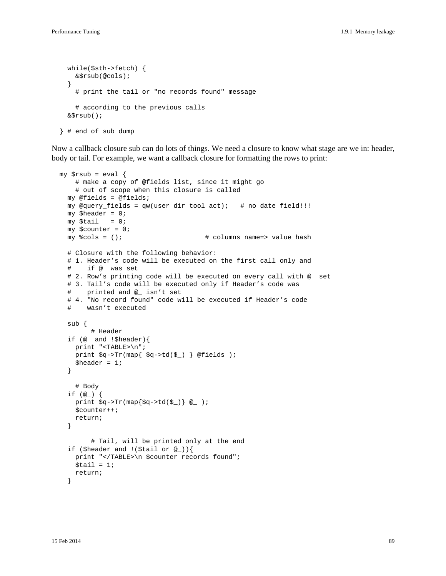```
 while($sth->fetch) {
   &$rsub(@cols);
 }
   # print the tail or "no records found" message
   # according to the previous calls
 &$rsub();
```

```
 } # end of sub dump
```
Now a callback closure sub can do lots of things. We need a closure to know what stage are we in: header, body or tail. For example, we want a callback closure for formatting the rows to print:

```
my $rsub = eval {
     # make a copy of @fields list, since it might go
     # out of scope when this closure is called
   my @fields = @fields; 
  my @query_fields = qw (user dir tool act); # no date field!!!
  my $header = 0;
  my $tail = 0;
   my $counter = 0;
   my %cols = (); # columns name=> value hash
   # Closure with the following behavior:
   # 1. Header's code will be executed on the first call only and
   # if @_ was set
   # 2. Row's printing code will be executed on every call with @_ set
   # 3. Tail's code will be executed only if Header's code was
   # printed and @_ isn't set
   # 4. "No record found" code will be executed if Header's code
   # wasn't executed
   sub {
         # Header
   if (@_ and !$header){
    print "<TABLE>\n";
     print $q->Tr(map{ $q->td($_) } @fields );
    $header = 1; }
     # Body
   if (@_) {
    print \sqrt{q}->Tr(map{\sqrt{q}->td(\sqrt{q})} @_ );
     $counter++;
     return; 
   }
         # Tail, will be printed only at the end
   if ($header and !($tail or @_)){
     print "</TABLE>\n $counter records found";
    $tail = 1; return;
   }
```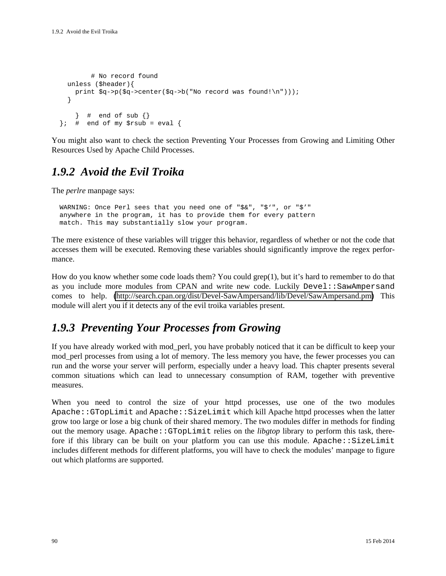```
 # No record found
  unless ($header){
    print $q->p($q->center($q->b("No record was found!\n")));
   }
    \} # end of sub \}}; # end of my $rsub = eval {
```
You might also want to check the section Preventing Your Processes from Growing and Limiting Other Resources Used by Apache Child Processes.

### *1.9.2 Avoid the Evil Troika*

The *perlre* manpage says:

 WARNING: Once Perl sees that you need one of "\$&", "\$'", or "\$'" anywhere in the program, it has to provide them for every pattern match. This may substantially slow your program.

The mere existence of these variables will trigger this behavior, regardless of whether or not the code that accesses them will be executed. Removing these variables should significantly improve the regex performance.

How do you know whether some code loads them? You could grep(1), but it's hard to remember to do that as you include more modules from CPAN and write new code. Luckily Devel::SawAmpersand comes to help. [\(http://search.cpan.org/dist/Devel-SawAmpersand/lib/Devel/SawAmpersand.pm\)](http://search.cpan.org/dist/Devel-SawAmpersand/lib/Devel/SawAmpersand.pm) This module will alert you if it detects any of the evil troika variables present.

### *1.9.3 Preventing Your Processes from Growing*

If you have already worked with mod\_perl, you have probably noticed that it can be difficult to keep your mod\_perl processes from using a lot of memory. The less memory you have, the fewer processes you can run and the worse your server will perform, especially under a heavy load. This chapter presents several common situations which can lead to unnecessary consumption of RAM, together with preventive measures.

When you need to control the size of your httpd processes, use one of the two modules Apache::GTopLimit and Apache::SizeLimit which kill Apache httpd processes when the latter grow too large or lose a big chunk of their shared memory. The two modules differ in methods for finding out the memory usage. Apache::GTopLimit relies on the *libgtop* library to perform this task, therefore if this library can be built on your platform you can use this module. Apache:: $SizeLimit$ includes different methods for different platforms, you will have to check the modules' manpage to figure out which platforms are supported.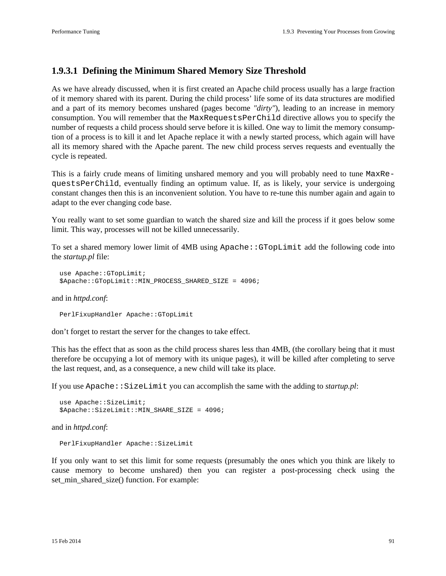#### **1.9.3.1 Defining the Minimum Shared Memory Size Threshold**

As we have already discussed, when it is first created an Apache child process usually has a large fraction of it memory shared with its parent. During the child process' life some of its data structures are modified and a part of its memory becomes unshared (pages become *"dirty"*), leading to an increase in memory consumption. You will remember that the MaxRequestsPerChild directive allows you to specify the number of requests a child process should serve before it is killed. One way to limit the memory consumption of a process is to kill it and let Apache replace it with a newly started process, which again will have all its memory shared with the Apache parent. The new child process serves requests and eventually the cycle is repeated.

This is a fairly crude means of limiting unshared memory and you will probably need to tune MaxRequestsPerChild, eventually finding an optimum value. If, as is likely, your service is undergoing constant changes then this is an inconvenient solution. You have to re-tune this number again and again to adapt to the ever changing code base.

You really want to set some guardian to watch the shared size and kill the process if it goes below some limit. This way, processes will not be killed unnecessarily.

To set a shared memory lower limit of 4MB using Apache::GTopLimit add the following code into the *startup.pl* file:

```
 use Apache::GTopLimit;
 $Apache::GTopLimit::MIN_PROCESS_SHARED_SIZE = 4096;
```
and in *httpd.conf*:

PerlFixupHandler Apache::GTopLimit

don't forget to restart the server for the changes to take effect.

This has the effect that as soon as the child process shares less than 4MB, (the corollary being that it must therefore be occupying a lot of memory with its unique pages), it will be killed after completing to serve the last request, and, as a consequence, a new child will take its place.

If you use Apache::SizeLimit you can accomplish the same with the adding to *startup.pl*:

```
 use Apache::SizeLimit;
 $Apache::SizeLimit::MIN_SHARE_SIZE = 4096;
```
and in *httpd.conf*:

PerlFixupHandler Apache::SizeLimit

If you only want to set this limit for some requests (presumably the ones which you think are likely to cause memory to become unshared) then you can register a post-processing check using the set\_min\_shared\_size() function. For example: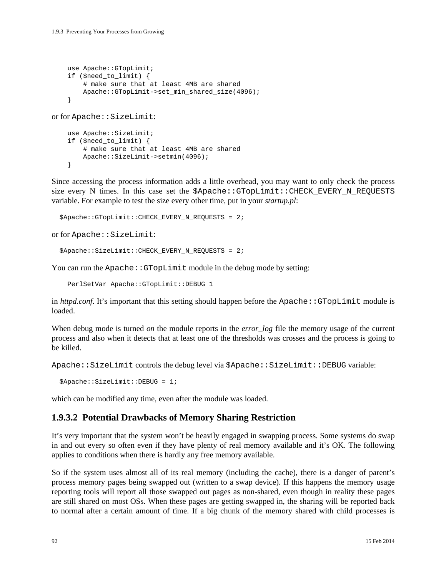```
 use Apache::GTopLimit;
     if ($need_to_limit) {
         # make sure that at least 4MB are shared
         Apache::GTopLimit->set_min_shared_size(4096);
     }
or for Apache::SizeLimit:
     use Apache::SizeLimit;
     if ($need_to_limit) {
         # make sure that at least 4MB are shared
         Apache::SizeLimit->setmin(4096);
```
}

Since accessing the process information adds a little overhead, you may want to only check the process size every N times. In this case set the \$Apache:: GTopLimit:: CHECK\_EVERY\_N\_REQUESTS variable. For example to test the size every other time, put in your *startup.pl*:

```
 $Apache::GTopLimit::CHECK_EVERY_N_REQUESTS = 2;
```
or for Apache::SizeLimit:

```
 $Apache::SizeLimit::CHECK_EVERY_N_REQUESTS = 2;
```
You can run the Apache: : GTopLimit module in the debug mode by setting:

PerlSetVar Apache::GTopLimit::DEBUG 1

in *httpd.conf*. It's important that this setting should happen before the Apache::GTopLimit module is loaded.

When debug mode is turned *on* the module reports in the *error\_log* file the memory usage of the current process and also when it detects that at least one of the thresholds was crosses and the process is going to be killed.

Apache::SizeLimit controls the debug level via \$Apache::SizeLimit::DEBUG variable:

```
 $Apache::SizeLimit::DEBUG = 1;
```
which can be modified any time, even after the module was loaded.

#### **1.9.3.2 Potential Drawbacks of Memory Sharing Restriction**

It's very important that the system won't be heavily engaged in swapping process. Some systems do swap in and out every so often even if they have plenty of real memory available and it's OK. The following applies to conditions when there is hardly any free memory available.

So if the system uses almost all of its real memory (including the cache), there is a danger of parent's process memory pages being swapped out (written to a swap device). If this happens the memory usage reporting tools will report all those swapped out pages as non-shared, even though in reality these pages are still shared on most OSs. When these pages are getting swapped in, the sharing will be reported back to normal after a certain amount of time. If a big chunk of the memory shared with child processes is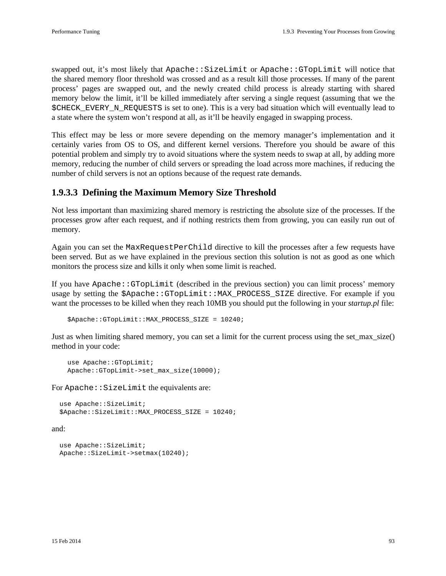swapped out, it's most likely that Apache::SizeLimit or Apache::GTopLimit will notice that the shared memory floor threshold was crossed and as a result kill those processes. If many of the parent process' pages are swapped out, and the newly created child process is already starting with shared memory below the limit, it'll be killed immediately after serving a single request (assuming that we the \$CHECK\_EVERY\_N\_REQUESTS is set to one). This is a very bad situation which will eventually lead to a state where the system won't respond at all, as it'll be heavily engaged in swapping process.

This effect may be less or more severe depending on the memory manager's implementation and it certainly varies from OS to OS, and different kernel versions. Therefore you should be aware of this potential problem and simply try to avoid situations where the system needs to swap at all, by adding more memory, reducing the number of child servers or spreading the load across more machines, if reducing the number of child servers is not an options because of the request rate demands.

#### **1.9.3.3 Defining the Maximum Memory Size Threshold**

Not less important than maximizing shared memory is restricting the absolute size of the processes. If the processes grow after each request, and if nothing restricts them from growing, you can easily run out of memory.

Again you can set the MaxRequestPerChild directive to kill the processes after a few requests have been served. But as we have explained in the previous section this solution is not as good as one which monitors the process size and kills it only when some limit is reached.

If you have Apache::GTopLimit (described in the previous section) you can limit process' memory usage by setting the \$Apache::GTopLimit::MAX\_PROCESS\_SIZE directive. For example if you want the processes to be killed when they reach 10MB you should put the following in your *startup.pl* file:

```
 $Apache::GTopLimit::MAX_PROCESS_SIZE = 10240;
```
Just as when limiting shared memory, you can set a limit for the current process using the set max size() method in your code:

```
 use Apache::GTopLimit;
 Apache::GTopLimit->set_max_size(10000);
```
For Apache:: SizeLimit the equivalents are:

```
 use Apache::SizeLimit;
 $Apache::SizeLimit::MAX_PROCESS_SIZE = 10240;
```
and:

```
 use Apache::SizeLimit;
 Apache::SizeLimit->setmax(10240);
```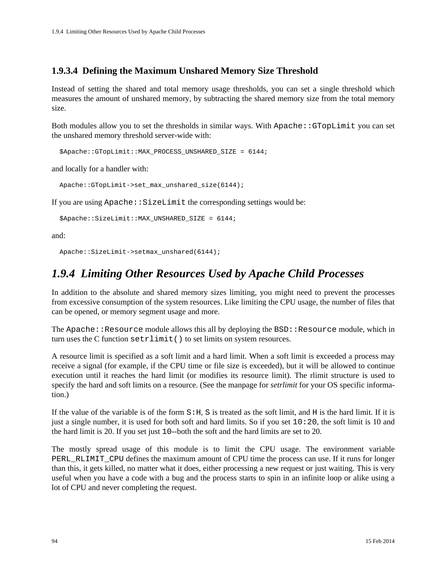### **1.9.3.4 Defining the Maximum Unshared Memory Size Threshold**

Instead of setting the shared and total memory usage thresholds, you can set a single threshold which measures the amount of unshared memory, by subtracting the shared memory size from the total memory size.

Both modules allow you to set the thresholds in similar ways. With Apache::GTopLimit you can set the unshared memory threshold server-wide with:

```
 $Apache::GTopLimit::MAX_PROCESS_UNSHARED_SIZE = 6144;
```
and locally for a handler with:

```
 Apache::GTopLimit->set_max_unshared_size(6144);
```
If you are using  $A$ pache:: SizeLimit the corresponding settings would be:

```
 $Apache::SizeLimit::MAX_UNSHARED_SIZE = 6144;
```
and:

Apache::SizeLimit->setmax\_unshared(6144);

### *1.9.4 Limiting Other Resources Used by Apache Child Processes*

In addition to the absolute and shared memory sizes limiting, you might need to prevent the processes from excessive consumption of the system resources. Like limiting the CPU usage, the number of files that can be opened, or memory segment usage and more.

The Apache:: Resource module allows this all by deploying the  $BSD:$ : Resource module, which in turn uses the C function setrlimit() to set limits on system resources.

A resource limit is specified as a soft limit and a hard limit. When a soft limit is exceeded a process may receive a signal (for example, if the CPU time or file size is exceeded), but it will be allowed to continue execution until it reaches the hard limit (or modifies its resource limit). The rlimit structure is used to specify the hard and soft limits on a resource. (See the manpage for *setrlimit* for your OS specific information.)

If the value of the variable is of the form  $S:H$ , S is treated as the soft limit, and H is the hard limit. If it is just a single number, it is used for both soft and hard limits. So if you set 10:20, the soft limit is 10 and the hard limit is 20. If you set just 10--both the soft and the hard limits are set to 20.

The mostly spread usage of this module is to limit the CPU usage. The environment variable PERL RLIMIT CPU defines the maximum amount of CPU time the process can use. If it runs for longer than this, it gets killed, no matter what it does, either processing a new request or just waiting. This is very useful when you have a code with a bug and the process starts to spin in an infinite loop or alike using a lot of CPU and never completing the request.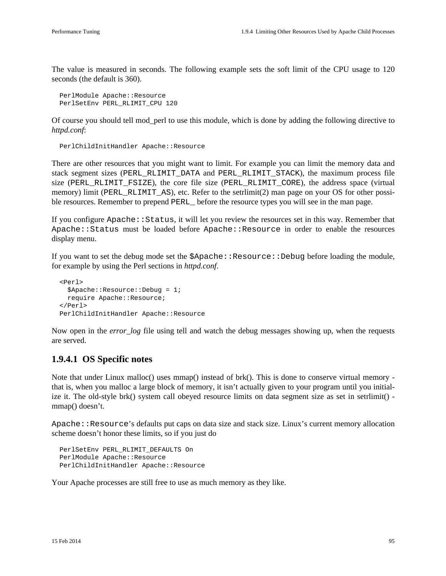The value is measured in seconds. The following example sets the soft limit of the CPU usage to 120 seconds (the default is 360).

```
 PerlModule Apache::Resource
 PerlSetEnv PERL_RLIMIT_CPU 120
```
Of course you should tell mod\_perl to use this module, which is done by adding the following directive to *httpd.conf*:

PerlChildInitHandler Apache::Resource

There are other resources that you might want to limit. For example you can limit the memory data and stack segment sizes (PERL\_RLIMIT\_DATA and PERL\_RLIMIT\_STACK), the maximum process file size (PERL\_RLIMIT\_FSIZE), the core file size (PERL\_RLIMIT\_CORE), the address space (virtual memory) limit (PERL\_RLIMIT\_AS), etc. Refer to the setrlimit(2) man page on your OS for other possible resources. Remember to prepend PERL before the resource types you will see in the man page.

If you configure Apache::Status, it will let you review the resources set in this way. Remember that Apache::Status must be loaded before Apache::Resource in order to enable the resources display menu.

If you want to set the debug mode set the \$Apache::Resource::Debug before loading the module, for example by using the Perl sections in *httpd.conf*.

```
 <Perl>
   $Apache::Resource::Debug = 1;
  require Apache::Resource;
 </Perl>
 PerlChildInitHandler Apache::Resource
```
Now open in the *error\_log* file using tell and watch the debug messages showing up, when the requests are served.

### **1.9.4.1 OS Specific notes**

Note that under Linux malloc() uses mmap() instead of brk(). This is done to conserve virtual memory that is, when you malloc a large block of memory, it isn't actually given to your program until you initialize it. The old-style brk() system call obeyed resource limits on data segment size as set in setrlimit() mmap() doesn't.

Apache::Resource's defaults put caps on data size and stack size. Linux's current memory allocation scheme doesn't honor these limits, so if you just do

```
PerlSetEnv PERL RLIMIT DEFAULTS On
 PerlModule Apache::Resource
 PerlChildInitHandler Apache::Resource
```
Your Apache processes are still free to use as much memory as they like.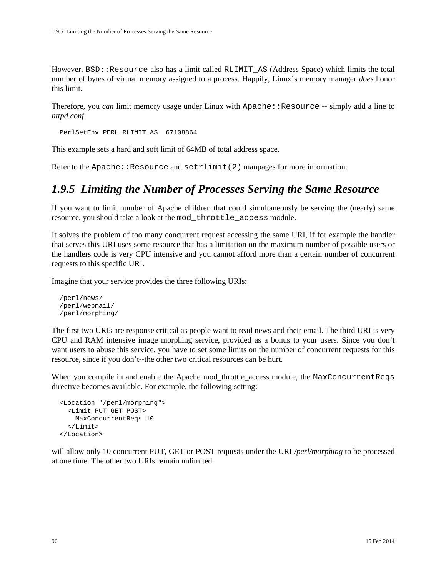However, BSD::Resource also has a limit called RLIMIT\_AS (Address Space) which limits the total number of bytes of virtual memory assigned to a process. Happily, Linux's memory manager *does* honor this limit.

Therefore, you *can* limit memory usage under Linux with Apache: : Resource -- simply add a line to *httpd.conf*:

PerlSetEnv PERL\_RLIMIT\_AS 67108864

This example sets a hard and soft limit of 64MB of total address space.

Refer to the Apache::Resource and  $setrlimit(2)$  manpages for more information.

### *1.9.5 Limiting the Number of Processes Serving the Same Resource*

If you want to limit number of Apache children that could simultaneously be serving the (nearly) same resource, you should take a look at the mod\_throttle\_access module.

It solves the problem of too many concurrent request accessing the same URI, if for example the handler that serves this URI uses some resource that has a limitation on the maximum number of possible users or the handlers code is very CPU intensive and you cannot afford more than a certain number of concurrent requests to this specific URI.

Imagine that your service provides the three following URIs:

```
 /perl/news/
 /perl/webmail/
 /perl/morphing/
```
The first two URIs are response critical as people want to read news and their email. The third URI is very CPU and RAM intensive image morphing service, provided as a bonus to your users. Since you don't want users to abuse this service, you have to set some limits on the number of concurrent requests for this resource, since if you don't--the other two critical resources can be hurt.

When you compile in and enable the Apache mod\_throttle\_access module, the MaxConcurrentReqs directive becomes available. For example, the following setting:

```
 <Location "/perl/morphing">
   <Limit PUT GET POST>
    MaxConcurrentReqs 10
   </Limit>
 </Location>
```
will allow only 10 concurrent PUT, GET or POST requests under the URI */perl/morphing* to be processed at one time. The other two URIs remain unlimited.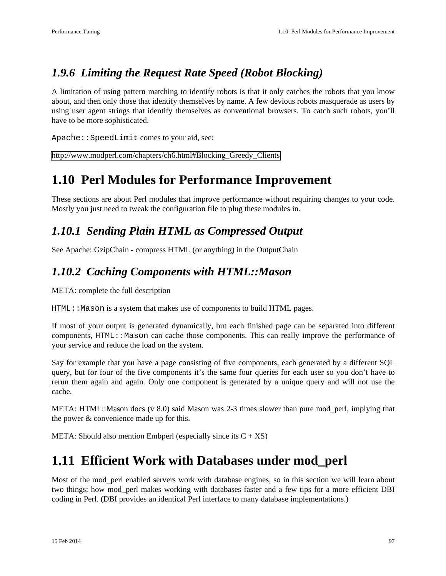## *1.9.6 Limiting the Request Rate Speed (Robot Blocking)*

A limitation of using pattern matching to identify robots is that it only catches the robots that you know about, and then only those that identify themselves by name. A few devious robots masquerade as users by using user agent strings that identify themselves as conventional browsers. To catch such robots, you'll have to be more sophisticated.

Apache::SpeedLimit comes to your aid, see:

[http://www.modperl.com/chapters/ch6.html#Blocking\\_Greedy\\_Clients](http://www.modperl.com/chapters/ch6.html#Blocking_Greedy_Clients)

# **1.10 Perl Modules for Performance Improvement**

These sections are about Perl modules that improve performance without requiring changes to your code. Mostly you just need to tweak the configuration file to plug these modules in.

### *1.10.1 Sending Plain HTML as Compressed Output*

See Apache::GzipChain - compress HTML (or anything) in the OutputChain

### *1.10.2 Caching Components with HTML::Mason*

META: complete the full description

HTML: : Mason is a system that makes use of components to build HTML pages.

If most of your output is generated dynamically, but each finished page can be separated into different components, HTML::Mason can cache those components. This can really improve the performance of your service and reduce the load on the system.

Say for example that you have a page consisting of five components, each generated by a different SQL query, but for four of the five components it's the same four queries for each user so you don't have to rerun them again and again. Only one component is generated by a unique query and will not use the cache.

META: HTML::Mason docs (v 8.0) said Mason was 2-3 times slower than pure mod\_perl, implying that the power & convenience made up for this.

META: Should also mention Embperl (especially since its  $C + XS$ )

## **1.11 Efficient Work with Databases under mod\_perl**

Most of the mod\_perl enabled servers work with database engines, so in this section we will learn about two things: how mod\_perl makes working with databases faster and a few tips for a more efficient DBI coding in Perl. (DBI provides an identical Perl interface to many database implementations.)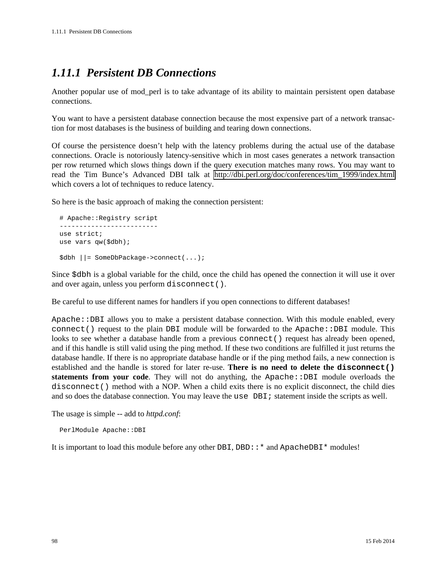## *1.11.1 Persistent DB Connections*

Another popular use of mod\_perl is to take advantage of its ability to maintain persistent open database connections.

You want to have a persistent database connection because the most expensive part of a network transaction for most databases is the business of building and tearing down connections.

Of course the persistence doesn't help with the latency problems during the actual use of the database connections. Oracle is notoriously latency-sensitive which in most cases generates a network transaction per row returned which slows things down if the query execution matches many rows. You may want to read the Tim Bunce's Advanced DBI talk at [http://dbi.perl.org/doc/conferences/tim\\_1999/index.html](http://dbi.perl.org/doc/conferences/tim_1999/index.html) which covers a lot of techniques to reduce latency.

So here is the basic approach of making the connection persistent:

```
 # Apache::Registry script
 -------------------------
 use strict;
 use vars qw($dbh);
 $dbh ||= SomeDbPackage->connect(...);
```
Since \$dbh is a global variable for the child, once the child has opened the connection it will use it over and over again, unless you perform disconnect().

Be careful to use different names for handlers if you open connections to different databases!

Apache::DBI allows you to make a persistent database connection. With this module enabled, every connect () request to the plain DBI module will be forwarded to the Apache::DBI module. This looks to see whether a database handle from a previous connect () request has already been opened, and if this handle is still valid using the ping method. If these two conditions are fulfilled it just returns the database handle. If there is no appropriate database handle or if the ping method fails, a new connection is established and the handle is stored for later re-use. **There is no need to delete the disconnect() statements from your code**. They will not do anything, the Apache::DBI module overloads the disconnect() method with a NOP. When a child exits there is no explicit disconnect, the child dies and so does the database connection. You may leave the use DBI; statement inside the scripts as well.

The usage is simple -- add to *httpd.conf*:

PerlModule Apache::DBI

It is important to load this module before any other DBI, DBD::\* and ApacheDBI\* modules!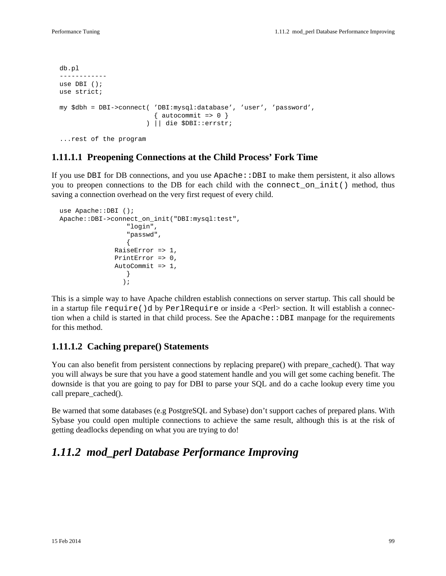```
 db.pl
 ------------
 use DBI ();
 use strict;
 my $dbh = DBI->connect( 'DBI:mysql:database', 'user', 'password',
                        \{ autocommit => 0 \} ) || die $DBI::errstr;
 ...rest of the program
```
### **1.11.1.1 Preopening Connections at the Child Process' Fork Time**

If you use DBI for DB connections, and you use  $A$ pache::DBI to make them persistent, it also allows you to preopen connections to the DB for each child with the connect\_on\_init() method, thus saving a connection overhead on the very first request of every child.

```
 use Apache::DBI ();
  Apache::DBI->connect_on_init("DBI:mysql:test",
                "login",
                "passwd",
\{ RaiseError => 1,
              PrintError => 0,
             AutoCommit = > 1,
 }
) \mathbf{i}
```
This is a simple way to have Apache children establish connections on server startup. This call should be in a startup file require()d by PerlRequire or inside a <Perl> section. It will establish a connection when a child is started in that child process. See the Apache::DBI manpage for the requirements for this method.

#### **1.11.1.2 Caching prepare() Statements**

You can also benefit from persistent connections by replacing prepare() with prepare cached(). That way you will always be sure that you have a good statement handle and you will get some caching benefit. The downside is that you are going to pay for DBI to parse your SQL and do a cache lookup every time you call prepare cached().

Be warned that some databases (e.g PostgreSQL and Sybase) don't support caches of prepared plans. With Sybase you could open multiple connections to achieve the same result, although this is at the risk of getting deadlocks depending on what you are trying to do!

### *1.11.2 mod\_perl Database Performance Improving*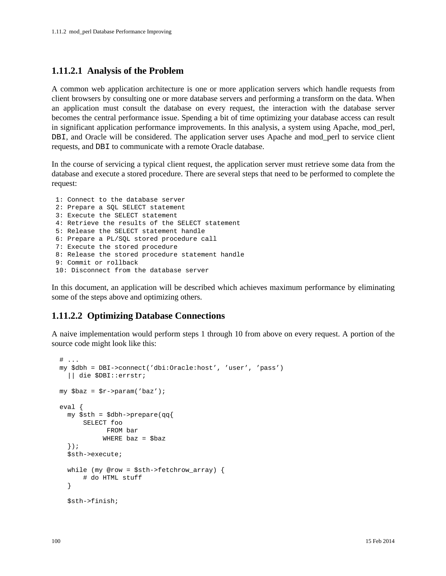#### **1.11.2.1 Analysis of the Problem**

A common web application architecture is one or more application servers which handle requests from client browsers by consulting one or more database servers and performing a transform on the data. When an application must consult the database on every request, the interaction with the database server becomes the central performance issue. Spending a bit of time optimizing your database access can result in significant application performance improvements. In this analysis, a system using Apache, mod\_perl, DBI, and Oracle will be considered. The application server uses Apache and mod\_perl to service client requests, and DBI to communicate with a remote Oracle database.

In the course of servicing a typical client request, the application server must retrieve some data from the database and execute a stored procedure. There are several steps that need to be performed to complete the request:

```
 1: Connect to the database server
 2: Prepare a SQL SELECT statement
 3: Execute the SELECT statement
 4: Retrieve the results of the SELECT statement
 5: Release the SELECT statement handle
 6: Prepare a PL/SQL stored procedure call
 7: Execute the stored procedure
 8: Release the stored procedure statement handle
 9: Commit or rollback
 10: Disconnect from the database server
```
In this document, an application will be described which achieves maximum performance by eliminating some of the steps above and optimizing others.

### **1.11.2.2 Optimizing Database Connections**

A naive implementation would perform steps 1 through 10 from above on every request. A portion of the source code might look like this:

```
# \dots my $dbh = DBI->connect('dbi:Oracle:host', 'user', 'pass')
   || die $DBI::errstr;
 my $baz = $r->param('baz');
 eval {
   my $sth = $dbh->prepare(qq{
       SELECT foo 
             FROM bar 
            WHERE \text{baz} = \text{S} \text{baz} });
   $sth->execute;
  while (my @row = $sth->fetchrow array) {
        # do HTML stuff
   }
   $sth->finish;
```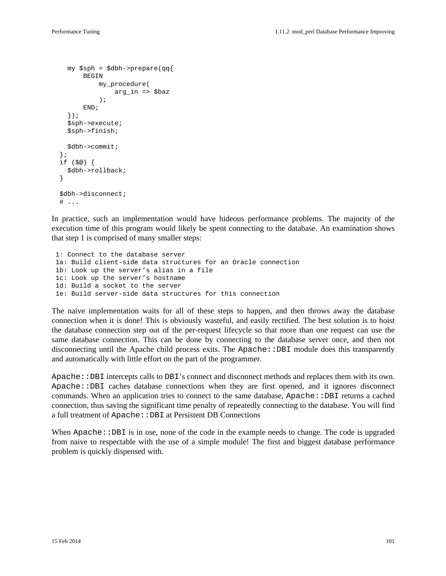```
 my $sph = $dbh->prepare(qq{
      BEGIN
           my_procedure(
                arg_in => $baz
            );
       END;
   });
   $sph->execute;
   $sph->finish;
   $dbh->commit;
 };
 if ($@) {
   $dbh->rollback;
 }
 $dbh->disconnect;
# ...
```
In practice, such an implementation would have hideous performance problems. The majority of the execution time of this program would likely be spent connecting to the database. An examination shows that step 1 is comprised of many smaller steps:

 1: Connect to the database server 1a: Build client-side data structures for an Oracle connection 1b: Look up the server's alias in a file 1c: Look up the server's hostname 1d: Build a socket to the server 1e: Build server-side data structures for this connection

The naive implementation waits for all of these steps to happen, and then throws away the database connection when it is done! This is obviously wasteful, and easily rectified. The best solution is to hoist the database connection step out of the per-request lifecycle so that more than one request can use the same database connection. This can be done by connecting to the database server once, and then not disconnecting until the Apache child process exits. The Apache $::DBI$  module does this transparently and automatically with little effort on the part of the programmer.

Apache::DBI intercepts calls to DBI's connect and disconnect methods and replaces them with its own. Apache::DBI caches database connections when they are first opened, and it ignores disconnect commands. When an application tries to connect to the same database, Apache::DBI returns a cached connection, thus saving the significant time penalty of repeatedly connecting to the database. You will find a full treatment of Apache::DBI at Persistent DB Connections

When  $A$ pache:: $DBI$  is in use, none of the code in the example needs to change. The code is upgraded from naive to respectable with the use of a simple module! The first and biggest database performance problem is quickly dispensed with.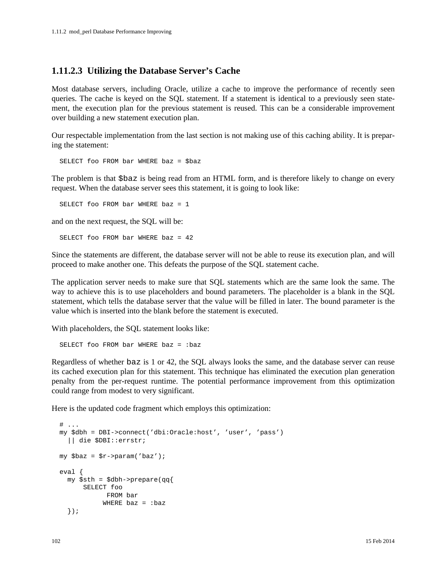#### **1.11.2.3 Utilizing the Database Server's Cache**

Most database servers, including Oracle, utilize a cache to improve the performance of recently seen queries. The cache is keyed on the SQL statement. If a statement is identical to a previously seen statement, the execution plan for the previous statement is reused. This can be a considerable improvement over building a new statement execution plan.

Our respectable implementation from the last section is not making use of this caching ability. It is preparing the statement:

SELECT foo FROM bar WHERE baz = \$baz

The problem is that \$baz is being read from an HTML form, and is therefore likely to change on every request. When the database server sees this statement, it is going to look like:

SELECT foo FROM bar WHERE baz = 1

and on the next request, the SQL will be:

SELECT foo FROM bar WHERE baz = 42

Since the statements are different, the database server will not be able to reuse its execution plan, and will proceed to make another one. This defeats the purpose of the SQL statement cache.

The application server needs to make sure that SQL statements which are the same look the same. The way to achieve this is to use placeholders and bound parameters. The placeholder is a blank in the SQL statement, which tells the database server that the value will be filled in later. The bound parameter is the value which is inserted into the blank before the statement is executed.

With placeholders, the SQL statement looks like:

```
 SELECT foo FROM bar WHERE baz = :baz
```
Regardless of whether baz is 1 or 42, the SQL always looks the same, and the database server can reuse its cached execution plan for this statement. This technique has eliminated the execution plan generation penalty from the per-request runtime. The potential performance improvement from this optimization could range from modest to very significant.

Here is the updated code fragment which employs this optimization:

```
# \ldots my $dbh = DBI->connect('dbi:Oracle:host', 'user', 'pass')
   || die $DBI::errstr;
 my $baz = $r->param('baz');
 eval {
   my $sth = $dbh->prepare(qq{
        SELECT foo 
               FROM bar 
             WHERE \text{baz} = \text{:} \text{baz} });
```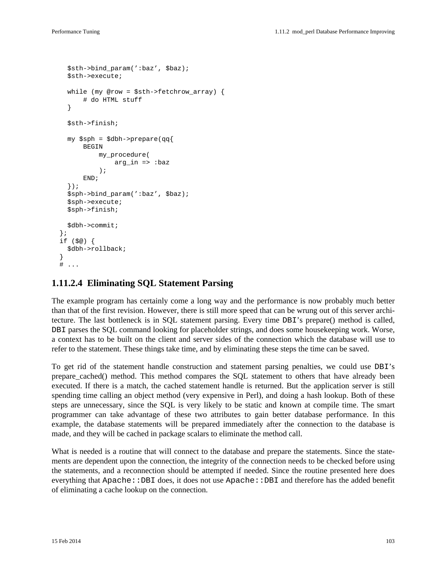```
 $sth->bind_param(':baz', $baz);
     $sth->execute;
     while (my @row = $sth->fetchrow_array) {
         # do HTML stuff
     }
     $sth->finish;
     my $sph = $dbh->prepare(qq{
        BEGIN
            my_procedure(
                 arg_in => :baz
             );
         END;
     });
     $sph->bind_param(':baz', $baz);
     $sph->execute;
     $sph->finish;
     $dbh->commit;
   };
   if ($@) {
     $dbh->rollback;
 }
  # \ldots
```
#### **1.11.2.4 Eliminating SQL Statement Parsing**

The example program has certainly come a long way and the performance is now probably much better than that of the first revision. However, there is still more speed that can be wrung out of this server architecture. The last bottleneck is in SQL statement parsing. Every time DBI's prepare() method is called, DBI parses the SQL command looking for placeholder strings, and does some housekeeping work. Worse, a context has to be built on the client and server sides of the connection which the database will use to refer to the statement. These things take time, and by eliminating these steps the time can be saved.

To get rid of the statement handle construction and statement parsing penalties, we could use DBI's prepare\_cached() method. This method compares the SQL statement to others that have already been executed. If there is a match, the cached statement handle is returned. But the application server is still spending time calling an object method (very expensive in Perl), and doing a hash lookup. Both of these steps are unnecessary, since the SQL is very likely to be static and known at compile time. The smart programmer can take advantage of these two attributes to gain better database performance. In this example, the database statements will be prepared immediately after the connection to the database is made, and they will be cached in package scalars to eliminate the method call.

What is needed is a routine that will connect to the database and prepare the statements. Since the statements are dependent upon the connection, the integrity of the connection needs to be checked before using the statements, and a reconnection should be attempted if needed. Since the routine presented here does everything that Apache::DBI does, it does not use Apache::DBI and therefore has the added benefit of eliminating a cache lookup on the connection.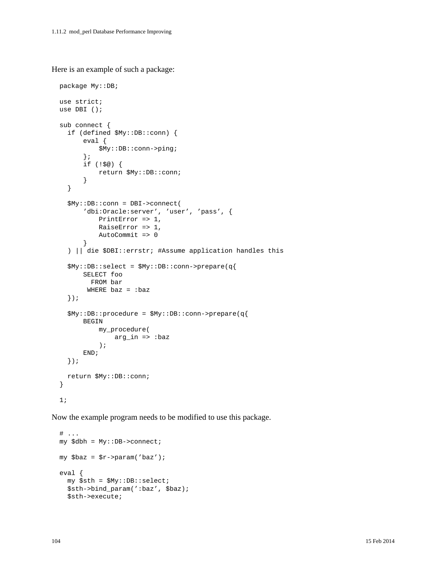Here is an example of such a package:

```
 package My::DB;
 use strict;
 use DBI ();
 sub connect {
   if (defined $My::DB::conn) {
       eval {
            $My::DB::conn->ping;
       };
       if (!$@) {
            return $My::DB::conn;
       }
   }
   $My::DB::conn = DBI->connect(
        'dbi:Oracle:server', 'user', 'pass', {
           PrintError => 1,
            RaiseError => 1,
            AutoCommit => 0
       }
   ) || die $DBI::errstr; #Assume application handles this
   $My::DB::select = $My::DB::conn->prepare(q{
       SELECT foo
         FROM bar
       WHERE \text{baz} = \text{:} \text{baz} });
   $My::DB::procedure = $My::DB::conn->prepare(q{
       BEGIN
            my_procedure(
                arg_in => :baz
            );
       END;
   });
   return $My::DB::conn;
 }
 1;
```
Now the example program needs to be modified to use this package.

```
# \ldots my $dbh = My::DB->connect;
 my $baz = $r->param('baz');
 eval {
   my $sth = $My::DB::select;
   $sth->bind_param(':baz', $baz);
   $sth->execute;
```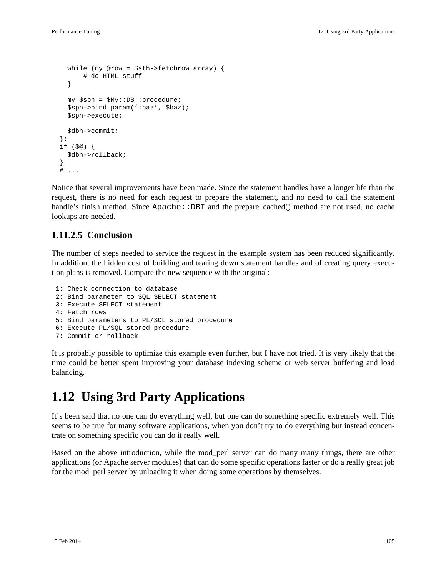```
 while (my @row = $sth->fetchrow_array) {
         # do HTML stuff
     }
     my $sph = $My::DB::procedure;
     $sph->bind_param(':baz', $baz);
     $sph->execute;
     $dbh->commit;
   };
   if ($@) {
     $dbh->rollback;
 }
  # \ldots
```
Notice that several improvements have been made. Since the statement handles have a longer life than the request, there is no need for each request to prepare the statement, and no need to call the statement handle's finish method. Since Apache::DBI and the prepare\_cached() method are not used, no cache lookups are needed.

#### **1.11.2.5 Conclusion**

The number of steps needed to service the request in the example system has been reduced significantly. In addition, the hidden cost of building and tearing down statement handles and of creating query execution plans is removed. Compare the new sequence with the original:

```
 1: Check connection to database
 2: Bind parameter to SQL SELECT statement
 3: Execute SELECT statement
 4: Fetch rows
 5: Bind parameters to PL/SQL stored procedure
 6: Execute PL/SQL stored procedure
 7: Commit or rollback
```
It is probably possible to optimize this example even further, but I have not tried. It is very likely that the time could be better spent improving your database indexing scheme or web server buffering and load balancing.

## **1.12 Using 3rd Party Applications**

It's been said that no one can do everything well, but one can do something specific extremely well. This seems to be true for many software applications, when you don't try to do everything but instead concentrate on something specific you can do it really well.

Based on the above introduction, while the mod\_perl server can do many many things, there are other applications (or Apache server modules) that can do some specific operations faster or do a really great job for the mod\_perl server by unloading it when doing some operations by themselves.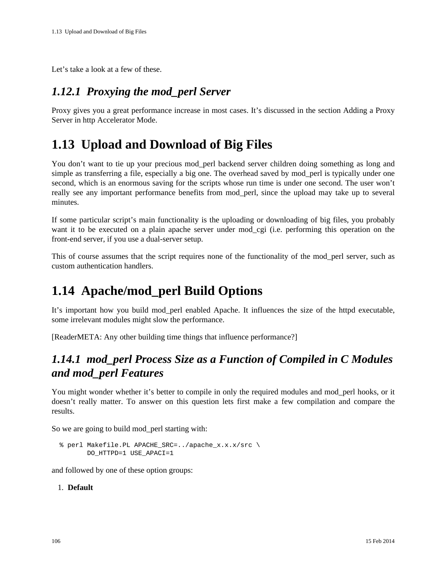Let's take a look at a few of these.

## *1.12.1 Proxying the mod\_perl Server*

Proxy gives you a great performance increase in most cases. It's discussed in the section Adding a Proxy Server in http Accelerator Mode.

# **1.13 Upload and Download of Big Files**

You don't want to tie up your precious mod\_perl backend server children doing something as long and simple as transferring a file, especially a big one. The overhead saved by mod\_perl is typically under one second, which is an enormous saving for the scripts whose run time is under one second. The user won't really see any important performance benefits from mod\_perl, since the upload may take up to several minutes.

If some particular script's main functionality is the uploading or downloading of big files, you probably want it to be executed on a plain apache server under mod\_cgi (i.e. performing this operation on the front-end server, if you use a dual-server setup.

This of course assumes that the script requires none of the functionality of the mod\_perl server, such as custom authentication handlers.

# **1.14 Apache/mod\_perl Build Options**

It's important how you build mod\_perl enabled Apache. It influences the size of the httpd executable, some irrelevant modules might slow the performance.

[ReaderMETA: Any other building time things that influence performance?]

## *1.14.1 mod\_perl Process Size as a Function of Compiled in C Modules and mod\_perl Features*

You might wonder whether it's better to compile in only the required modules and mod\_perl hooks, or it doesn't really matter. To answer on this question lets first make a few compilation and compare the results.

So we are going to build mod\_perl starting with:

```
 % perl Makefile.PL APACHE_SRC=../apache_x.x.x/src \
        DO_HTTPD=1 USE_APACI=1
```
and followed by one of these option groups:

#### 1. **Default**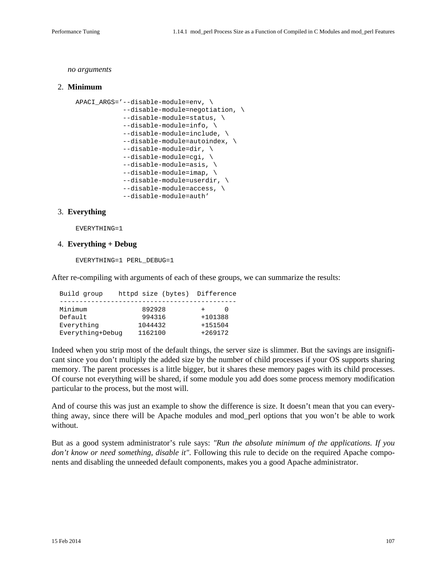*no arguments*

#### 2. **Minimum**

```
 APACI_ARGS='--disable-module=env, \
             --disable-module=negotiation, \
             --disable-module=status, \
             --disable-module=info, \
             --disable-module=include, \
             --disable-module=autoindex, \
             --disable-module=dir, \
             --disable-module=cgi, \
             --disable-module=asis, \
             --disable-module=imap, \
            --disable-module=userdir, \
             --disable-module=access, \
             --disable-module=auth'
```
#### 3. **Everything**

EVERYTHING=1

#### 4. **Everything + Debug**

EVERYTHING=1 PERL\_DEBUG=1

After re-compiling with arguments of each of these groups, we can summarize the results:

| Build group      | httpd size (bytes) | Difference |
|------------------|--------------------|------------|
| Minimum          | 892928             |            |
| Default          | 994316             | +101388    |
| Everything       | 1044432            | $+151504$  |
| Everything+Debuq | 1162100            | $+269172$  |

Indeed when you strip most of the default things, the server size is slimmer. But the savings are insignificant since you don't multiply the added size by the number of child processes if your OS supports sharing memory. The parent processes is a little bigger, but it shares these memory pages with its child processes. Of course not everything will be shared, if some module you add does some process memory modification particular to the process, but the most will.

And of course this was just an example to show the difference is size. It doesn't mean that you can everything away, since there will be Apache modules and mod\_perl options that you won't be able to work without.

But as a good system administrator's rule says: *"Run the absolute minimum of the applications. If you don't know or need something, disable it"*. Following this rule to decide on the required Apache components and disabling the unneeded default components, makes you a good Apache administrator.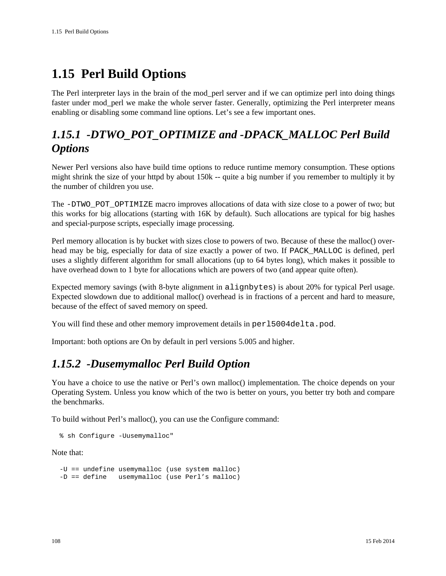# **1.15 Perl Build Options**

The Perl interpreter lays in the brain of the mod\_perl server and if we can optimize perl into doing things faster under mod\_perl we make the whole server faster. Generally, optimizing the Perl interpreter means enabling or disabling some command line options. Let's see a few important ones.

## *1.15.1 -DTWO\_POT\_OPTIMIZE and -DPACK\_MALLOC Perl Build Options*

Newer Perl versions also have build time options to reduce runtime memory consumption. These options might shrink the size of your httpd by about 150k -- quite a big number if you remember to multiply it by the number of children you use.

The -DTWO\_POT\_OPTIMIZE macro improves allocations of data with size close to a power of two; but this works for big allocations (starting with 16K by default). Such allocations are typical for big hashes and special-purpose scripts, especially image processing.

Perl memory allocation is by bucket with sizes close to powers of two. Because of these the malloc() overhead may be big, especially for data of size exactly a power of two. If PACK\_MALLOC is defined, perl uses a slightly different algorithm for small allocations (up to 64 bytes long), which makes it possible to have overhead down to 1 byte for allocations which are powers of two (and appear quite often).

Expected memory savings (with 8-byte alignment in alignbytes) is about 20% for typical Perl usage. Expected slowdown due to additional malloc() overhead is in fractions of a percent and hard to measure, because of the effect of saved memory on speed.

You will find these and other memory improvement details in per15004delta.pod.

Important: both options are On by default in perl versions 5.005 and higher.

## *1.15.2 -Dusemymalloc Perl Build Option*

You have a choice to use the native or Perl's own malloc() implementation. The choice depends on your Operating System. Unless you know which of the two is better on yours, you better try both and compare the benchmarks.

To build without Perl's malloc(), you can use the Configure command:

```
 % sh Configure -Uusemymalloc"
```
Note that:

```
 -U == undefine usemymalloc (use system malloc)
 -D == define usemymalloc (use Perl's malloc)
```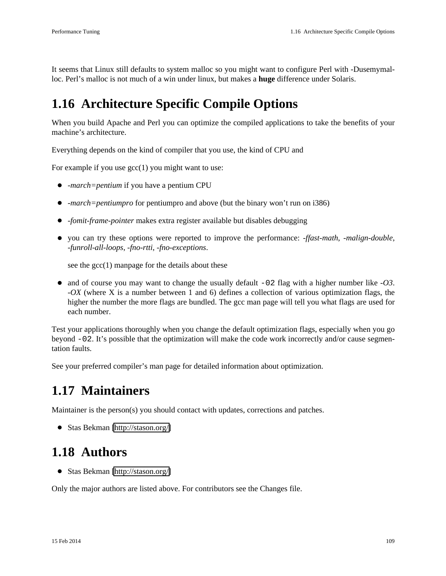It seems that Linux still defaults to system malloc so you might want to configure Perl with -Dusemymalloc. Perl's malloc is not much of a win under linux, but makes a **huge** difference under Solaris.

## <span id="page-108-0"></span>**1.16 Architecture Specific Compile Options**

When you build Apache and Perl you can optimize the compiled applications to take the benefits of your machine's architecture.

Everything depends on the kind of compiler that you use, the kind of CPU and

For example if you use  $\gcd(1)$  you might want to use:

- *-march=pentium* if you have a pentium CPU
- *-march=pentiumpro* for pentiumpro and above (but the binary won't run on i386)
- *-fomit-frame-pointer* makes extra register available but disables debugging
- you can try these options were reported to improve the performance: *-ffast-math*, *-malign-double*, *-funroll-all-loops*, *-fno-rtti*, *-fno-exceptions*.

see the  $\gcd(1)$  manpage for the details about these

and of course you may want to change the usually default -02 flag with a higher number like *-O3*. *-OX* (where X is a number between 1 and 6) defines a collection of various optimization flags, the higher the number the more flags are bundled. The gcc man page will tell you what flags are used for each number.

Test your applications thoroughly when you change the default optimization flags, especially when you go beyond -02. It's possible that the optimization will make the code work incorrectly and/or cause segmentation faults.

See your preferred compiler's man page for detailed information about optimization.

## <span id="page-108-1"></span>**1.17 Maintainers**

Maintainer is the person(s) you should contact with updates, corrections and patches.

Stas Bekman [\[http://stason.org/\]](http://stason.org/)

## <span id="page-108-2"></span>**1.18 Authors**

Stas Bekman [\[http://stason.org/\]](http://stason.org/)

Only the major authors are listed above. For contributors see the Changes file.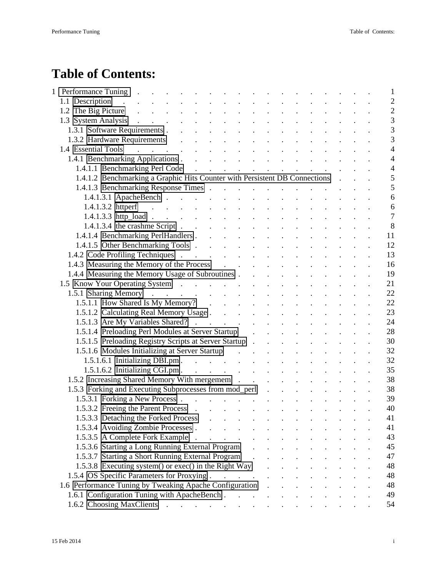## **Table of Contents:**

|  | Performance Tuning.                                                                                                                                                                                                                                                                                     |                                                               |  |                          |  |  | $\mathbf{1}$   |
|--|---------------------------------------------------------------------------------------------------------------------------------------------------------------------------------------------------------------------------------------------------------------------------------------------------------|---------------------------------------------------------------|--|--------------------------|--|--|----------------|
|  | 1.1 Description<br>$\mathcal{L}^{\mathcal{A}}$ . The set of the set of the set of the set of the set of the set of the set of the set of the set of the set of the set of the set of the set of the set of the set of the set of the set of the set of the s<br>and the contract of the contract of the |                                                               |  |                          |  |  | $\overline{2}$ |
|  |                                                                                                                                                                                                                                                                                                         |                                                               |  |                          |  |  | $\overline{2}$ |
|  | 1.3 System Analysis<br>$\mathcal{L}^{\text{max}}(\mathcal{L}^{\text{max}}(\mathcal{L}^{\text{max}}(\mathcal{L}^{\text{max}}(\mathcal{L}^{\text{max}})))$                                                                                                                                                |                                                               |  |                          |  |  | 3              |
|  | 1.3.1 Software Requirements                                                                                                                                                                                                                                                                             |                                                               |  |                          |  |  | 3              |
|  | 1.3.2 Hardware Requirements                                                                                                                                                                                                                                                                             |                                                               |  |                          |  |  | $\overline{3}$ |
|  |                                                                                                                                                                                                                                                                                                         |                                                               |  |                          |  |  | $\overline{4}$ |
|  |                                                                                                                                                                                                                                                                                                         |                                                               |  |                          |  |  | $\overline{4}$ |
|  | 1.4.1.1 Benchmarking Perl Code                                                                                                                                                                                                                                                                          |                                                               |  |                          |  |  | $\overline{4}$ |
|  | 1.4.1.2 Benchmarking a Graphic Hits Counter with Persistent DB Connections.                                                                                                                                                                                                                             |                                                               |  |                          |  |  | 5              |
|  | 1.4.1.3 Benchmarking Response Times                                                                                                                                                                                                                                                                     |                                                               |  |                          |  |  | 5              |
|  | 1.4.1.3.1 ApacheBench                                                                                                                                                                                                                                                                                   |                                                               |  |                          |  |  | 6              |
|  |                                                                                                                                                                                                                                                                                                         |                                                               |  |                          |  |  | 6              |
|  | 1.4.1.3.3 http_load                                                                                                                                                                                                                                                                                     |                                                               |  |                          |  |  | $\overline{7}$ |
|  | 1.4.1.3.4 the crashme Script $\ldots$ $\ldots$ $\ldots$                                                                                                                                                                                                                                                 |                                                               |  |                          |  |  | 8              |
|  |                                                                                                                                                                                                                                                                                                         |                                                               |  |                          |  |  | 11             |
|  | 1.4.1.5 Other Benchmarking Tools                                                                                                                                                                                                                                                                        |                                                               |  |                          |  |  | 12             |
|  | 1.4.2 Code Profiling Techniques                                                                                                                                                                                                                                                                         |                                                               |  |                          |  |  | 13             |
|  | 1.4.3 Measuring the Memory of the Process .<br>$\mathcal{L}^{\text{max}}$                                                                                                                                                                                                                               | $\mathcal{L}^{\text{max}}$                                    |  |                          |  |  | 16             |
|  | 1.4.4 Measuring the Memory Usage of Subroutines                                                                                                                                                                                                                                                         |                                                               |  |                          |  |  | 19             |
|  |                                                                                                                                                                                                                                                                                                         |                                                               |  |                          |  |  | 21             |
|  |                                                                                                                                                                                                                                                                                                         |                                                               |  |                          |  |  | 22             |
|  |                                                                                                                                                                                                                                                                                                         |                                                               |  |                          |  |  | 22             |
|  | 1.5.1.2 Calculating Real Memory Usage                                                                                                                                                                                                                                                                   | $\mathcal{L}^{\text{max}}$ , where $\mathcal{L}^{\text{max}}$ |  |                          |  |  | 23             |
|  |                                                                                                                                                                                                                                                                                                         |                                                               |  |                          |  |  | 24             |
|  | 1.5.1.4 Preloading Perl Modules at Server Startup                                                                                                                                                                                                                                                       |                                                               |  |                          |  |  | 28             |
|  | 1.5.1.5 Preloading Registry Scripts at Server Startup                                                                                                                                                                                                                                                   |                                                               |  |                          |  |  | 30             |
|  | 1.5.1.6 Modules Initializing at Server Startup enterstanding the contract of the state of the state of the state of the state of the state of the state of the state of the state of the state of the state of the state of th                                                                          |                                                               |  |                          |  |  | 32             |
|  | 1.5.1.6.1 Initializing DBI.pm.                                                                                                                                                                                                                                                                          |                                                               |  |                          |  |  | 32             |
|  |                                                                                                                                                                                                                                                                                                         |                                                               |  |                          |  |  | 35             |
|  | 1.5.2 Increasing Shared Memory With mergemem                                                                                                                                                                                                                                                            |                                                               |  |                          |  |  | 38             |
|  | 1.5.3 Forking and Executing Subprocesses from mod_perl                                                                                                                                                                                                                                                  |                                                               |  |                          |  |  | 38             |
|  |                                                                                                                                                                                                                                                                                                         |                                                               |  |                          |  |  | 39             |
|  | 1.5.3.2 Freeing the Parent Process.<br>$\mathcal{L}^{\mathcal{A}}(\mathcal{A})$ , and $\mathcal{L}^{\mathcal{A}}(\mathcal{A})$ , and $\mathcal{L}^{\mathcal{A}}(\mathcal{A})$                                                                                                                           |                                                               |  |                          |  |  | 40             |
|  | 1.5.3.3 Detaching the Forked Process                                                                                                                                                                                                                                                                    |                                                               |  |                          |  |  | 41             |
|  | 1.5.3.4 Avoiding Zombie Processes.<br>$\sim$ $\sim$                                                                                                                                                                                                                                                     |                                                               |  |                          |  |  | 41             |
|  | 1.5.3.5 A Complete Fork Example.<br>and the contract of the contract of                                                                                                                                                                                                                                 |                                                               |  | <b>Contract Contract</b> |  |  | 43             |
|  | 1.5.3.6 Starting a Long Running External Program                                                                                                                                                                                                                                                        |                                                               |  |                          |  |  | 45             |
|  | 1.5.3.7 Starting a Short Running External Program.                                                                                                                                                                                                                                                      |                                                               |  |                          |  |  | 47             |
|  | 1.5.3.8 Executing system() or exec() in the Right Way                                                                                                                                                                                                                                                   |                                                               |  |                          |  |  | 48             |
|  | 1.5.4 OS Specific Parameters for Proxying.<br>$\mathcal{A}$ is a set of the set of the set of the set of $\mathcal{A}$                                                                                                                                                                                  |                                                               |  |                          |  |  | 48             |
|  | 1.6 Performance Tuning by Tweaking Apache Configuration                                                                                                                                                                                                                                                 |                                                               |  |                          |  |  | 48             |
|  |                                                                                                                                                                                                                                                                                                         |                                                               |  |                          |  |  | 49             |
|  |                                                                                                                                                                                                                                                                                                         |                                                               |  |                          |  |  | 54             |
|  |                                                                                                                                                                                                                                                                                                         |                                                               |  |                          |  |  |                |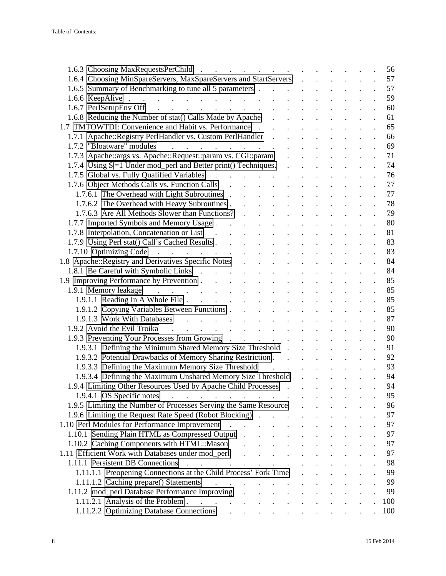| 1.6.3 Choosing MaxRequestsPerChild                                                                                                                                                                                                                                                              | 56                 |
|-------------------------------------------------------------------------------------------------------------------------------------------------------------------------------------------------------------------------------------------------------------------------------------------------|--------------------|
| 1.6.4 Choosing MinSpareServers, MaxSpareServers and StartServers                                                                                                                                                                                                                                | 57                 |
| 1.6.5 Summary of Benchmarking to tune all 5 parameters                                                                                                                                                                                                                                          | 57                 |
| 1.6.6 KeepAlive<br>$\mathcal{L}^{\text{max}}$                                                                                                                                                                                                                                                   | 59                 |
| 1.6.7 PerlSetupEnv Off<br>$\mathbf{r} = \mathbf{r} \times \mathbf{r}$ , where $\mathbf{r} = \mathbf{r} \times \mathbf{r}$ , where                                                                                                                                                               | 60                 |
| 1.6.8 Reducing the Number of stat() Calls Made by Apache                                                                                                                                                                                                                                        | 61                 |
| 1.7 TMTOWTDI: Convenience and Habit vs. Performance<br>$\mathbf{r}$ , $\mathbf{r}$ , $\mathbf{r}$ , $\mathbf{r}$ , $\mathbf{r}$ , $\mathbf{r}$                                                                                                                                                  | 65                 |
| 1.7.1 Apache::Registry PerlHandler vs. Custom PerlHandler .                                                                                                                                                                                                                                     | 66                 |
| 1.7.2 "Bloatware" modules                                                                                                                                                                                                                                                                       | 69                 |
| 1.7.3 Apache: args vs. Apache: : Request: : param vs. CGI: : param                                                                                                                                                                                                                              | 71                 |
| 1.7.4 Using \$ =1 Under mod_perl and Better print() Techniques. .                                                                                                                                                                                                                               | 74                 |
| 1.7.5 Global vs. Fully Qualified Variables<br><u>na matana na manang kabupatèn Kabupatèn Bandar Bandar Bandar Bandar Bandar Bandar Bandar Bandar Bandar Bandar Bandar Bandar Bandar Bandar Bandar Bandar Bandar Bandar Bandar Bandar Bandar Bandar Bandar Bandar Bandar Bandar</u>              | 76                 |
| 1.7.6 Object Methods Calls vs. Function Calls                                                                                                                                                                                                                                                   | 77                 |
| 1.7.6.1 The Overhead with Light Subroutines.<br>$\mathbf{r} = \mathbf{r}$                                                                                                                                                                                                                       | 77                 |
| 1.7.6.2 The Overhead with Heavy Subroutines.                                                                                                                                                                                                                                                    | 78                 |
| 1.7.6.3 Are All Methods Slower than Functions?                                                                                                                                                                                                                                                  | 79                 |
| 1.7.7 Imported Symbols and Memory Usage.<br>and the contract of the contract of the contract of the contract of the contract of the contract of the contract of the contract of the contract of the contract of the contract of the contract of the contract of the contra<br>$\sim$            | 80                 |
| 1.7.8 Interpolation, Concatenation or List                                                                                                                                                                                                                                                      | 81                 |
| 1.7.9 Using Perl stat() Call's Cached Results.<br>$\sim$                                                                                                                                                                                                                                        | 83                 |
| 1.7.10 Optimizing Code                                                                                                                                                                                                                                                                          | 83                 |
|                                                                                                                                                                                                                                                                                                 | 84                 |
| 1.8 Apache::Registry and Derivatives Specific Notes .<br><b>Contract Contract Contract</b>                                                                                                                                                                                                      | 84                 |
| 1.8.1 Be Careful with Symbolic Links<br>and the state of the state of the                                                                                                                                                                                                                       | 85                 |
|                                                                                                                                                                                                                                                                                                 |                    |
| 1.9.1 Memory leakage resources and the set of the set of the set of the set of the set of the set of the set of the set of the set of the set of the set of the set of the set of the set of the set of the set of the set of                                                                   | 85                 |
| 1.9.1.1 Reading In A Whole File                                                                                                                                                                                                                                                                 | 85                 |
| 1.9.1.2 Copying Variables Between Functions.<br>$\mathcal{L}(\mathcal{L})$ , and $\mathcal{L}(\mathcal{L})$ , and $\mathcal{L}(\mathcal{L})$                                                                                                                                                    | 85                 |
| 1.9.1.3 Work With Databases<br>and a series of the series of the series of the series of the series of the series of the series of the series of the series of the series of the series of the series of the series of the series of the series of the series                                   | 87                 |
| 1.9.2 Avoid the Evil Troika<br>$\mathcal{L} = \mathcal{L} \times \mathcal{L} = \mathcal{L} \times \mathcal{L} = \mathcal{L} \times \mathcal{L} = \mathcal{L} \times \mathcal{L} = \mathcal{L} \times \mathcal{L} = \mathcal{L}$                                                                 | 90                 |
| 1.9.3 Preventing Your Processes from Growing<br>$\mathcal{L}^{\text{max}}$ and $\mathcal{L}^{\text{max}}$                                                                                                                                                                                       | 90                 |
| 1.9.3.1 Defining the Minimum Shared Memory Size Threshold.                                                                                                                                                                                                                                      | 91                 |
| 1.9.3.2 Potential Drawbacks of Memory Sharing Restriction.                                                                                                                                                                                                                                      | 92                 |
| 1.9.3.3 Defining the Maximum Memory Size Threshold<br>$\mathcal{A}^{\mathcal{A}}$ . The set of the set of the set of the set of the set of the set of the set of the set of the set of the set of the set of the set of the set of the set of the set of the set of the set of the set of the s | 93                 |
| 1.9.3.4 Defining the Maximum Unshared Memory Size Threshold<br>$\mathcal{L}(\mathbf{X}) = \mathcal{L}(\mathbf{X})$ and $\mathcal{L}(\mathbf{X}) = \mathcal{L}(\mathbf{X})$                                                                                                                      | 94<br>$\mathbf{r}$ |
| 1.9.4 Limiting Other Resources Used by Apache Child Processes<br>$\sim$                                                                                                                                                                                                                         | 94                 |
| 1.9.4.1 OS Specific notes                                                                                                                                                                                                                                                                       | 95                 |
| 1.9.5 Limiting the Number of Processes Serving the Same Resource                                                                                                                                                                                                                                | 96                 |
| 1.9.6 Limiting the Request Rate Speed (Robot Blocking).<br>$\mathcal{L}^{\mathcal{L}}$ , $\mathcal{L}^{\mathcal{L}}$ , $\mathcal{L}^{\mathcal{L}}$ , $\mathcal{L}^{\mathcal{L}}$<br>$\sim$                                                                                                      | 97                 |
| 1.10 Perl Modules for Performance Improvement                                                                                                                                                                                                                                                   | 97                 |
| 1.10.1 Sending Plain HTML as Compressed Output.                                                                                                                                                                                                                                                 | 97                 |
| 1.10.2 Caching Components with HTML::Mason                                                                                                                                                                                                                                                      | 97                 |
| 1.11 Efficient Work with Databases under mod_perl<br>$\mathcal{L}^{\mathcal{L}}$ , and $\mathcal{L}^{\mathcal{L}}$ , and $\mathcal{L}^{\mathcal{L}}$ , and $\mathcal{L}^{\mathcal{L}}$<br>$\ddot{\phantom{a}}$                                                                                  | 97                 |
| 1.11.1 Persistent DB Connections<br>$\mathcal{L}^{\mathcal{A}}$ . The set of the set of the set of the set of the set of the set of the set of the set of the set of the set of the set of the set of the set of the set of the set of the set of the set of the set of the s                   | 98                 |
| 1.11.1.1 Preopening Connections at the Child Process' Fork Time                                                                                                                                                                                                                                 | 99                 |
| 1.11.1.2 Caching prepare() Statements<br>$\mathcal{L}^{\mathcal{A}}$ . The set of the set of the set of $\mathcal{L}^{\mathcal{A}}$                                                                                                                                                             | 99                 |
| 1.11.2 mod_perl Database Performance Improving                                                                                                                                                                                                                                                  | 99                 |
|                                                                                                                                                                                                                                                                                                 | 100                |
| 1.11.2.2 Optimizing Database Connections (and a series of the series of the series of the series of the series of the series of the series of the series of the series of the series of the series of the series of the series                                                                  | 100                |